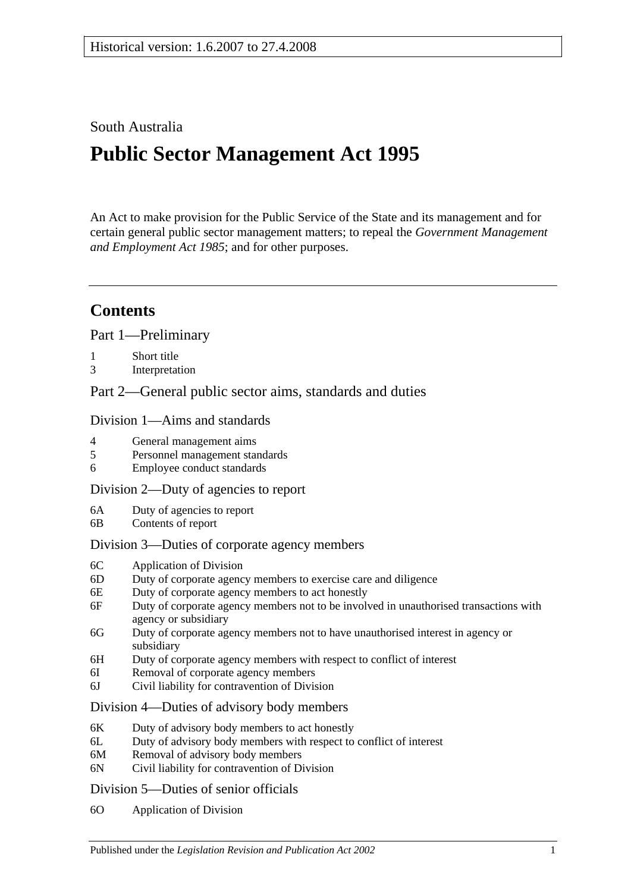## South Australia

# **Public Sector Management Act 1995**

An Act to make provision for the Public Service of the State and its management and for certain general public sector management matters; to repeal the *[Government Management](http://www.legislation.sa.gov.au/index.aspx?action=legref&type=act&legtitle=Government%20Management%20and%20Employment%20Act%201985)  [and Employment Act](http://www.legislation.sa.gov.au/index.aspx?action=legref&type=act&legtitle=Government%20Management%20and%20Employment%20Act%201985) 1985*; and for other purposes.

# **Contents**

[Part 1—Preliminary](#page-5-0)

- 1 [Short title](#page-5-1)
- 3 [Interpretation](#page-5-2)

[Part 2—General public sector aims, standards and duties](#page-10-0)

### [Division 1—Aims and standards](#page-10-1)

- 4 [General management aims](#page-10-2)
- 5 [Personnel management standards](#page-10-3)
- 6 [Employee conduct standards](#page-10-4)

#### [Division 2—Duty of agencies to report](#page-11-0)

- 6A [Duty of agencies to report](#page-11-1)
- 6B [Contents of report](#page-11-2)

#### [Division 3—Duties of corporate agency members](#page-11-3)

- 6C [Application of Division](#page-11-4)
- 6D [Duty of corporate agency members to exercise care and diligence](#page-12-0)
- 6E [Duty of corporate agency members to act honestly](#page-12-1)
- 6F [Duty of corporate agency members not to be involved in unauthorised transactions with](#page-12-2)  [agency or subsidiary](#page-12-2)
- 6G [Duty of corporate agency members not to have unauthorised interest in agency or](#page-13-0)  [subsidiary](#page-13-0)
- 6H [Duty of corporate agency members with respect to conflict of interest](#page-13-1)
- 6I [Removal of corporate agency members](#page-14-0)
- 6J [Civil liability for contravention of Division](#page-15-0)

#### [Division 4—Duties of advisory body members](#page-15-1)

- 6K [Duty of advisory body members to act honestly](#page-15-2)
- 6L [Duty of advisory body members with respect to conflict of interest](#page-15-3)
- 6M [Removal of advisory body members](#page-16-0)
- 6N [Civil liability for contravention of Division](#page-16-1)

#### [Division 5—Duties of senior officials](#page-16-2)

6O [Application of Division](#page-16-3)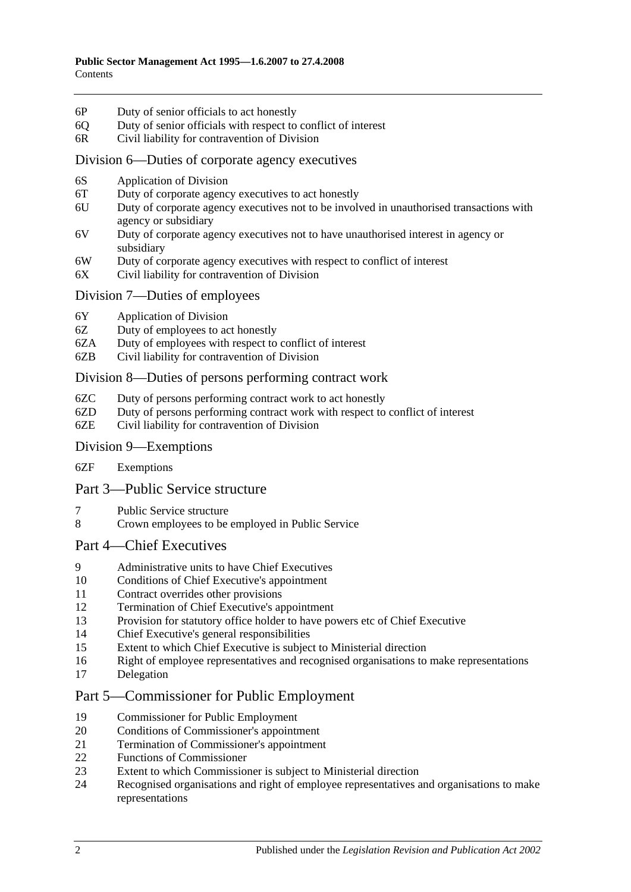- 6P [Duty of senior officials to act honestly](#page-16-4)
- 6Q [Duty of senior officials with respect to conflict of interest](#page-16-5)
- 6R [Civil liability for contravention of Division](#page-17-0)

#### [Division 6—Duties of corporate agency executives](#page-18-0)

- 6S [Application of Division](#page-18-1)
- 6T [Duty of corporate agency executives to act honestly](#page-18-2)
- 6U [Duty of corporate agency executives not to be involved in unauthorised transactions with](#page-18-3)  [agency or subsidiary](#page-18-3)
- 6V [Duty of corporate agency executives not to have unauthorised interest in agency or](#page-19-0)  [subsidiary](#page-19-0)
- 6W [Duty of corporate agency executives with respect to conflict of interest](#page-19-1)
- 6X [Civil liability for contravention of Division](#page-20-0)

#### [Division 7—Duties of employees](#page-20-1)

- 6Y [Application of Division](#page-20-2)
- 6Z [Duty of employees to act honestly](#page-21-0)
- 6ZA [Duty of employees with respect to conflict of interest](#page-21-1)
- 6ZB [Civil liability for contravention of Division](#page-22-0)

#### [Division 8—Duties of persons performing contract work](#page-22-1)

- 6ZC [Duty of persons performing contract work to act honestly](#page-22-2)
- 6ZD [Duty of persons performing contract work with respect to conflict of interest](#page-22-3)
- 6ZE [Civil liability for contravention of Division](#page-23-0)

#### [Division 9—Exemptions](#page-24-0)

6ZF [Exemptions](#page-24-1)

#### [Part 3—Public Service structure](#page-24-2)

- 7 [Public Service structure](#page-24-3)
- 8 [Crown employees to be employed in Public Service](#page-25-0)

#### [Part 4—Chief Executives](#page-25-1)

- 9 [Administrative units to have Chief Executives](#page-25-2)
- 10 [Conditions of Chief Executive's appointment](#page-25-3)
- 11 [Contract overrides other provisions](#page-26-0)
- 12 [Termination of Chief Executive's appointment](#page-26-1)
- 13 [Provision for statutory office holder to have powers etc of Chief Executive](#page-27-0)
- 14 [Chief Executive's general responsibilities](#page-27-1)
- 15 [Extent to which Chief Executive is subject to Ministerial direction](#page-27-2)
- 16 [Right of employee representatives and recognised organisations to make representations](#page-27-3)
- 17 [Delegation](#page-28-0)

## [Part 5—Commissioner for Public Employment](#page-28-1)

- 19 [Commissioner for Public Employment](#page-28-2)
- 20 [Conditions of Commissioner's appointment](#page-28-3)
- 21 [Termination of Commissioner's appointment](#page-28-4)
- 22 Functions [of Commissioner](#page-29-0)
- 23 [Extent to which Commissioner is subject to Ministerial direction](#page-30-0)<br>24 Recognised organisations and right of employee representatives a
- 24 [Recognised organisations and right of employee representatives and organisations to make](#page-30-1)  [representations](#page-30-1)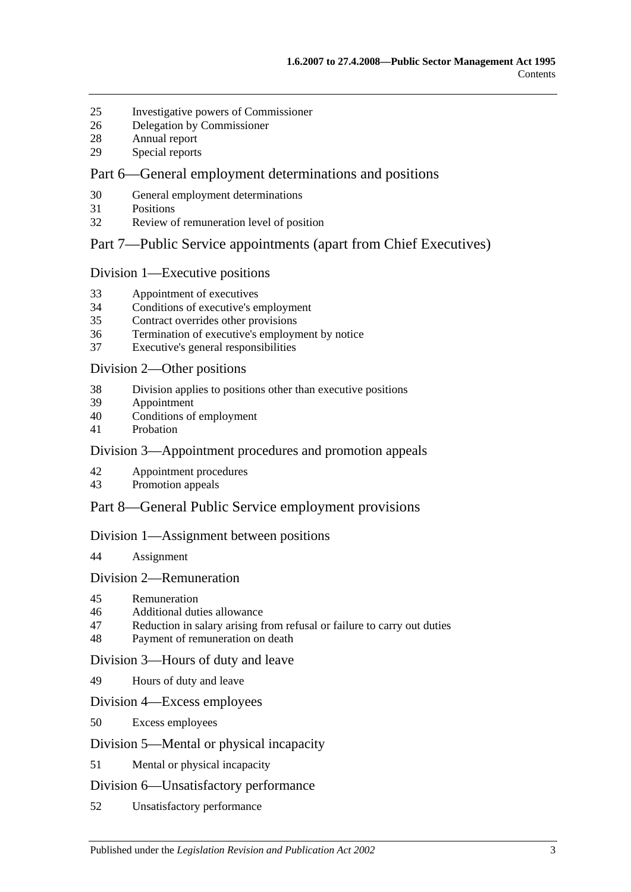- [Investigative powers of Commissioner](#page-31-0)
- [Delegation by Commissioner](#page-32-0)
- [Annual report](#page-32-1)
- [Special reports](#page-33-0)

## [Part 6—General employment determinations and positions](#page-33-1)

- [General employment determinations](#page-33-2)
- [Positions](#page-34-0)
- [Review of remuneration level of position](#page-34-1)

### [Part 7—Public Service appointments \(apart from Chief Executives\)](#page-35-0)

### [Division 1—Executive positions](#page-35-1)

- [Appointment of executives](#page-35-2)
- [Conditions of executive's employment](#page-36-0)
- [Contract overrides other provisions](#page-37-0)
- [Termination of executive's employment by notice](#page-37-1)
- [Executive's general responsibilities](#page-38-0)

#### [Division 2—Other positions](#page-38-1)

- [Division applies to positions other than executive positions](#page-38-2)
- [Appointment](#page-38-3)
- [Conditions of employment](#page-38-4)
- [Probation](#page-39-0)

## [Division 3—Appointment procedures and promotion appeals](#page-40-0)

- [Appointment procedures](#page-40-1)
- [Promotion appeals](#page-41-0)

## [Part 8—General Public Service employment provisions](#page-42-0)

#### [Division 1—Assignment between positions](#page-42-1)

[Assignment](#page-42-2)

#### [Division 2—Remuneration](#page-42-3)

- [Remuneration](#page-42-4)
- [Additional duties allowance](#page-42-5)
- [Reduction in salary arising from refusal or failure to carry out duties](#page-43-0)
- [Payment of remuneration on death](#page-43-1)

#### [Division 3—Hours of duty and leave](#page-43-2)

[Hours of duty and leave](#page-43-3)

#### [Division 4—Excess employees](#page-43-4)

[Excess employees](#page-43-5)

#### [Division 5—Mental or physical incapacity](#page-44-0)

[Mental or physical incapacity](#page-44-1)

#### [Division 6—Unsatisfactory performance](#page-46-0)

[Unsatisfactory performance](#page-46-1)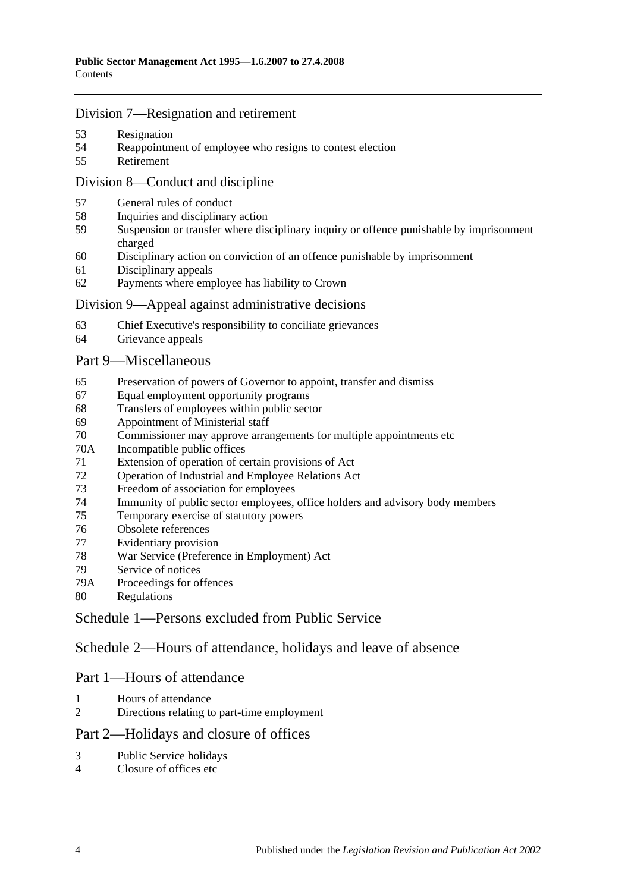### [Division 7—Resignation and retirement](#page-47-0)

- [Resignation](#page-47-1)
- [Reappointment of employee who resigns to contest election](#page-47-2)
- [Retirement](#page-47-3)

## [Division 8—Conduct and discipline](#page-47-4)

- [General rules of conduct](#page-47-5)
- [Inquiries and disciplinary action](#page-48-0)
- [Suspension or transfer where disciplinary inquiry or offence punishable by imprisonment](#page-49-0)  [charged](#page-49-0)
- [Disciplinary action on conviction of an offence punishable by imprisonment](#page-50-0)
- [Disciplinary appeals](#page-51-0)
- [Payments where employee has liability to Crown](#page-51-1)

#### [Division 9—Appeal against administrative decisions](#page-52-0)

- [Chief Executive's responsibility to conciliate grievances](#page-52-1)
- [Grievance appeals](#page-52-2)

### [Part 9—Miscellaneous](#page-52-3)

- [Preservation of powers of Governor to appoint, transfer and dismiss](#page-52-4)
- [Equal employment opportunity programs](#page-53-0)
- [Transfers of employees within public sector](#page-53-1)
- [Appointment of Ministerial staff](#page-53-2)
- [Commissioner may approve arrangements for multiple appointments etc](#page-54-0)
- 70A [Incompatible public offices](#page-54-1)
- [Extension of operation of certain provisions of Act](#page-55-0)
- [Operation of Industrial and Employee Relations Act](#page-55-1)
- [Freedom of association for employees](#page-55-2)
- [Immunity of public sector employees, office holders and advisory body members](#page-56-0)
- [Temporary exercise of statutory powers](#page-56-1)
- [Obsolete references](#page-56-2)
- [Evidentiary provision](#page-57-0)
- [War Service \(Preference in Employment\) Act](#page-57-1)
- [Service of notices](#page-57-2)
- 79A [Proceedings for offences](#page-57-3)
- [Regulations](#page-57-4)

[Schedule 1—Persons excluded from Public Service](#page-58-0)

[Schedule 2—Hours of attendance, holidays and leave of absence](#page-59-0)

## Part 1—Hours of attendance

- [Hours of attendance](#page-59-1)
- [Directions relating to part-time employment](#page-59-2)

## Part 2—Holidays and closure of offices

- [Public Service holidays](#page-59-3)
- [Closure of offices etc](#page-59-4)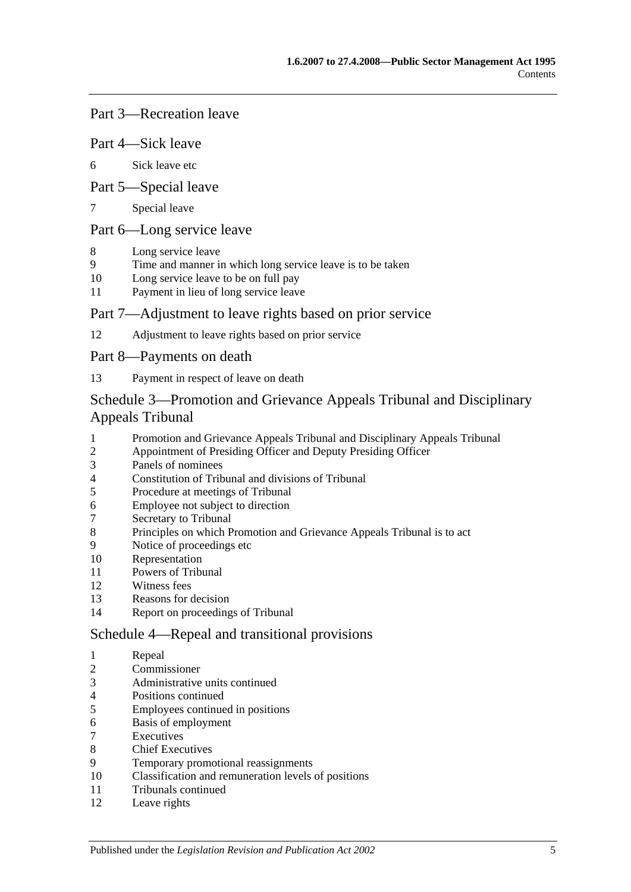## Part 3—Recreation leave

#### Part 4—Sick leave

[Sick leave etc](#page-60-0)

### Part 5—Special leave

[Special leave](#page-61-0)

## Part 6—Long service leave

- [Long service leave](#page-62-0)
- [Time and manner in which long service leave is to be taken](#page-62-1)
- [Long service leave to be on full pay](#page-62-2)
- [Payment in lieu of long service leave](#page-63-0)

### Part 7—Adjustment to leave rights based on prior service

[Adjustment to leave rights based on prior service](#page-64-0)

### Part 8—Payments on death

[Payment in respect of leave on death](#page-64-1)

## [Schedule 3—Promotion and Grievance Appeals Tribunal and Disciplinary](#page-64-2)  [Appeals Tribunal](#page-64-2)

- [Promotion and Grievance Appeals Tribunal and Disciplinary Appeals Tribunal](#page-64-3)<br>2 Appointment of Presiding Officer and Deputy Presiding Officer
- [Appointment of Presiding Officer and Deputy Presiding Officer](#page-64-4)
- [Panels of nominees](#page-65-0)
- [Constitution of Tribunal and divisions of Tribunal](#page-66-0)
- [Procedure at meetings of Tribunal](#page-66-1)
- [Employee not subject to direction](#page-67-0)
- [Secretary to Tribunal](#page-67-1)
- [Principles on which Promotion and Grievance Appeals Tribunal is to](#page-67-2) act
- [Notice of proceedings etc](#page-67-3)
- [Representation](#page-67-4)
- [Powers of Tribunal](#page-67-5)
- [Witness fees](#page-68-0)
- [Reasons for decision](#page-68-1)
- [Report on proceedings of Tribunal](#page-68-2)

#### [Schedule 4—Repeal and transitional provisions](#page-69-0)

- [Repeal](#page-69-1)
- [Commissioner](#page-69-2)
- [Administrative units continued](#page-69-3)
- [Positions continued](#page-69-4)
- [Employees continued in positions](#page-69-5)
- [Basis of employment](#page-69-6)
- **[Executives](#page-70-0)**
- [Chief Executives](#page-70-1)
- [Temporary promotional reassignments](#page-72-0)
- [Classification and remuneration levels of positions](#page-72-1)
- [Tribunals continued](#page-72-2)
- [Leave rights](#page-72-3)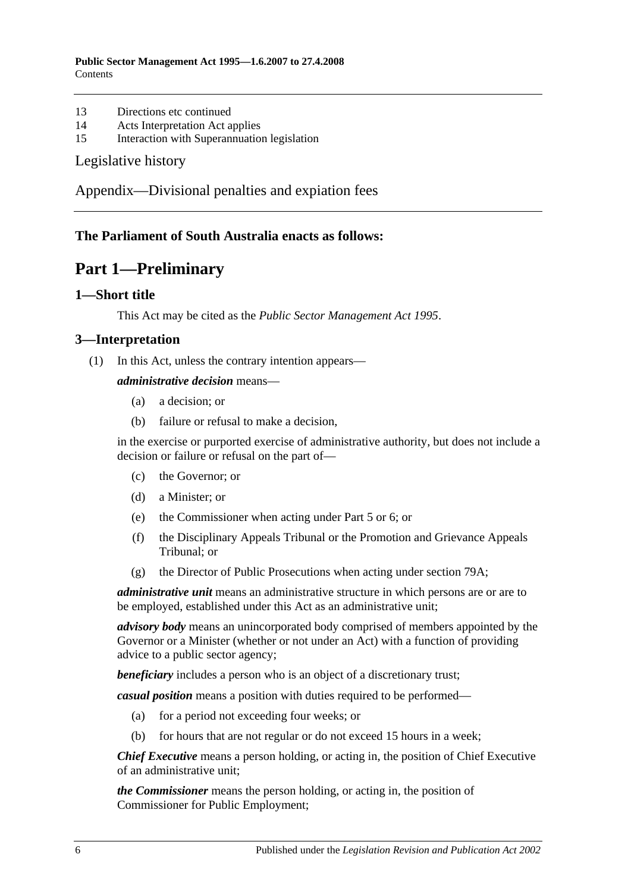- 13 [Directions etc continued](#page-72-4)
- 14 [Acts Interpretation Act applies](#page-72-5)
- 15 [Interaction with Superannuation legislation](#page-72-6)

#### [Legislative history](#page-73-0)

[Appendix—Divisional penalties and expiation fees](#page-76-0)

## <span id="page-5-0"></span>**The Parliament of South Australia enacts as follows:**

# **Part 1—Preliminary**

### <span id="page-5-1"></span>**1—Short title**

This Act may be cited as the *Public Sector Management Act 1995*.

### <span id="page-5-2"></span>**3—Interpretation**

(1) In this Act, unless the contrary intention appears—

#### *administrative decision* means—

- (a) a decision; or
- (b) failure or refusal to make a decision,

in the exercise or purported exercise of administrative authority, but does not include a decision or failure or refusal on the part of—

- (c) the Governor; or
- (d) a Minister; or
- (e) the Commissioner when acting under [Part 5](#page-28-1) or [6;](#page-33-1) or
- (f) the Disciplinary Appeals Tribunal or the Promotion and Grievance Appeals Tribunal; or
- (g) the Director of Public Prosecutions when acting under [section](#page-57-3) 79A;

*administrative unit* means an administrative structure in which persons are or are to be employed, established under this Act as an administrative unit;

*advisory body* means an unincorporated body comprised of members appointed by the Governor or a Minister (whether or not under an Act) with a function of providing advice to a public sector agency;

**beneficiary** includes a person who is an object of a discretionary trust;

*casual position* means a position with duties required to be performed—

- (a) for a period not exceeding four weeks; or
- (b) for hours that are not regular or do not exceed 15 hours in a week;

*Chief Executive* means a person holding, or acting in, the position of Chief Executive of an administrative unit;

*the Commissioner* means the person holding, or acting in, the position of Commissioner for Public Employment;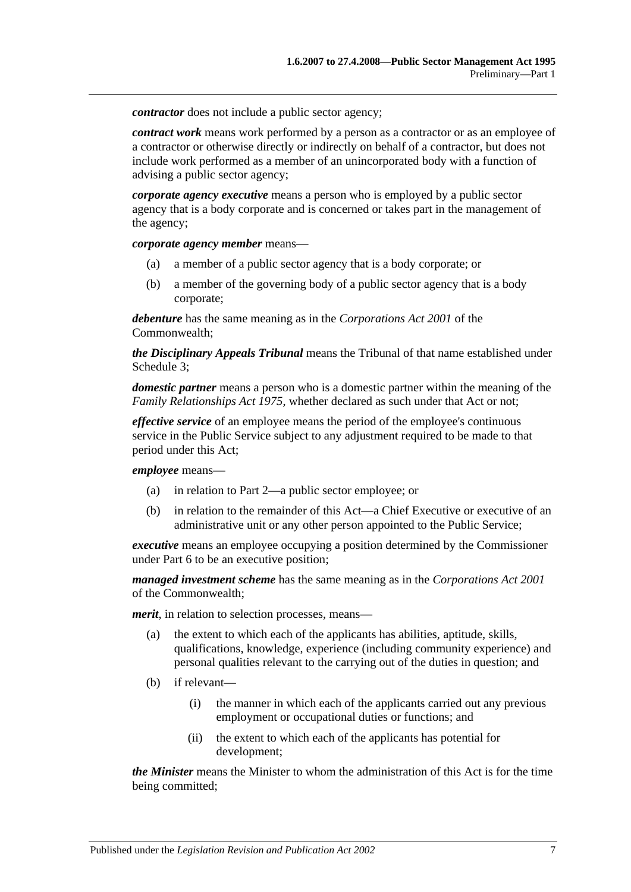*contractor* does not include a public sector agency;

*contract work* means work performed by a person as a contractor or as an employee of a contractor or otherwise directly or indirectly on behalf of a contractor, but does not include work performed as a member of an unincorporated body with a function of advising a public sector agency;

*corporate agency executive* means a person who is employed by a public sector agency that is a body corporate and is concerned or takes part in the management of the agency;

*corporate agency member* means—

- (a) a member of a public sector agency that is a body corporate; or
- (b) a member of the governing body of a public sector agency that is a body corporate;

*debenture* has the same meaning as in the *Corporations Act 2001* of the Commonwealth;

*the Disciplinary Appeals Tribunal* means the Tribunal of that name established under [Schedule 3;](#page-64-2)

*domestic partner* means a person who is a domestic partner within the meaning of the *[Family Relationships Act](http://www.legislation.sa.gov.au/index.aspx?action=legref&type=act&legtitle=Family%20Relationships%20Act%201975) 1975*, whether declared as such under that Act or not;

*effective service* of an employee means the period of the employee's continuous service in the Public Service subject to any adjustment required to be made to that period under this Act;

*employee* means—

- (a) in relation to [Part 2—](#page-10-0)a public sector employee; or
- (b) in relation to the remainder of this Act—a Chief Executive or executive of an administrative unit or any other person appointed to the Public Service;

*executive* means an employee occupying a position determined by the Commissioner under [Part 6](#page-33-1) to be an executive position;

*managed investment scheme* has the same meaning as in the *Corporations Act 2001* of the Commonwealth;

*merit*, in relation to selection processes, means—

- (a) the extent to which each of the applicants has abilities, aptitude, skills, qualifications, knowledge, experience (including community experience) and personal qualities relevant to the carrying out of the duties in question; and
- (b) if relevant—
	- (i) the manner in which each of the applicants carried out any previous employment or occupational duties or functions; and
	- (ii) the extent to which each of the applicants has potential for development;

*the Minister* means the Minister to whom the administration of this Act is for the time being committed;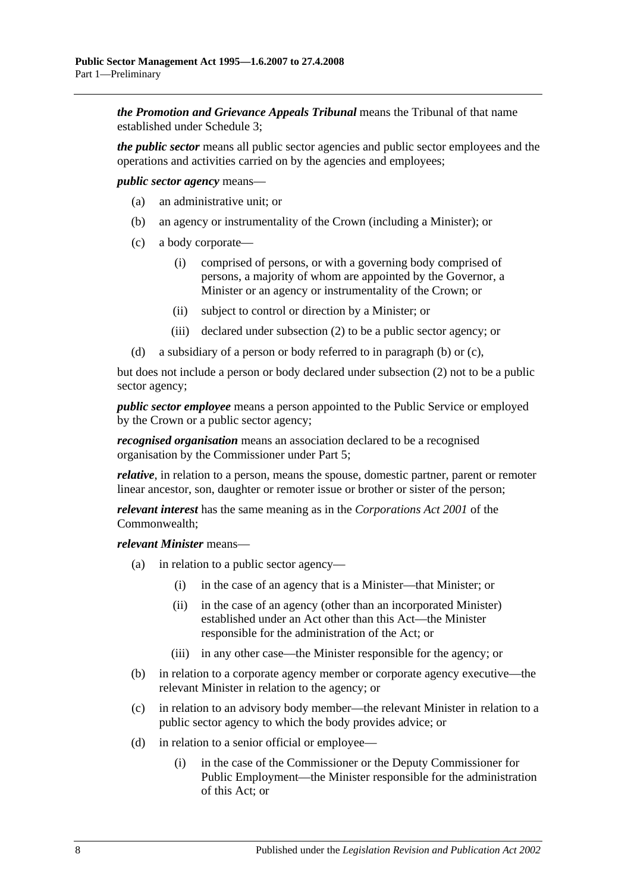*the Promotion and Grievance Appeals Tribunal* means the Tribunal of that name established under [Schedule 3;](#page-64-2)

*the public sector* means all public sector agencies and public sector employees and the operations and activities carried on by the agencies and employees;

<span id="page-7-0"></span>*public sector agency* means—

- (a) an administrative unit; or
- (b) an agency or instrumentality of the Crown (including a Minister); or
- <span id="page-7-1"></span>(c) a body corporate—
	- (i) comprised of persons, or with a governing body comprised of persons, a majority of whom are appointed by the Governor, a Minister or an agency or instrumentality of the Crown; or
	- (ii) subject to control or direction by a Minister; or
	- (iii) declared under [subsection](#page-9-0) (2) to be a public sector agency; or
- (d) a subsidiary of a person or body referred to in [paragraph](#page-7-0) (b) or [\(c\),](#page-7-1)

but does not include a person or body declared under [subsection](#page-9-0) (2) not to be a public sector agency;

*public sector employee* means a person appointed to the Public Service or employed by the Crown or a public sector agency;

*recognised organisation* means an association declared to be a recognised organisation by the Commissioner under [Part 5;](#page-28-1)

*relative*, in relation to a person, means the spouse, domestic partner, parent or remoter linear ancestor, son, daughter or remoter issue or brother or sister of the person;

*relevant interest* has the same meaning as in the *Corporations Act 2001* of the Commonwealth;

*relevant Minister* means—

- (a) in relation to a public sector agency—
	- (i) in the case of an agency that is a Minister—that Minister; or
	- (ii) in the case of an agency (other than an incorporated Minister) established under an Act other than this Act—the Minister responsible for the administration of the Act; or
	- (iii) in any other case—the Minister responsible for the agency; or
- (b) in relation to a corporate agency member or corporate agency executive—the relevant Minister in relation to the agency; or
- (c) in relation to an advisory body member—the relevant Minister in relation to a public sector agency to which the body provides advice; or
- (d) in relation to a senior official or employee—
	- (i) in the case of the Commissioner or the Deputy Commissioner for Public Employment—the Minister responsible for the administration of this Act; or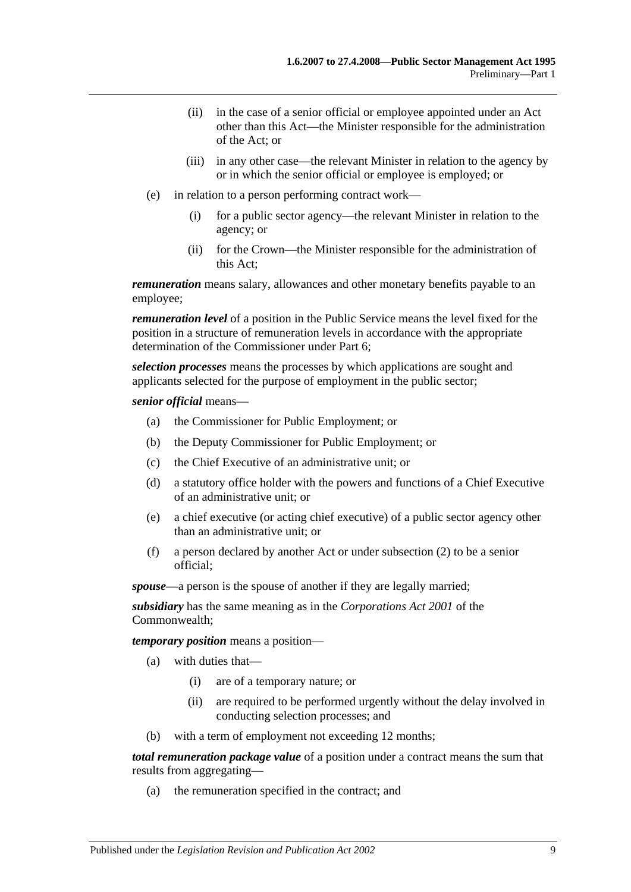- (ii) in the case of a senior official or employee appointed under an Act other than this Act—the Minister responsible for the administration of the Act; or
- (iii) in any other case—the relevant Minister in relation to the agency by or in which the senior official or employee is employed; or
- (e) in relation to a person performing contract work—
	- (i) for a public sector agency—the relevant Minister in relation to the agency; or
	- (ii) for the Crown—the Minister responsible for the administration of this Act;

*remuneration* means salary, allowances and other monetary benefits payable to an employee;

*remuneration level* of a position in the Public Service means the level fixed for the position in a structure of remuneration levels in accordance with the appropriate determination of the Commissioner under [Part 6;](#page-33-1)

*selection processes* means the processes by which applications are sought and applicants selected for the purpose of employment in the public sector;

#### *senior official* means—

- (a) the Commissioner for Public Employment; or
- (b) the Deputy Commissioner for Public Employment; or
- (c) the Chief Executive of an administrative unit; or
- (d) a statutory office holder with the powers and functions of a Chief Executive of an administrative unit; or
- (e) a chief executive (or acting chief executive) of a public sector agency other than an administrative unit; or
- (f) a person declared by another Act or under [subsection](#page-9-0) (2) to be a senior official;

*spouse*—a person is the spouse of another if they are legally married;

*subsidiary* has the same meaning as in the *Corporations Act 2001* of the Commonwealth;

*temporary position* means a position—

- (a) with duties that—
	- (i) are of a temporary nature; or
	- (ii) are required to be performed urgently without the delay involved in conducting selection processes; and
- (b) with a term of employment not exceeding 12 months;

*total remuneration package value* of a position under a contract means the sum that results from aggregating—

(a) the remuneration specified in the contract; and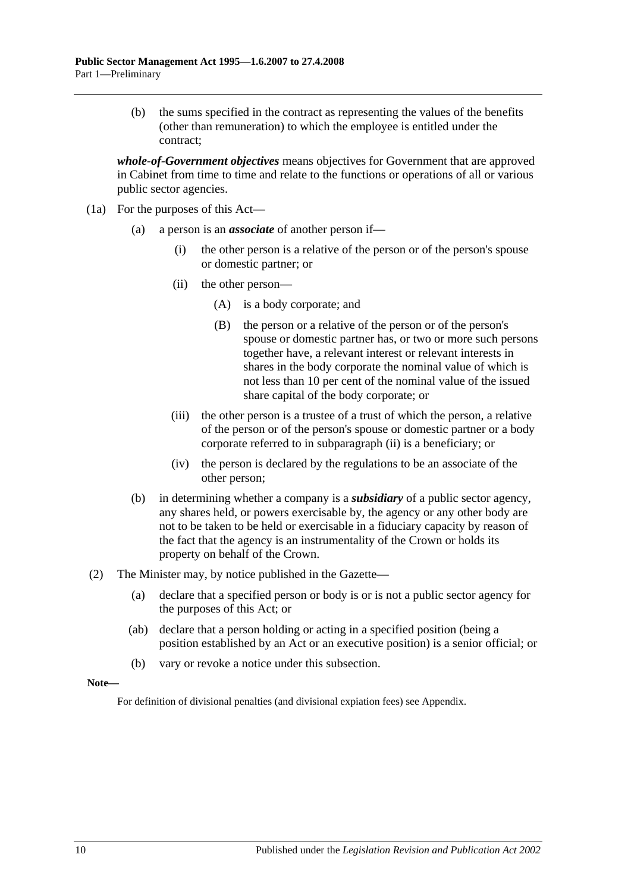(b) the sums specified in the contract as representing the values of the benefits (other than remuneration) to which the employee is entitled under the contract;

*whole-of-Government objectives* means objectives for Government that are approved in Cabinet from time to time and relate to the functions or operations of all or various public sector agencies.

- <span id="page-9-1"></span>(1a) For the purposes of this Act—
	- (a) a person is an *associate* of another person if—
		- (i) the other person is a relative of the person or of the person's spouse or domestic partner; or
		- (ii) the other person—
			- (A) is a body corporate; and
			- (B) the person or a relative of the person or of the person's spouse or domestic partner has, or two or more such persons together have, a relevant interest or relevant interests in shares in the body corporate the nominal value of which is not less than 10 per cent of the nominal value of the issued share capital of the body corporate; or
		- (iii) the other person is a trustee of a trust of which the person, a relative of the person or of the person's spouse or domestic partner or a body corporate referred to in [subparagraph](#page-9-1) (ii) is a beneficiary; or
		- (iv) the person is declared by the regulations to be an associate of the other person;
	- (b) in determining whether a company is a *subsidiary* of a public sector agency, any shares held, or powers exercisable by, the agency or any other body are not to be taken to be held or exercisable in a fiduciary capacity by reason of the fact that the agency is an instrumentality of the Crown or holds its property on behalf of the Crown.
- <span id="page-9-0"></span>(2) The Minister may, by notice published in the Gazette—
	- (a) declare that a specified person or body is or is not a public sector agency for the purposes of this Act; or
	- (ab) declare that a person holding or acting in a specified position (being a position established by an Act or an executive position) is a senior official; or
	- (b) vary or revoke a notice under this subsection.

#### **Note—**

For definition of divisional penalties (and divisional expiation fees) see Appendix.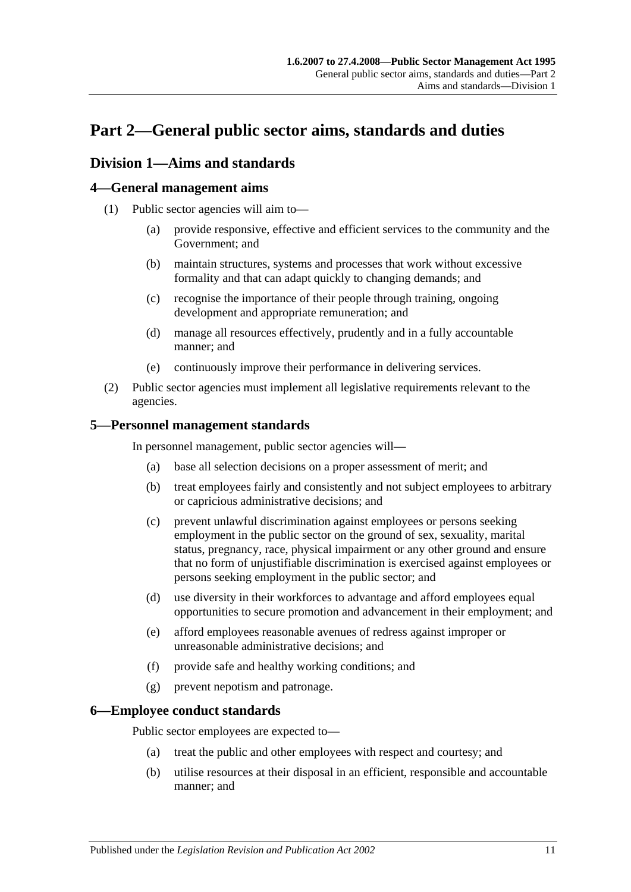# <span id="page-10-0"></span>**Part 2—General public sector aims, standards and duties**

## <span id="page-10-1"></span>**Division 1—Aims and standards**

## <span id="page-10-2"></span>**4—General management aims**

- (1) Public sector agencies will aim to—
	- (a) provide responsive, effective and efficient services to the community and the Government; and
	- (b) maintain structures, systems and processes that work without excessive formality and that can adapt quickly to changing demands; and
	- (c) recognise the importance of their people through training, ongoing development and appropriate remuneration; and
	- (d) manage all resources effectively, prudently and in a fully accountable manner; and
	- (e) continuously improve their performance in delivering services.
- (2) Public sector agencies must implement all legislative requirements relevant to the agencies.

## <span id="page-10-3"></span>**5—Personnel management standards**

In personnel management, public sector agencies will—

- (a) base all selection decisions on a proper assessment of merit; and
- (b) treat employees fairly and consistently and not subject employees to arbitrary or capricious administrative decisions; and
- (c) prevent unlawful discrimination against employees or persons seeking employment in the public sector on the ground of sex, sexuality, marital status, pregnancy, race, physical impairment or any other ground and ensure that no form of unjustifiable discrimination is exercised against employees or persons seeking employment in the public sector; and
- (d) use diversity in their workforces to advantage and afford employees equal opportunities to secure promotion and advancement in their employment; and
- (e) afford employees reasonable avenues of redress against improper or unreasonable administrative decisions; and
- (f) provide safe and healthy working conditions; and
- (g) prevent nepotism and patronage.

## <span id="page-10-4"></span>**6—Employee conduct standards**

Public sector employees are expected to—

- (a) treat the public and other employees with respect and courtesy; and
- (b) utilise resources at their disposal in an efficient, responsible and accountable manner; and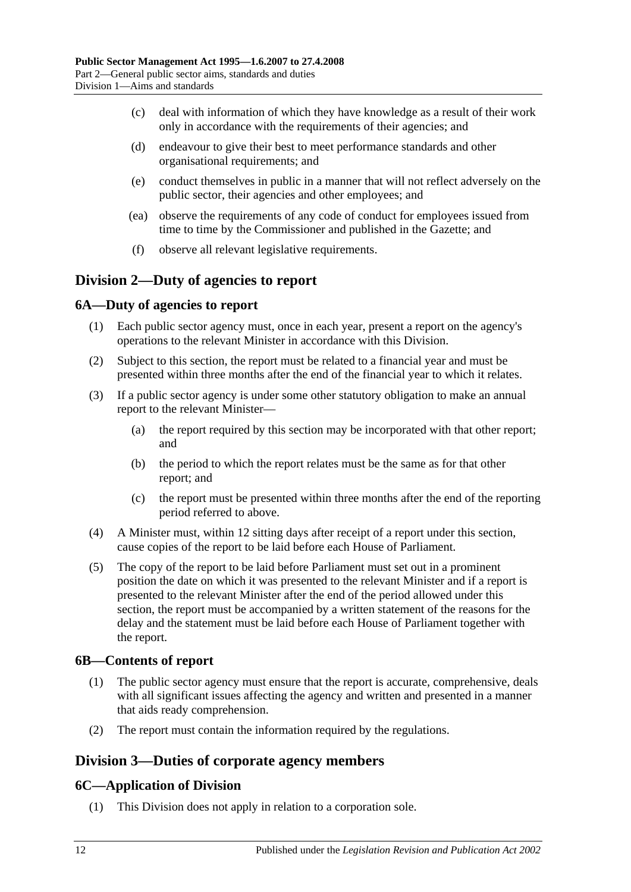- (c) deal with information of which they have knowledge as a result of their work only in accordance with the requirements of their agencies; and
- (d) endeavour to give their best to meet performance standards and other organisational requirements; and
- (e) conduct themselves in public in a manner that will not reflect adversely on the public sector, their agencies and other employees; and
- (ea) observe the requirements of any code of conduct for employees issued from time to time by the Commissioner and published in the Gazette; and
- (f) observe all relevant legislative requirements.

## <span id="page-11-0"></span>**Division 2—Duty of agencies to report**

## <span id="page-11-1"></span>**6A—Duty of agencies to report**

- (1) Each public sector agency must, once in each year, present a report on the agency's operations to the relevant Minister in accordance with this Division.
- (2) Subject to this section, the report must be related to a financial year and must be presented within three months after the end of the financial year to which it relates.
- (3) If a public sector agency is under some other statutory obligation to make an annual report to the relevant Minister—
	- (a) the report required by this section may be incorporated with that other report; and
	- (b) the period to which the report relates must be the same as for that other report; and
	- (c) the report must be presented within three months after the end of the reporting period referred to above.
- (4) A Minister must, within 12 sitting days after receipt of a report under this section, cause copies of the report to be laid before each House of Parliament.
- (5) The copy of the report to be laid before Parliament must set out in a prominent position the date on which it was presented to the relevant Minister and if a report is presented to the relevant Minister after the end of the period allowed under this section, the report must be accompanied by a written statement of the reasons for the delay and the statement must be laid before each House of Parliament together with the report.

## <span id="page-11-2"></span>**6B—Contents of report**

- (1) The public sector agency must ensure that the report is accurate, comprehensive, deals with all significant issues affecting the agency and written and presented in a manner that aids ready comprehension.
- (2) The report must contain the information required by the regulations.

## <span id="page-11-3"></span>**Division 3—Duties of corporate agency members**

## <span id="page-11-4"></span>**6C—Application of Division**

(1) This Division does not apply in relation to a corporation sole.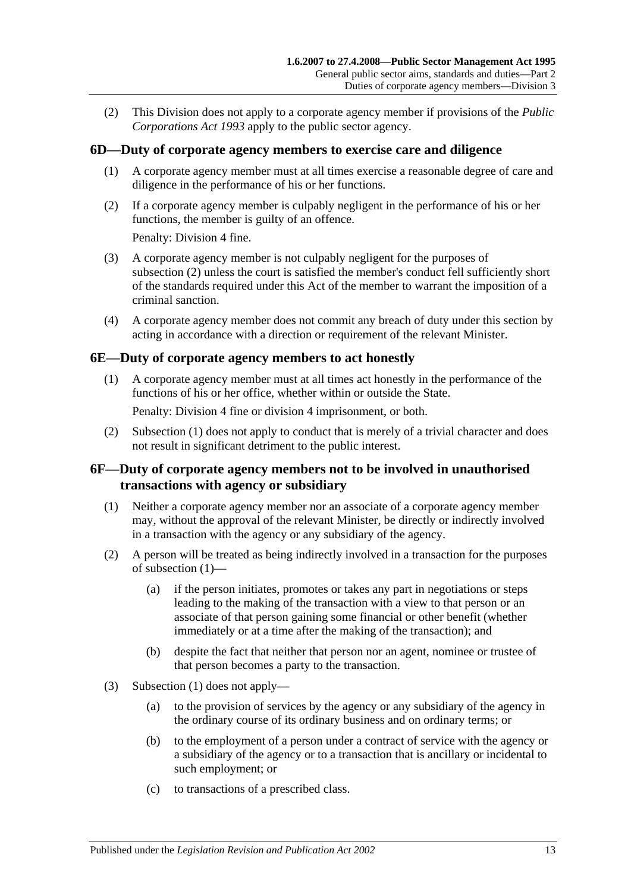(2) This Division does not apply to a corporate agency member if provisions of the *[Public](http://www.legislation.sa.gov.au/index.aspx?action=legref&type=act&legtitle=Public%20Corporations%20Act%201993)  [Corporations Act](http://www.legislation.sa.gov.au/index.aspx?action=legref&type=act&legtitle=Public%20Corporations%20Act%201993) 1993* apply to the public sector agency.

## <span id="page-12-0"></span>**6D—Duty of corporate agency members to exercise care and diligence**

- (1) A corporate agency member must at all times exercise a reasonable degree of care and diligence in the performance of his or her functions.
- <span id="page-12-3"></span>(2) If a corporate agency member is culpably negligent in the performance of his or her functions, the member is guilty of an offence.

Penalty: Division 4 fine.

- (3) A corporate agency member is not culpably negligent for the purposes of [subsection](#page-12-3) (2) unless the court is satisfied the member's conduct fell sufficiently short of the standards required under this Act of the member to warrant the imposition of a criminal sanction.
- (4) A corporate agency member does not commit any breach of duty under this section by acting in accordance with a direction or requirement of the relevant Minister.

### <span id="page-12-4"></span><span id="page-12-1"></span>**6E—Duty of corporate agency members to act honestly**

(1) A corporate agency member must at all times act honestly in the performance of the functions of his or her office, whether within or outside the State.

Penalty: Division 4 fine or division 4 imprisonment, or both.

(2) [Subsection](#page-12-4) (1) does not apply to conduct that is merely of a trivial character and does not result in significant detriment to the public interest.

### <span id="page-12-2"></span>**6F—Duty of corporate agency members not to be involved in unauthorised transactions with agency or subsidiary**

- <span id="page-12-5"></span>(1) Neither a corporate agency member nor an associate of a corporate agency member may, without the approval of the relevant Minister, be directly or indirectly involved in a transaction with the agency or any subsidiary of the agency.
- (2) A person will be treated as being indirectly involved in a transaction for the purposes of [subsection](#page-12-5) (1)—
	- (a) if the person initiates, promotes or takes any part in negotiations or steps leading to the making of the transaction with a view to that person or an associate of that person gaining some financial or other benefit (whether immediately or at a time after the making of the transaction); and
	- (b) despite the fact that neither that person nor an agent, nominee or trustee of that person becomes a party to the transaction.
- (3) [Subsection](#page-12-5) (1) does not apply—
	- (a) to the provision of services by the agency or any subsidiary of the agency in the ordinary course of its ordinary business and on ordinary terms; or
	- (b) to the employment of a person under a contract of service with the agency or a subsidiary of the agency or to a transaction that is ancillary or incidental to such employment; or
	- (c) to transactions of a prescribed class.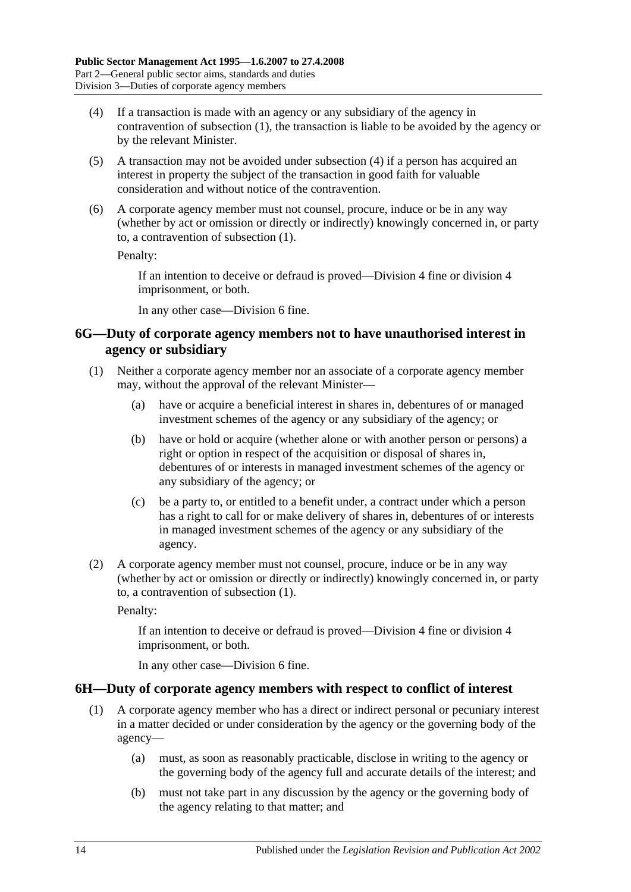- <span id="page-13-2"></span>(4) If a transaction is made with an agency or any subsidiary of the agency in contravention of [subsection](#page-12-5) (1), the transaction is liable to be avoided by the agency or by the relevant Minister.
- (5) A transaction may not be avoided under [subsection](#page-13-2) (4) if a person has acquired an interest in property the subject of the transaction in good faith for valuable consideration and without notice of the contravention.
- (6) A corporate agency member must not counsel, procure, induce or be in any way (whether by act or omission or directly or indirectly) knowingly concerned in, or party to, a contravention of [subsection](#page-12-5) (1).

Penalty:

If an intention to deceive or defraud is proved—Division 4 fine or division 4 imprisonment, or both.

In any other case—Division 6 fine.

## <span id="page-13-0"></span>**6G—Duty of corporate agency members not to have unauthorised interest in agency or subsidiary**

- <span id="page-13-3"></span>(1) Neither a corporate agency member nor an associate of a corporate agency member may, without the approval of the relevant Minister—
	- (a) have or acquire a beneficial interest in shares in, debentures of or managed investment schemes of the agency or any subsidiary of the agency; or
	- (b) have or hold or acquire (whether alone or with another person or persons) a right or option in respect of the acquisition or disposal of shares in, debentures of or interests in managed investment schemes of the agency or any subsidiary of the agency; or
	- (c) be a party to, or entitled to a benefit under, a contract under which a person has a right to call for or make delivery of shares in, debentures of or interests in managed investment schemes of the agency or any subsidiary of the agency.
- (2) A corporate agency member must not counsel, procure, induce or be in any way (whether by act or omission or directly or indirectly) knowingly concerned in, or party to, a contravention of [subsection](#page-13-3) (1).

Penalty:

If an intention to deceive or defraud is proved—Division 4 fine or division 4 imprisonment, or both.

In any other case—Division 6 fine.

## <span id="page-13-4"></span><span id="page-13-1"></span>**6H—Duty of corporate agency members with respect to conflict of interest**

- (1) A corporate agency member who has a direct or indirect personal or pecuniary interest in a matter decided or under consideration by the agency or the governing body of the agency—
	- (a) must, as soon as reasonably practicable, disclose in writing to the agency or the governing body of the agency full and accurate details of the interest; and
	- (b) must not take part in any discussion by the agency or the governing body of the agency relating to that matter; and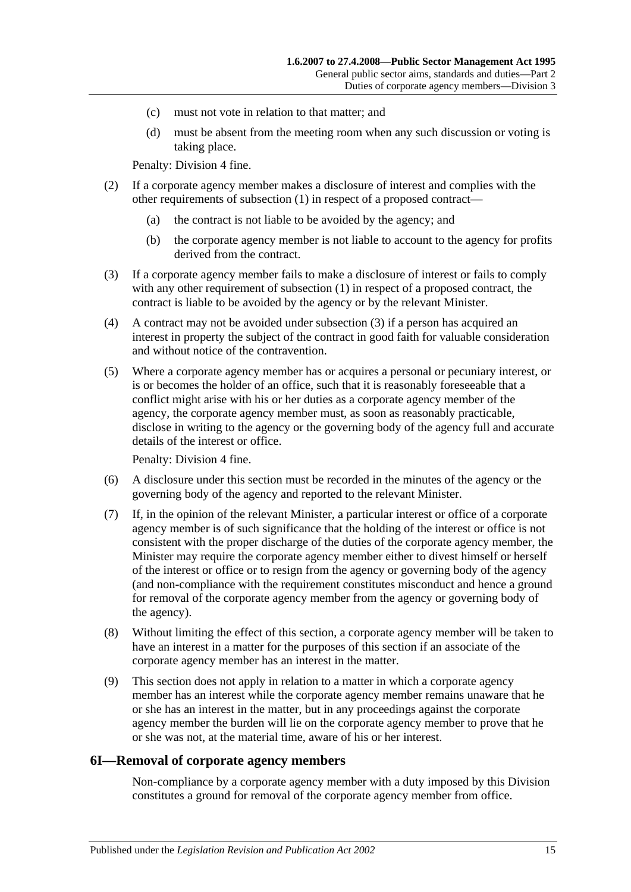- (c) must not vote in relation to that matter; and
- (d) must be absent from the meeting room when any such discussion or voting is taking place.

Penalty: Division 4 fine.

- (2) If a corporate agency member makes a disclosure of interest and complies with the other requirements of [subsection](#page-13-4) (1) in respect of a proposed contract—
	- (a) the contract is not liable to be avoided by the agency; and
	- (b) the corporate agency member is not liable to account to the agency for profits derived from the contract.
- <span id="page-14-1"></span>(3) If a corporate agency member fails to make a disclosure of interest or fails to comply with any other requirement of [subsection](#page-13-4) (1) in respect of a proposed contract, the contract is liable to be avoided by the agency or by the relevant Minister.
- (4) A contract may not be avoided under [subsection](#page-14-1) (3) if a person has acquired an interest in property the subject of the contract in good faith for valuable consideration and without notice of the contravention.
- (5) Where a corporate agency member has or acquires a personal or pecuniary interest, or is or becomes the holder of an office, such that it is reasonably foreseeable that a conflict might arise with his or her duties as a corporate agency member of the agency, the corporate agency member must, as soon as reasonably practicable, disclose in writing to the agency or the governing body of the agency full and accurate details of the interest or office.

Penalty: Division 4 fine.

- (6) A disclosure under this section must be recorded in the minutes of the agency or the governing body of the agency and reported to the relevant Minister.
- (7) If, in the opinion of the relevant Minister, a particular interest or office of a corporate agency member is of such significance that the holding of the interest or office is not consistent with the proper discharge of the duties of the corporate agency member, the Minister may require the corporate agency member either to divest himself or herself of the interest or office or to resign from the agency or governing body of the agency (and non-compliance with the requirement constitutes misconduct and hence a ground for removal of the corporate agency member from the agency or governing body of the agency).
- (8) Without limiting the effect of this section, a corporate agency member will be taken to have an interest in a matter for the purposes of this section if an associate of the corporate agency member has an interest in the matter.
- (9) This section does not apply in relation to a matter in which a corporate agency member has an interest while the corporate agency member remains unaware that he or she has an interest in the matter, but in any proceedings against the corporate agency member the burden will lie on the corporate agency member to prove that he or she was not, at the material time, aware of his or her interest.

#### <span id="page-14-0"></span>**6I—Removal of corporate agency members**

Non-compliance by a corporate agency member with a duty imposed by this Division constitutes a ground for removal of the corporate agency member from office.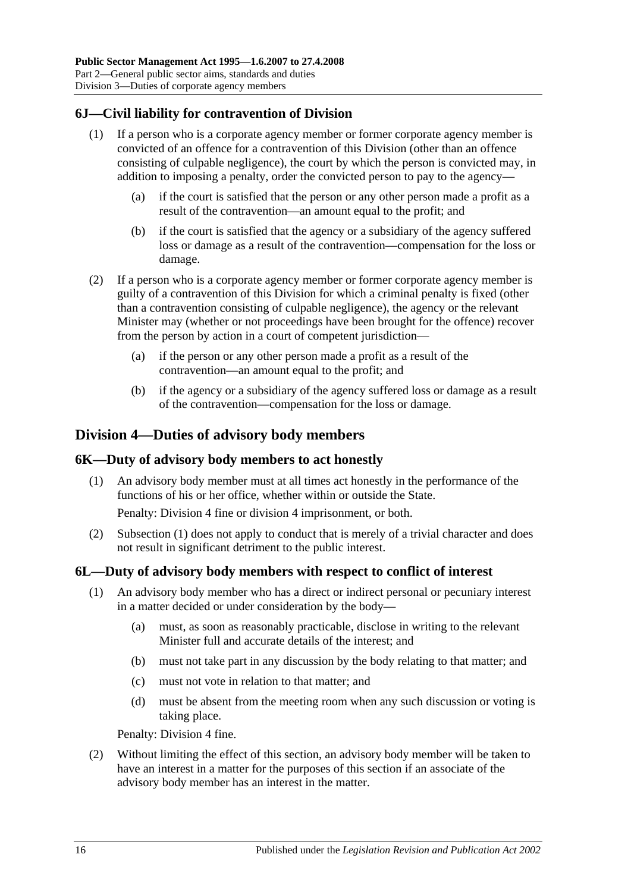## <span id="page-15-0"></span>**6J—Civil liability for contravention of Division**

- (1) If a person who is a corporate agency member or former corporate agency member is convicted of an offence for a contravention of this Division (other than an offence consisting of culpable negligence), the court by which the person is convicted may, in addition to imposing a penalty, order the convicted person to pay to the agency—
	- (a) if the court is satisfied that the person or any other person made a profit as a result of the contravention—an amount equal to the profit; and
	- (b) if the court is satisfied that the agency or a subsidiary of the agency suffered loss or damage as a result of the contravention—compensation for the loss or damage.
- (2) If a person who is a corporate agency member or former corporate agency member is guilty of a contravention of this Division for which a criminal penalty is fixed (other than a contravention consisting of culpable negligence), the agency or the relevant Minister may (whether or not proceedings have been brought for the offence) recover from the person by action in a court of competent jurisdiction—
	- (a) if the person or any other person made a profit as a result of the contravention—an amount equal to the profit; and
	- (b) if the agency or a subsidiary of the agency suffered loss or damage as a result of the contravention—compensation for the loss or damage.

## <span id="page-15-1"></span>**Division 4—Duties of advisory body members**

#### <span id="page-15-4"></span><span id="page-15-2"></span>**6K—Duty of advisory body members to act honestly**

(1) An advisory body member must at all times act honestly in the performance of the functions of his or her office, whether within or outside the State.

Penalty: Division 4 fine or division 4 imprisonment, or both.

(2) [Subsection](#page-15-4) (1) does not apply to conduct that is merely of a trivial character and does not result in significant detriment to the public interest.

## <span id="page-15-3"></span>**6L—Duty of advisory body members with respect to conflict of interest**

- (1) An advisory body member who has a direct or indirect personal or pecuniary interest in a matter decided or under consideration by the body—
	- (a) must, as soon as reasonably practicable, disclose in writing to the relevant Minister full and accurate details of the interest; and
	- (b) must not take part in any discussion by the body relating to that matter; and
	- (c) must not vote in relation to that matter; and
	- (d) must be absent from the meeting room when any such discussion or voting is taking place.

Penalty: Division 4 fine.

(2) Without limiting the effect of this section, an advisory body member will be taken to have an interest in a matter for the purposes of this section if an associate of the advisory body member has an interest in the matter.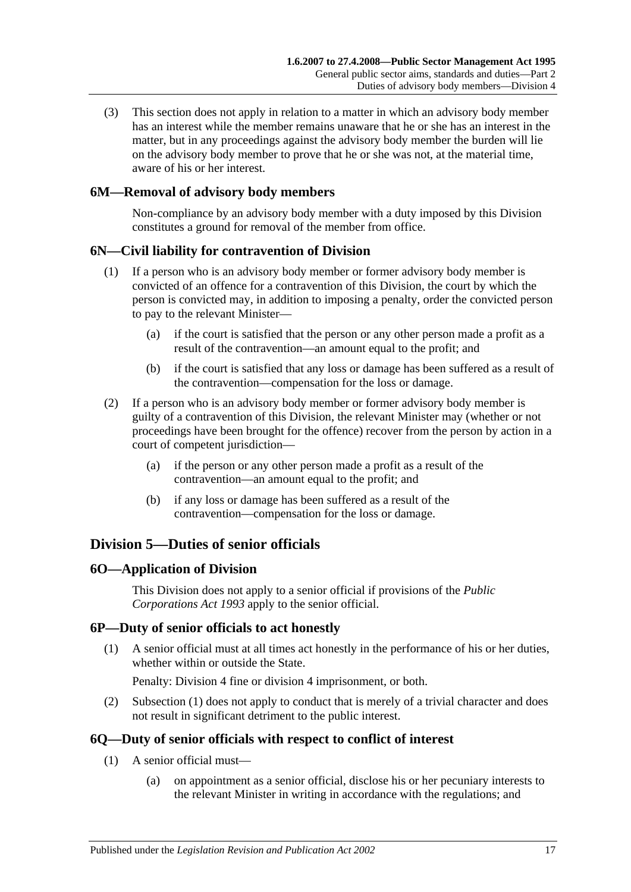(3) This section does not apply in relation to a matter in which an advisory body member has an interest while the member remains unaware that he or she has an interest in the matter, but in any proceedings against the advisory body member the burden will lie on the advisory body member to prove that he or she was not, at the material time, aware of his or her interest.

## <span id="page-16-0"></span>**6M—Removal of advisory body members**

Non-compliance by an advisory body member with a duty imposed by this Division constitutes a ground for removal of the member from office.

## <span id="page-16-1"></span>**6N—Civil liability for contravention of Division**

- (1) If a person who is an advisory body member or former advisory body member is convicted of an offence for a contravention of this Division, the court by which the person is convicted may, in addition to imposing a penalty, order the convicted person to pay to the relevant Minister—
	- (a) if the court is satisfied that the person or any other person made a profit as a result of the contravention—an amount equal to the profit; and
	- (b) if the court is satisfied that any loss or damage has been suffered as a result of the contravention—compensation for the loss or damage.
- (2) If a person who is an advisory body member or former advisory body member is guilty of a contravention of this Division, the relevant Minister may (whether or not proceedings have been brought for the offence) recover from the person by action in a court of competent jurisdiction—
	- (a) if the person or any other person made a profit as a result of the contravention—an amount equal to the profit; and
	- (b) if any loss or damage has been suffered as a result of the contravention—compensation for the loss or damage.

# <span id="page-16-2"></span>**Division 5—Duties of senior officials**

## <span id="page-16-3"></span>**6O—Application of Division**

This Division does not apply to a senior official if provisions of the *[Public](http://www.legislation.sa.gov.au/index.aspx?action=legref&type=act&legtitle=Public%20Corporations%20Act%201993)  [Corporations Act](http://www.legislation.sa.gov.au/index.aspx?action=legref&type=act&legtitle=Public%20Corporations%20Act%201993) 1993* apply to the senior official.

## <span id="page-16-6"></span><span id="page-16-4"></span>**6P—Duty of senior officials to act honestly**

(1) A senior official must at all times act honestly in the performance of his or her duties, whether within or outside the State.

Penalty: Division 4 fine or division 4 imprisonment, or both.

(2) [Subsection](#page-16-6) (1) does not apply to conduct that is merely of a trivial character and does not result in significant detriment to the public interest.

## <span id="page-16-8"></span><span id="page-16-5"></span>**6Q—Duty of senior officials with respect to conflict of interest**

- <span id="page-16-7"></span>(1) A senior official must—
	- (a) on appointment as a senior official, disclose his or her pecuniary interests to the relevant Minister in writing in accordance with the regulations; and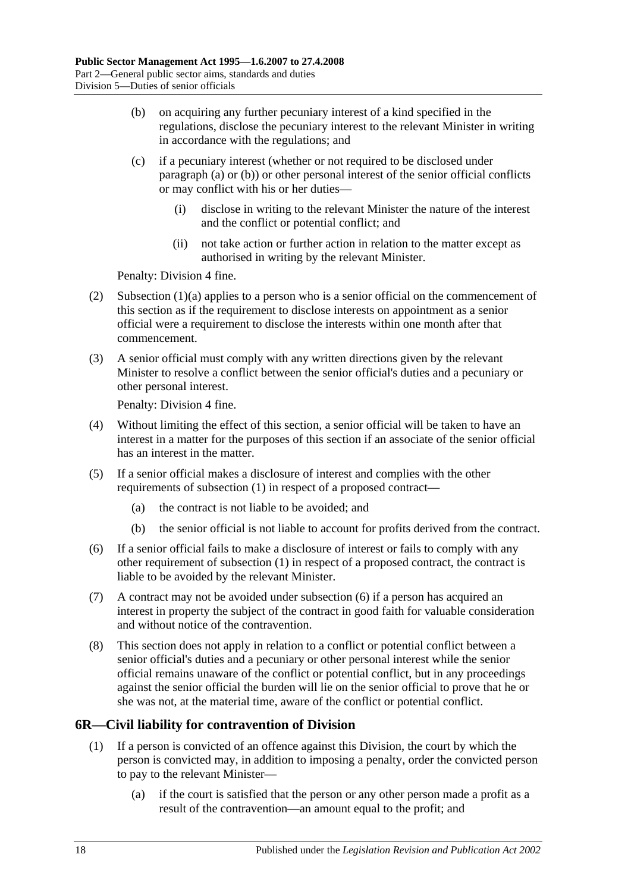- <span id="page-17-1"></span>(b) on acquiring any further pecuniary interest of a kind specified in the regulations, disclose the pecuniary interest to the relevant Minister in writing in accordance with the regulations; and
- (c) if a pecuniary interest (whether or not required to be disclosed under [paragraph](#page-16-7) (a) or [\(b\)\)](#page-17-1) or other personal interest of the senior official conflicts or may conflict with his or her duties—
	- (i) disclose in writing to the relevant Minister the nature of the interest and the conflict or potential conflict; and
	- (ii) not take action or further action in relation to the matter except as authorised in writing by the relevant Minister.

Penalty: Division 4 fine.

- (2) [Subsection](#page-16-7)  $(1)(a)$  applies to a person who is a senior official on the commencement of this section as if the requirement to disclose interests on appointment as a senior official were a requirement to disclose the interests within one month after that commencement.
- (3) A senior official must comply with any written directions given by the relevant Minister to resolve a conflict between the senior official's duties and a pecuniary or other personal interest.

Penalty: Division 4 fine.

- (4) Without limiting the effect of this section, a senior official will be taken to have an interest in a matter for the purposes of this section if an associate of the senior official has an interest in the matter.
- (5) If a senior official makes a disclosure of interest and complies with the other requirements of [subsection](#page-16-8) (1) in respect of a proposed contract—
	- (a) the contract is not liable to be avoided; and
	- (b) the senior official is not liable to account for profits derived from the contract.
- <span id="page-17-2"></span>(6) If a senior official fails to make a disclosure of interest or fails to comply with any other requirement of [subsection](#page-16-8) (1) in respect of a proposed contract, the contract is liable to be avoided by the relevant Minister.
- (7) A contract may not be avoided under [subsection](#page-17-2) (6) if a person has acquired an interest in property the subject of the contract in good faith for valuable consideration and without notice of the contravention.
- (8) This section does not apply in relation to a conflict or potential conflict between a senior official's duties and a pecuniary or other personal interest while the senior official remains unaware of the conflict or potential conflict, but in any proceedings against the senior official the burden will lie on the senior official to prove that he or she was not, at the material time, aware of the conflict or potential conflict.

## <span id="page-17-0"></span>**6R—Civil liability for contravention of Division**

- (1) If a person is convicted of an offence against this Division, the court by which the person is convicted may, in addition to imposing a penalty, order the convicted person to pay to the relevant Minister—
	- (a) if the court is satisfied that the person or any other person made a profit as a result of the contravention—an amount equal to the profit; and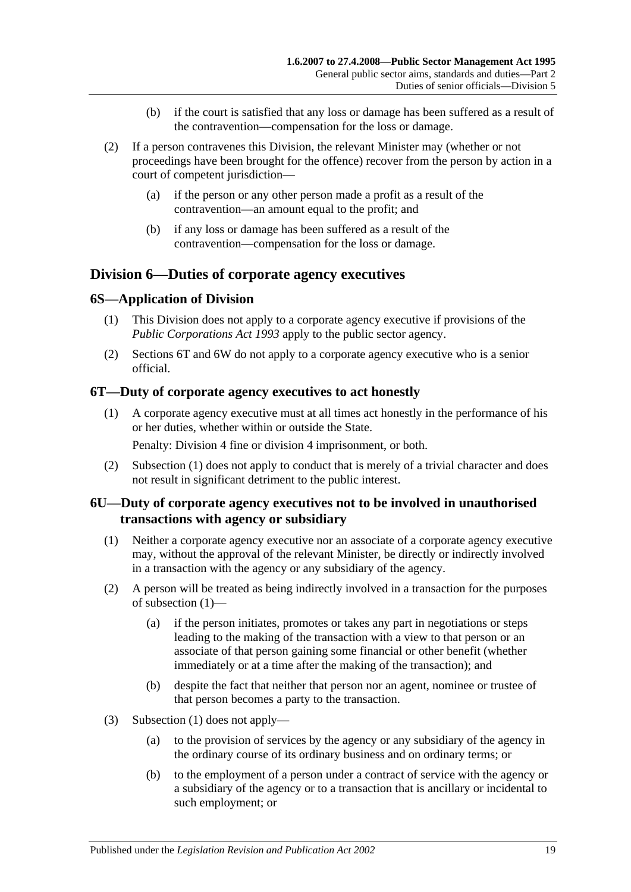- (b) if the court is satisfied that any loss or damage has been suffered as a result of the contravention—compensation for the loss or damage.
- (2) If a person contravenes this Division, the relevant Minister may (whether or not proceedings have been brought for the offence) recover from the person by action in a court of competent jurisdiction—
	- (a) if the person or any other person made a profit as a result of the contravention—an amount equal to the profit; and
	- (b) if any loss or damage has been suffered as a result of the contravention—compensation for the loss or damage.

## <span id="page-18-0"></span>**Division 6—Duties of corporate agency executives**

## <span id="page-18-1"></span>**6S—Application of Division**

- (1) This Division does not apply to a corporate agency executive if provisions of the *[Public Corporations Act](http://www.legislation.sa.gov.au/index.aspx?action=legref&type=act&legtitle=Public%20Corporations%20Act%201993) 1993* apply to the public sector agency.
- (2) [Sections](#page-18-2) 6T and [6W](#page-19-1) do not apply to a corporate agency executive who is a senior official.

## <span id="page-18-4"></span><span id="page-18-2"></span>**6T—Duty of corporate agency executives to act honestly**

(1) A corporate agency executive must at all times act honestly in the performance of his or her duties, whether within or outside the State.

Penalty: Division 4 fine or division 4 imprisonment, or both.

(2) [Subsection](#page-18-4) (1) does not apply to conduct that is merely of a trivial character and does not result in significant detriment to the public interest.

## <span id="page-18-3"></span>**6U—Duty of corporate agency executives not to be involved in unauthorised transactions with agency or subsidiary**

- <span id="page-18-5"></span>(1) Neither a corporate agency executive nor an associate of a corporate agency executive may, without the approval of the relevant Minister, be directly or indirectly involved in a transaction with the agency or any subsidiary of the agency.
- (2) A person will be treated as being indirectly involved in a transaction for the purposes of [subsection](#page-18-5) (1)—
	- (a) if the person initiates, promotes or takes any part in negotiations or steps leading to the making of the transaction with a view to that person or an associate of that person gaining some financial or other benefit (whether immediately or at a time after the making of the transaction); and
	- (b) despite the fact that neither that person nor an agent, nominee or trustee of that person becomes a party to the transaction.
- (3) [Subsection](#page-18-5) (1) does not apply—
	- (a) to the provision of services by the agency or any subsidiary of the agency in the ordinary course of its ordinary business and on ordinary terms; or
	- (b) to the employment of a person under a contract of service with the agency or a subsidiary of the agency or to a transaction that is ancillary or incidental to such employment; or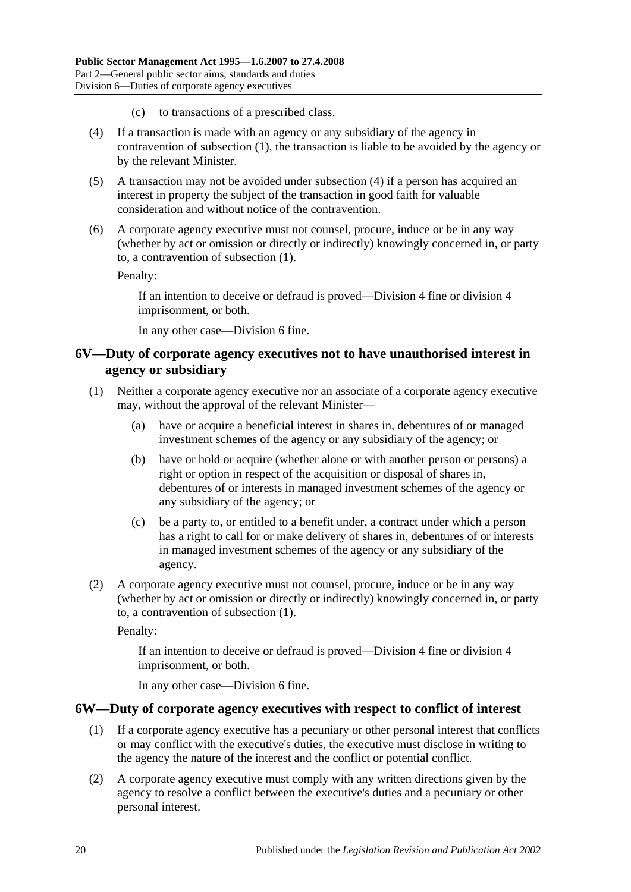- (c) to transactions of a prescribed class.
- <span id="page-19-2"></span>(4) If a transaction is made with an agency or any subsidiary of the agency in contravention of [subsection](#page-18-5) (1), the transaction is liable to be avoided by the agency or by the relevant Minister.
- (5) A transaction may not be avoided under [subsection](#page-19-2) (4) if a person has acquired an interest in property the subject of the transaction in good faith for valuable consideration and without notice of the contravention.
- (6) A corporate agency executive must not counsel, procure, induce or be in any way (whether by act or omission or directly or indirectly) knowingly concerned in, or party to, a contravention of [subsection](#page-18-5) (1).

Penalty:

If an intention to deceive or defraud is proved—Division 4 fine or division 4 imprisonment, or both.

In any other case—Division 6 fine.

### <span id="page-19-0"></span>**6V—Duty of corporate agency executives not to have unauthorised interest in agency or subsidiary**

- <span id="page-19-3"></span>(1) Neither a corporate agency executive nor an associate of a corporate agency executive may, without the approval of the relevant Minister—
	- (a) have or acquire a beneficial interest in shares in, debentures of or managed investment schemes of the agency or any subsidiary of the agency; or
	- (b) have or hold or acquire (whether alone or with another person or persons) a right or option in respect of the acquisition or disposal of shares in, debentures of or interests in managed investment schemes of the agency or any subsidiary of the agency; or
	- (c) be a party to, or entitled to a benefit under, a contract under which a person has a right to call for or make delivery of shares in, debentures of or interests in managed investment schemes of the agency or any subsidiary of the agency.
- (2) A corporate agency executive must not counsel, procure, induce or be in any way (whether by act or omission or directly or indirectly) knowingly concerned in, or party to, a contravention of [subsection](#page-19-3) (1).

Penalty:

If an intention to deceive or defraud is proved—Division 4 fine or division 4 imprisonment, or both.

In any other case—Division 6 fine.

#### <span id="page-19-4"></span><span id="page-19-1"></span>**6W—Duty of corporate agency executives with respect to conflict of interest**

- (1) If a corporate agency executive has a pecuniary or other personal interest that conflicts or may conflict with the executive's duties, the executive must disclose in writing to the agency the nature of the interest and the conflict or potential conflict.
- (2) A corporate agency executive must comply with any written directions given by the agency to resolve a conflict between the executive's duties and a pecuniary or other personal interest.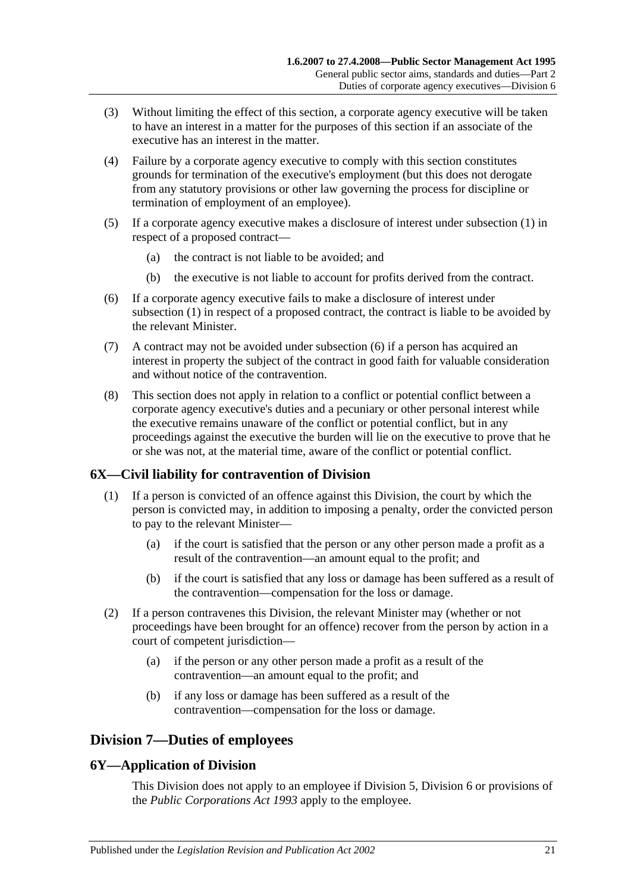- (3) Without limiting the effect of this section, a corporate agency executive will be taken to have an interest in a matter for the purposes of this section if an associate of the executive has an interest in the matter.
- (4) Failure by a corporate agency executive to comply with this section constitutes grounds for termination of the executive's employment (but this does not derogate from any statutory provisions or other law governing the process for discipline or termination of employment of an employee).
- (5) If a corporate agency executive makes a disclosure of interest under [subsection](#page-19-4) (1) in respect of a proposed contract—
	- (a) the contract is not liable to be avoided; and
	- (b) the executive is not liable to account for profits derived from the contract.
- <span id="page-20-3"></span>(6) If a corporate agency executive fails to make a disclosure of interest under [subsection](#page-19-4) (1) in respect of a proposed contract, the contract is liable to be avoided by the relevant Minister.
- (7) A contract may not be avoided under [subsection](#page-20-3) (6) if a person has acquired an interest in property the subject of the contract in good faith for valuable consideration and without notice of the contravention.
- (8) This section does not apply in relation to a conflict or potential conflict between a corporate agency executive's duties and a pecuniary or other personal interest while the executive remains unaware of the conflict or potential conflict, but in any proceedings against the executive the burden will lie on the executive to prove that he or she was not, at the material time, aware of the conflict or potential conflict.

## <span id="page-20-0"></span>**6X—Civil liability for contravention of Division**

- (1) If a person is convicted of an offence against this Division, the court by which the person is convicted may, in addition to imposing a penalty, order the convicted person to pay to the relevant Minister—
	- (a) if the court is satisfied that the person or any other person made a profit as a result of the contravention—an amount equal to the profit; and
	- (b) if the court is satisfied that any loss or damage has been suffered as a result of the contravention—compensation for the loss or damage.
- (2) If a person contravenes this Division, the relevant Minister may (whether or not proceedings have been brought for an offence) recover from the person by action in a court of competent jurisdiction—
	- (a) if the person or any other person made a profit as a result of the contravention—an amount equal to the profit; and
	- (b) if any loss or damage has been suffered as a result of the contravention—compensation for the loss or damage.

# <span id="page-20-1"></span>**Division 7—Duties of employees**

## <span id="page-20-2"></span>**6Y—Application of Division**

This Division does not apply to an employee if [Division 5,](#page-16-2) [Division 6](#page-18-0) or provisions of the *[Public Corporations Act](http://www.legislation.sa.gov.au/index.aspx?action=legref&type=act&legtitle=Public%20Corporations%20Act%201993) 1993* apply to the employee.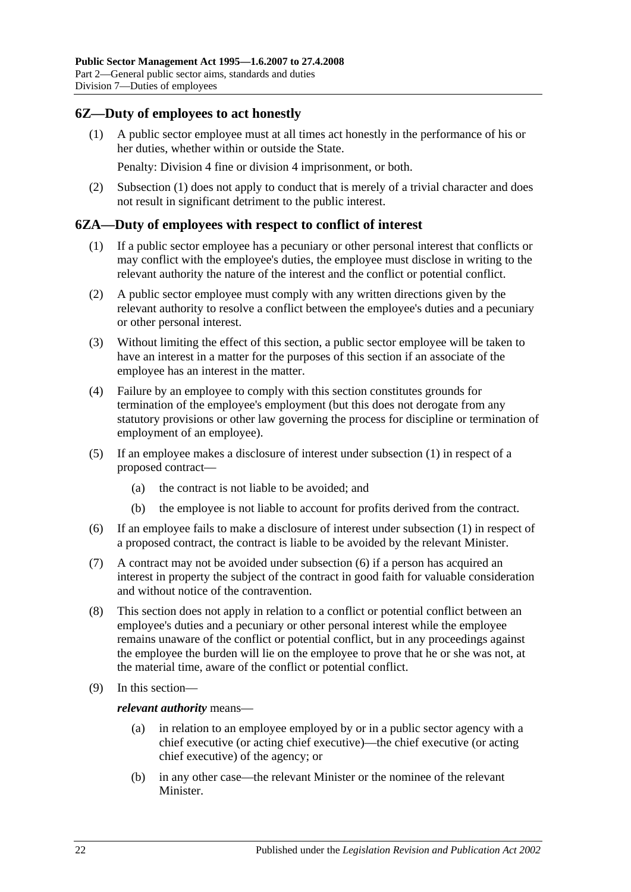## <span id="page-21-2"></span><span id="page-21-0"></span>**6Z—Duty of employees to act honestly**

(1) A public sector employee must at all times act honestly in the performance of his or her duties, whether within or outside the State.

Penalty: Division 4 fine or division 4 imprisonment, or both.

(2) [Subsection](#page-21-2) (1) does not apply to conduct that is merely of a trivial character and does not result in significant detriment to the public interest.

#### <span id="page-21-3"></span><span id="page-21-1"></span>**6ZA—Duty of employees with respect to conflict of interest**

- (1) If a public sector employee has a pecuniary or other personal interest that conflicts or may conflict with the employee's duties, the employee must disclose in writing to the relevant authority the nature of the interest and the conflict or potential conflict.
- (2) A public sector employee must comply with any written directions given by the relevant authority to resolve a conflict between the employee's duties and a pecuniary or other personal interest.
- (3) Without limiting the effect of this section, a public sector employee will be taken to have an interest in a matter for the purposes of this section if an associate of the employee has an interest in the matter.
- (4) Failure by an employee to comply with this section constitutes grounds for termination of the employee's employment (but this does not derogate from any statutory provisions or other law governing the process for discipline or termination of employment of an employee).
- (5) If an employee makes a disclosure of interest under [subsection](#page-21-3) (1) in respect of a proposed contract—
	- (a) the contract is not liable to be avoided; and
	- (b) the employee is not liable to account for profits derived from the contract.
- <span id="page-21-4"></span>(6) If an employee fails to make a disclosure of interest under [subsection](#page-21-3) (1) in respect of a proposed contract, the contract is liable to be avoided by the relevant Minister.
- (7) A contract may not be avoided under [subsection](#page-21-4) (6) if a person has acquired an interest in property the subject of the contract in good faith for valuable consideration and without notice of the contravention.
- (8) This section does not apply in relation to a conflict or potential conflict between an employee's duties and a pecuniary or other personal interest while the employee remains unaware of the conflict or potential conflict, but in any proceedings against the employee the burden will lie on the employee to prove that he or she was not, at the material time, aware of the conflict or potential conflict.
- (9) In this section—

*relevant authority* means—

- (a) in relation to an employee employed by or in a public sector agency with a chief executive (or acting chief executive)—the chief executive (or acting chief executive) of the agency; or
- (b) in any other case—the relevant Minister or the nominee of the relevant Minister.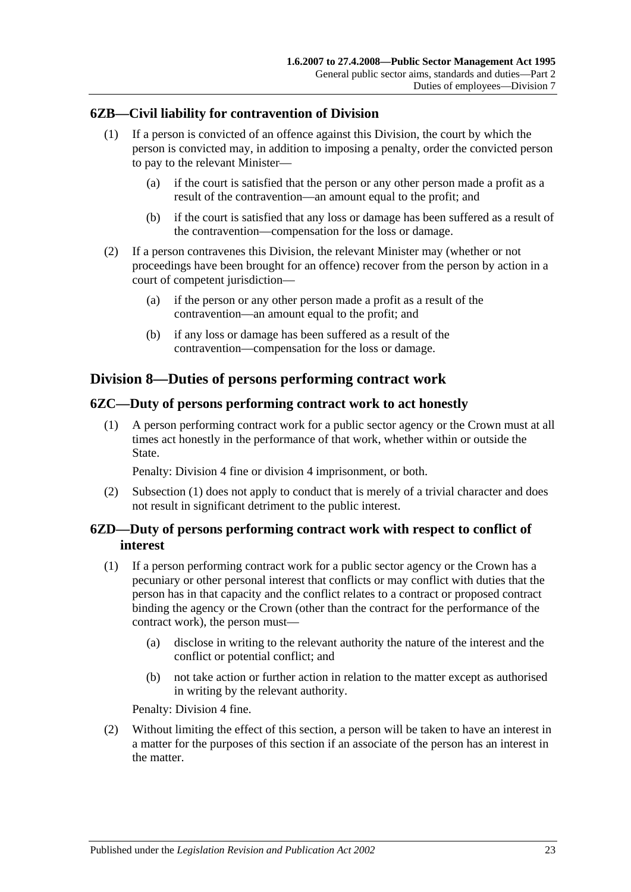## <span id="page-22-0"></span>**6ZB—Civil liability for contravention of Division**

- (1) If a person is convicted of an offence against this Division, the court by which the person is convicted may, in addition to imposing a penalty, order the convicted person to pay to the relevant Minister—
	- (a) if the court is satisfied that the person or any other person made a profit as a result of the contravention—an amount equal to the profit; and
	- (b) if the court is satisfied that any loss or damage has been suffered as a result of the contravention—compensation for the loss or damage.
- (2) If a person contravenes this Division, the relevant Minister may (whether or not proceedings have been brought for an offence) recover from the person by action in a court of competent jurisdiction—
	- (a) if the person or any other person made a profit as a result of the contravention—an amount equal to the profit; and
	- (b) if any loss or damage has been suffered as a result of the contravention—compensation for the loss or damage.

## <span id="page-22-1"></span>**Division 8—Duties of persons performing contract work**

## <span id="page-22-4"></span><span id="page-22-2"></span>**6ZC—Duty of persons performing contract work to act honestly**

(1) A person performing contract work for a public sector agency or the Crown must at all times act honestly in the performance of that work, whether within or outside the State.

Penalty: Division 4 fine or division 4 imprisonment, or both.

(2) [Subsection](#page-22-4) (1) does not apply to conduct that is merely of a trivial character and does not result in significant detriment to the public interest.

## <span id="page-22-3"></span>**6ZD—Duty of persons performing contract work with respect to conflict of interest**

- <span id="page-22-5"></span>(1) If a person performing contract work for a public sector agency or the Crown has a pecuniary or other personal interest that conflicts or may conflict with duties that the person has in that capacity and the conflict relates to a contract or proposed contract binding the agency or the Crown (other than the contract for the performance of the contract work), the person must—
	- (a) disclose in writing to the relevant authority the nature of the interest and the conflict or potential conflict; and
	- (b) not take action or further action in relation to the matter except as authorised in writing by the relevant authority.

Penalty: Division 4 fine.

(2) Without limiting the effect of this section, a person will be taken to have an interest in a matter for the purposes of this section if an associate of the person has an interest in the matter.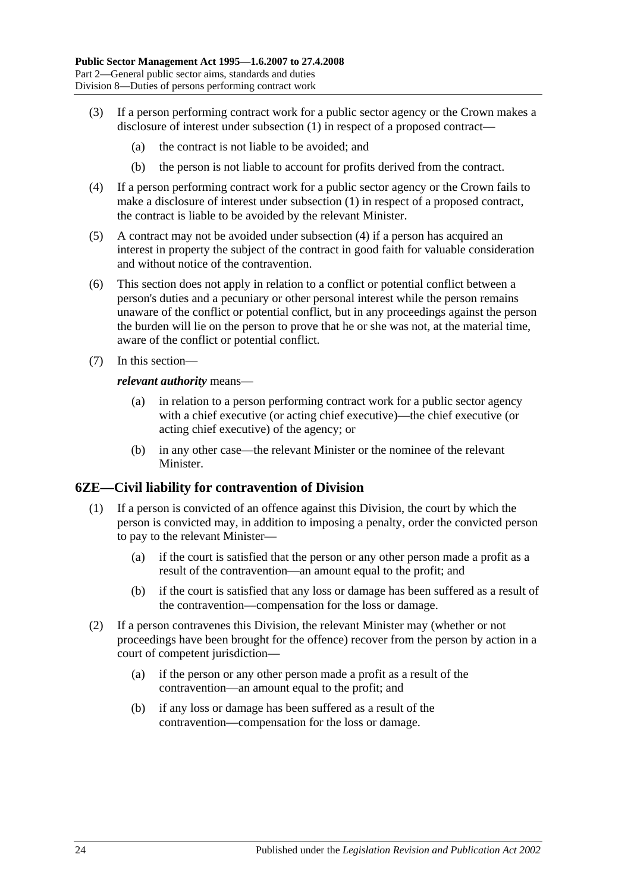- (3) If a person performing contract work for a public sector agency or the Crown makes a disclosure of interest under [subsection](#page-22-5) (1) in respect of a proposed contract—
	- (a) the contract is not liable to be avoided; and
	- (b) the person is not liable to account for profits derived from the contract.
- <span id="page-23-1"></span>(4) If a person performing contract work for a public sector agency or the Crown fails to make a disclosure of interest under [subsection](#page-22-5) (1) in respect of a proposed contract, the contract is liable to be avoided by the relevant Minister.
- (5) A contract may not be avoided under [subsection](#page-23-1) (4) if a person has acquired an interest in property the subject of the contract in good faith for valuable consideration and without notice of the contravention.
- (6) This section does not apply in relation to a conflict or potential conflict between a person's duties and a pecuniary or other personal interest while the person remains unaware of the conflict or potential conflict, but in any proceedings against the person the burden will lie on the person to prove that he or she was not, at the material time, aware of the conflict or potential conflict.
- (7) In this section—

#### *relevant authority* means—

- (a) in relation to a person performing contract work for a public sector agency with a chief executive (or acting chief executive)—the chief executive (or acting chief executive) of the agency; or
- (b) in any other case—the relevant Minister or the nominee of the relevant Minister.

#### <span id="page-23-0"></span>**6ZE—Civil liability for contravention of Division**

- (1) If a person is convicted of an offence against this Division, the court by which the person is convicted may, in addition to imposing a penalty, order the convicted person to pay to the relevant Minister—
	- (a) if the court is satisfied that the person or any other person made a profit as a result of the contravention—an amount equal to the profit; and
	- (b) if the court is satisfied that any loss or damage has been suffered as a result of the contravention—compensation for the loss or damage.
- (2) If a person contravenes this Division, the relevant Minister may (whether or not proceedings have been brought for the offence) recover from the person by action in a court of competent jurisdiction—
	- (a) if the person or any other person made a profit as a result of the contravention—an amount equal to the profit; and
	- (b) if any loss or damage has been suffered as a result of the contravention—compensation for the loss or damage.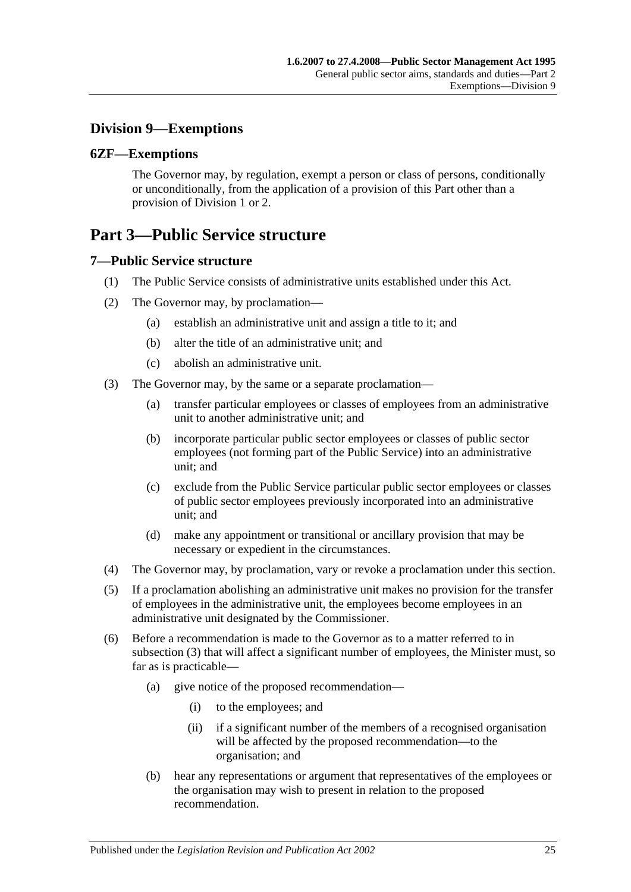## <span id="page-24-0"></span>**Division 9—Exemptions**

## <span id="page-24-1"></span>**6ZF—Exemptions**

The Governor may, by regulation, exempt a person or class of persons, conditionally or unconditionally, from the application of a provision of this Part other than a provision of [Division 1](#page-10-1) or [2.](#page-11-0)

# <span id="page-24-2"></span>**Part 3—Public Service structure**

## <span id="page-24-3"></span>**7—Public Service structure**

- (1) The Public Service consists of administrative units established under this Act.
- (2) The Governor may, by proclamation—
	- (a) establish an administrative unit and assign a title to it; and
	- (b) alter the title of an administrative unit; and
	- (c) abolish an administrative unit.
- <span id="page-24-4"></span>(3) The Governor may, by the same or a separate proclamation—
	- (a) transfer particular employees or classes of employees from an administrative unit to another administrative unit; and
	- (b) incorporate particular public sector employees or classes of public sector employees (not forming part of the Public Service) into an administrative unit; and
	- (c) exclude from the Public Service particular public sector employees or classes of public sector employees previously incorporated into an administrative unit; and
	- (d) make any appointment or transitional or ancillary provision that may be necessary or expedient in the circumstances.
- (4) The Governor may, by proclamation, vary or revoke a proclamation under this section.
- (5) If a proclamation abolishing an administrative unit makes no provision for the transfer of employees in the administrative unit, the employees become employees in an administrative unit designated by the Commissioner.
- (6) Before a recommendation is made to the Governor as to a matter referred to in [subsection](#page-24-4) (3) that will affect a significant number of employees, the Minister must, so far as is practicable—
	- (a) give notice of the proposed recommendation—
		- (i) to the employees; and
		- (ii) if a significant number of the members of a recognised organisation will be affected by the proposed recommendation—to the organisation; and
	- (b) hear any representations or argument that representatives of the employees or the organisation may wish to present in relation to the proposed recommendation.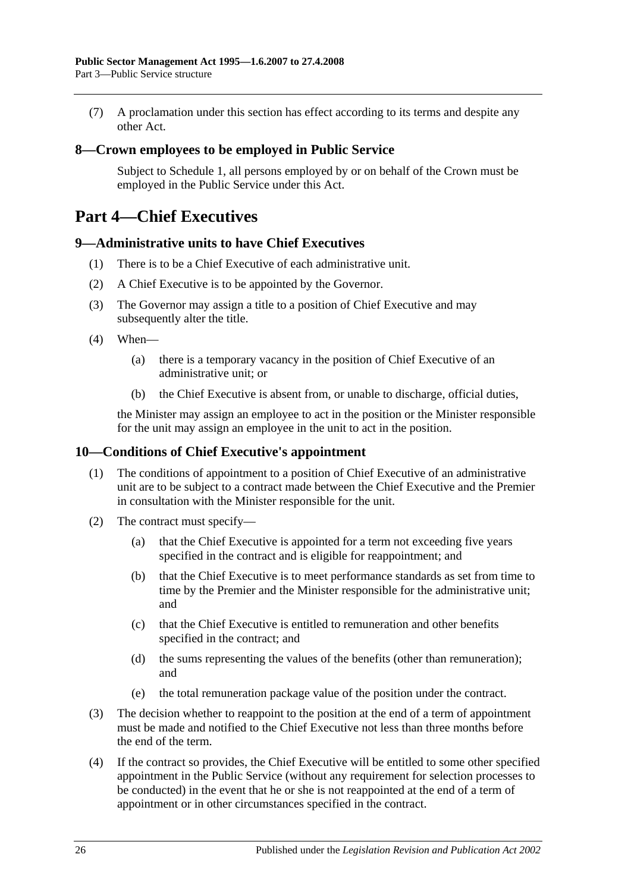(7) A proclamation under this section has effect according to its terms and despite any other Act.

## <span id="page-25-0"></span>**8—Crown employees to be employed in Public Service**

Subject to [Schedule 1,](#page-58-0) all persons employed by or on behalf of the Crown must be employed in the Public Service under this Act.

# <span id="page-25-1"></span>**Part 4—Chief Executives**

### <span id="page-25-2"></span>**9—Administrative units to have Chief Executives**

- (1) There is to be a Chief Executive of each administrative unit.
- (2) A Chief Executive is to be appointed by the Governor.
- (3) The Governor may assign a title to a position of Chief Executive and may subsequently alter the title.
- (4) When—
	- (a) there is a temporary vacancy in the position of Chief Executive of an administrative unit; or
	- (b) the Chief Executive is absent from, or unable to discharge, official duties,

the Minister may assign an employee to act in the position or the Minister responsible for the unit may assign an employee in the unit to act in the position.

## <span id="page-25-3"></span>**10—Conditions of Chief Executive's appointment**

- (1) The conditions of appointment to a position of Chief Executive of an administrative unit are to be subject to a contract made between the Chief Executive and the Premier in consultation with the Minister responsible for the unit.
- (2) The contract must specify—
	- (a) that the Chief Executive is appointed for a term not exceeding five years specified in the contract and is eligible for reappointment; and
	- (b) that the Chief Executive is to meet performance standards as set from time to time by the Premier and the Minister responsible for the administrative unit; and
	- (c) that the Chief Executive is entitled to remuneration and other benefits specified in the contract; and
	- (d) the sums representing the values of the benefits (other than remuneration); and
	- (e) the total remuneration package value of the position under the contract.
- (3) The decision whether to reappoint to the position at the end of a term of appointment must be made and notified to the Chief Executive not less than three months before the end of the term.
- (4) If the contract so provides, the Chief Executive will be entitled to some other specified appointment in the Public Service (without any requirement for selection processes to be conducted) in the event that he or she is not reappointed at the end of a term of appointment or in other circumstances specified in the contract.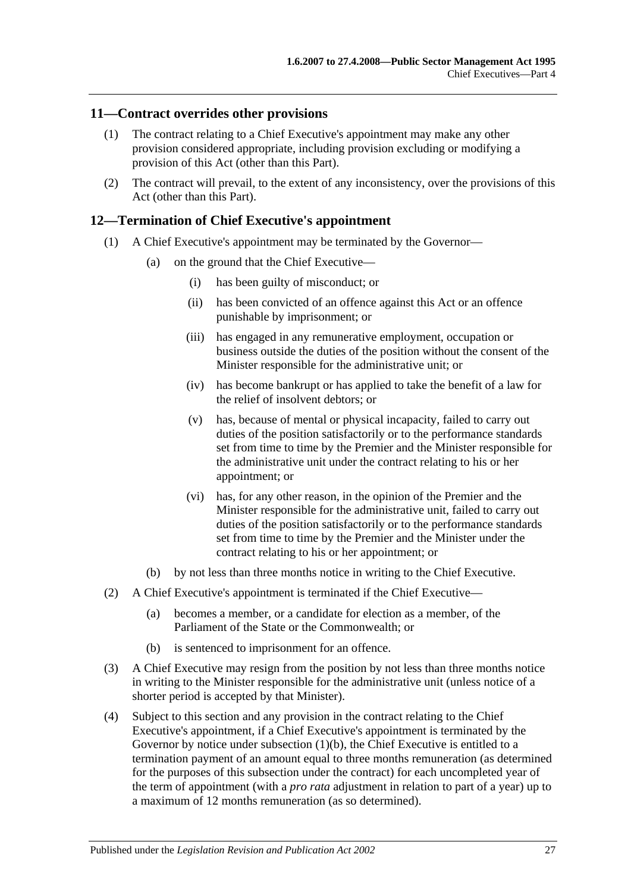## <span id="page-26-0"></span>**11—Contract overrides other provisions**

- (1) The contract relating to a Chief Executive's appointment may make any other provision considered appropriate, including provision excluding or modifying a provision of this Act (other than this Part).
- (2) The contract will prevail, to the extent of any inconsistency, over the provisions of this Act (other than this Part).

#### <span id="page-26-1"></span>**12—Termination of Chief Executive's appointment**

- (1) A Chief Executive's appointment may be terminated by the Governor—
	- (a) on the ground that the Chief Executive—
		- (i) has been guilty of misconduct; or
		- (ii) has been convicted of an offence against this Act or an offence punishable by imprisonment; or
		- (iii) has engaged in any remunerative employment, occupation or business outside the duties of the position without the consent of the Minister responsible for the administrative unit; or
		- (iv) has become bankrupt or has applied to take the benefit of a law for the relief of insolvent debtors; or
		- (v) has, because of mental or physical incapacity, failed to carry out duties of the position satisfactorily or to the performance standards set from time to time by the Premier and the Minister responsible for the administrative unit under the contract relating to his or her appointment; or
		- (vi) has, for any other reason, in the opinion of the Premier and the Minister responsible for the administrative unit, failed to carry out duties of the position satisfactorily or to the performance standards set from time to time by the Premier and the Minister under the contract relating to his or her appointment; or
	- (b) by not less than three months notice in writing to the Chief Executive.
- <span id="page-26-2"></span>(2) A Chief Executive's appointment is terminated if the Chief Executive—
	- (a) becomes a member, or a candidate for election as a member, of the Parliament of the State or the Commonwealth; or
	- (b) is sentenced to imprisonment for an offence.
- (3) A Chief Executive may resign from the position by not less than three months notice in writing to the Minister responsible for the administrative unit (unless notice of a shorter period is accepted by that Minister).
- (4) Subject to this section and any provision in the contract relating to the Chief Executive's appointment, if a Chief Executive's appointment is terminated by the Governor by notice under [subsection](#page-26-2) (1)(b), the Chief Executive is entitled to a termination payment of an amount equal to three months remuneration (as determined for the purposes of this subsection under the contract) for each uncompleted year of the term of appointment (with a *pro rata* adjustment in relation to part of a year) up to a maximum of 12 months remuneration (as so determined).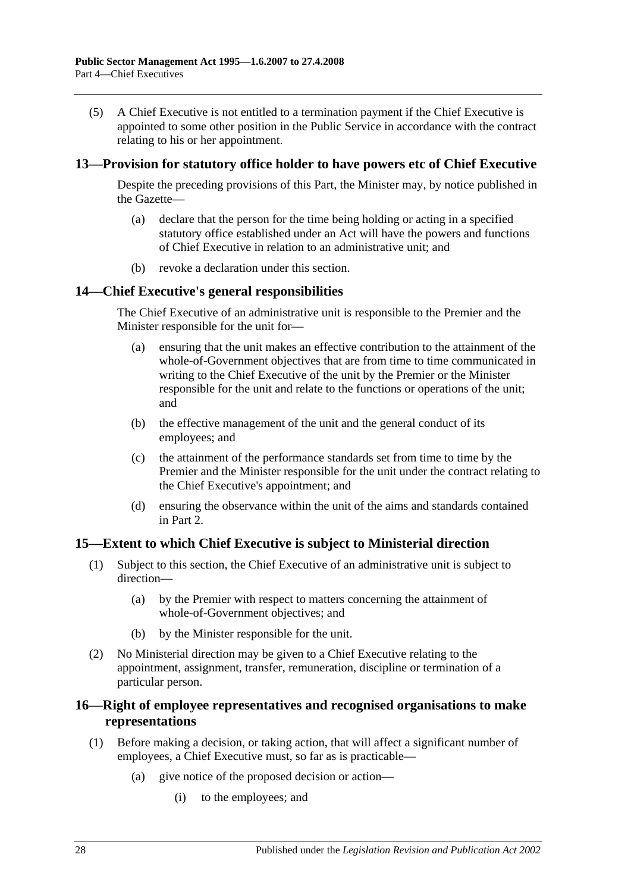(5) A Chief Executive is not entitled to a termination payment if the Chief Executive is appointed to some other position in the Public Service in accordance with the contract relating to his or her appointment.

### <span id="page-27-0"></span>**13—Provision for statutory office holder to have powers etc of Chief Executive**

Despite the preceding provisions of this Part, the Minister may, by notice published in the Gazette—

- (a) declare that the person for the time being holding or acting in a specified statutory office established under an Act will have the powers and functions of Chief Executive in relation to an administrative unit; and
- (b) revoke a declaration under this section.

### <span id="page-27-1"></span>**14—Chief Executive's general responsibilities**

The Chief Executive of an administrative unit is responsible to the Premier and the Minister responsible for the unit for—

- (a) ensuring that the unit makes an effective contribution to the attainment of the whole-of-Government objectives that are from time to time communicated in writing to the Chief Executive of the unit by the Premier or the Minister responsible for the unit and relate to the functions or operations of the unit; and
- (b) the effective management of the unit and the general conduct of its employees; and
- (c) the attainment of the performance standards set from time to time by the Premier and the Minister responsible for the unit under the contract relating to the Chief Executive's appointment; and
- (d) ensuring the observance within the unit of the aims and standards contained in Part 2.

#### <span id="page-27-2"></span>**15—Extent to which Chief Executive is subject to Ministerial direction**

- (1) Subject to this section, the Chief Executive of an administrative unit is subject to direction—
	- (a) by the Premier with respect to matters concerning the attainment of whole-of-Government objectives; and
	- (b) by the Minister responsible for the unit.
- (2) No Ministerial direction may be given to a Chief Executive relating to the appointment, assignment, transfer, remuneration, discipline or termination of a particular person.

## <span id="page-27-3"></span>**16—Right of employee representatives and recognised organisations to make representations**

- (1) Before making a decision, or taking action, that will affect a significant number of employees, a Chief Executive must, so far as is practicable—
	- (a) give notice of the proposed decision or action—
		- (i) to the employees; and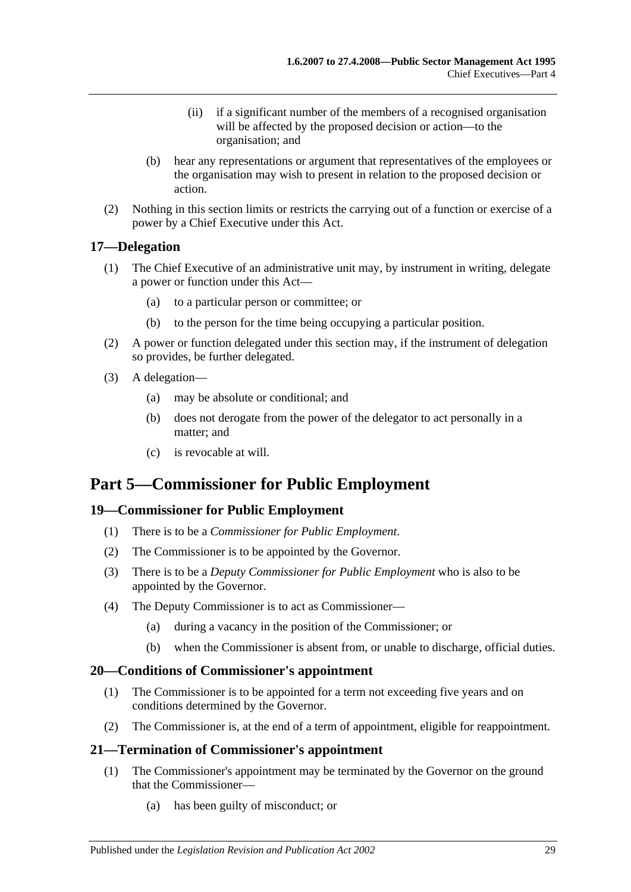- (ii) if a significant number of the members of a recognised organisation will be affected by the proposed decision or action—to the organisation; and
- (b) hear any representations or argument that representatives of the employees or the organisation may wish to present in relation to the proposed decision or action.
- (2) Nothing in this section limits or restricts the carrying out of a function or exercise of a power by a Chief Executive under this Act.

## <span id="page-28-0"></span>**17—Delegation**

- (1) The Chief Executive of an administrative unit may, by instrument in writing, delegate a power or function under this Act—
	- (a) to a particular person or committee; or
	- (b) to the person for the time being occupying a particular position.
- (2) A power or function delegated under this section may, if the instrument of delegation so provides, be further delegated.
- (3) A delegation—
	- (a) may be absolute or conditional; and
	- (b) does not derogate from the power of the delegator to act personally in a matter; and
	- (c) is revocable at will.

# <span id="page-28-1"></span>**Part 5—Commissioner for Public Employment**

## <span id="page-28-2"></span>**19—Commissioner for Public Employment**

- (1) There is to be a *Commissioner for Public Employment*.
- (2) The Commissioner is to be appointed by the Governor.
- (3) There is to be a *Deputy Commissioner for Public Employment* who is also to be appointed by the Governor.
- (4) The Deputy Commissioner is to act as Commissioner—
	- (a) during a vacancy in the position of the Commissioner; or
	- (b) when the Commissioner is absent from, or unable to discharge, official duties.

## <span id="page-28-3"></span>**20—Conditions of Commissioner's appointment**

- (1) The Commissioner is to be appointed for a term not exceeding five years and on conditions determined by the Governor.
- (2) The Commissioner is, at the end of a term of appointment, eligible for reappointment.

## <span id="page-28-4"></span>**21—Termination of Commissioner's appointment**

- (1) The Commissioner's appointment may be terminated by the Governor on the ground that the Commissioner—
	- (a) has been guilty of misconduct; or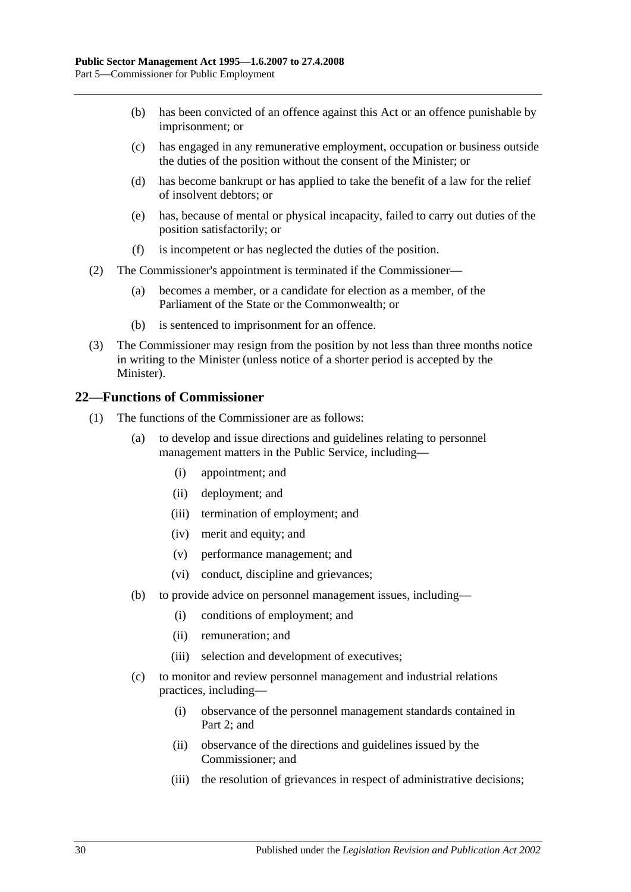- (b) has been convicted of an offence against this Act or an offence punishable by imprisonment; or
- (c) has engaged in any remunerative employment, occupation or business outside the duties of the position without the consent of the Minister; or
- (d) has become bankrupt or has applied to take the benefit of a law for the relief of insolvent debtors; or
- (e) has, because of mental or physical incapacity, failed to carry out duties of the position satisfactorily; or
- (f) is incompetent or has neglected the duties of the position.
- (2) The Commissioner's appointment is terminated if the Commissioner—
	- (a) becomes a member, or a candidate for election as a member, of the Parliament of the State or the Commonwealth; or
	- (b) is sentenced to imprisonment for an offence.
- (3) The Commissioner may resign from the position by not less than three months notice in writing to the Minister (unless notice of a shorter period is accepted by the Minister).

### <span id="page-29-0"></span>**22—Functions of Commissioner**

- (1) The functions of the Commissioner are as follows:
	- (a) to develop and issue directions and guidelines relating to personnel management matters in the Public Service, including—
		- (i) appointment; and
		- (ii) deployment; and
		- (iii) termination of employment; and
		- (iv) merit and equity; and
		- (v) performance management; and
		- (vi) conduct, discipline and grievances;
	- (b) to provide advice on personnel management issues, including—
		- (i) conditions of employment; and
		- (ii) remuneration; and
		- (iii) selection and development of executives;
	- (c) to monitor and review personnel management and industrial relations practices, including—
		- (i) observance of the personnel management standards contained in [Part](#page-10-0) 2; and
		- (ii) observance of the directions and guidelines issued by the Commissioner; and
		- (iii) the resolution of grievances in respect of administrative decisions;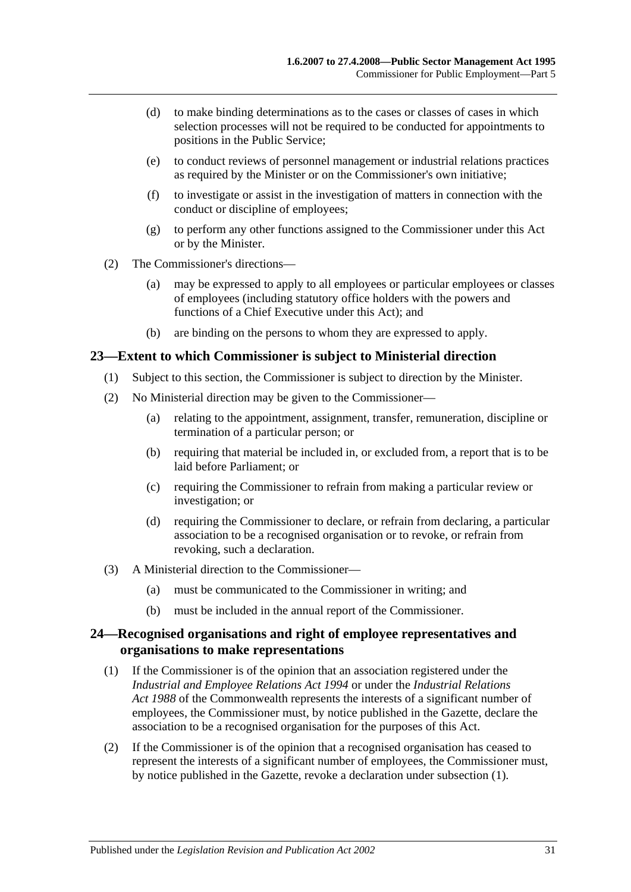- (d) to make binding determinations as to the cases or classes of cases in which selection processes will not be required to be conducted for appointments to positions in the Public Service;
- (e) to conduct reviews of personnel management or industrial relations practices as required by the Minister or on the Commissioner's own initiative;
- (f) to investigate or assist in the investigation of matters in connection with the conduct or discipline of employees;
- (g) to perform any other functions assigned to the Commissioner under this Act or by the Minister.
- (2) The Commissioner's directions—
	- (a) may be expressed to apply to all employees or particular employees or classes of employees (including statutory office holders with the powers and functions of a Chief Executive under this Act); and
	- (b) are binding on the persons to whom they are expressed to apply.

#### <span id="page-30-0"></span>**23—Extent to which Commissioner is subject to Ministerial direction**

- (1) Subject to this section, the Commissioner is subject to direction by the Minister.
- (2) No Ministerial direction may be given to the Commissioner—
	- (a) relating to the appointment, assignment, transfer, remuneration, discipline or termination of a particular person; or
	- (b) requiring that material be included in, or excluded from, a report that is to be laid before Parliament; or
	- (c) requiring the Commissioner to refrain from making a particular review or investigation; or
	- (d) requiring the Commissioner to declare, or refrain from declaring, a particular association to be a recognised organisation or to revoke, or refrain from revoking, such a declaration.
- (3) A Ministerial direction to the Commissioner—
	- (a) must be communicated to the Commissioner in writing; and
	- (b) must be included in the annual report of the Commissioner.

## <span id="page-30-1"></span>**24—Recognised organisations and right of employee representatives and organisations to make representations**

- <span id="page-30-2"></span>(1) If the Commissioner is of the opinion that an association registered under the *[Industrial and Employee Relations Act](http://www.legislation.sa.gov.au/index.aspx?action=legref&type=act&legtitle=Industrial%20and%20Employee%20Relations%20Act%201994) 1994* or under the *Industrial Relations Act 1988* of the Commonwealth represents the interests of a significant number of employees, the Commissioner must, by notice published in the Gazette, declare the association to be a recognised organisation for the purposes of this Act.
- (2) If the Commissioner is of the opinion that a recognised organisation has ceased to represent the interests of a significant number of employees, the Commissioner must, by notice published in the Gazette, revoke a declaration under [subsection](#page-30-2) (1).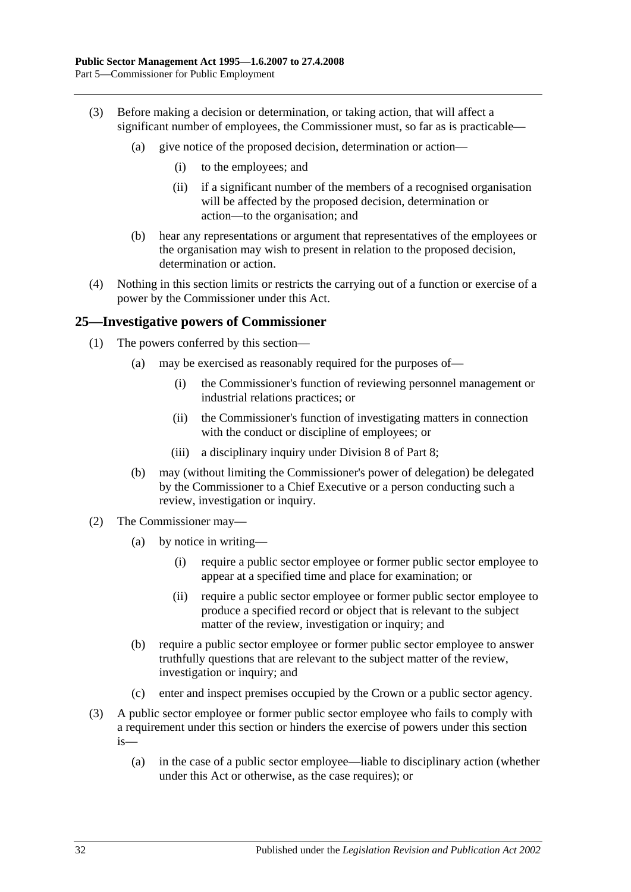- (3) Before making a decision or determination, or taking action, that will affect a significant number of employees, the Commissioner must, so far as is practicable—
	- (a) give notice of the proposed decision, determination or action—
		- (i) to the employees; and
		- (ii) if a significant number of the members of a recognised organisation will be affected by the proposed decision, determination or action—to the organisation; and
	- (b) hear any representations or argument that representatives of the employees or the organisation may wish to present in relation to the proposed decision, determination or action.
- (4) Nothing in this section limits or restricts the carrying out of a function or exercise of a power by the Commissioner under this Act.

### <span id="page-31-0"></span>**25—Investigative powers of Commissioner**

- (1) The powers conferred by this section—
	- (a) may be exercised as reasonably required for the purposes of—
		- (i) the Commissioner's function of reviewing personnel management or industrial relations practices; or
		- (ii) the Commissioner's function of investigating matters in connection with the conduct or discipline of employees; or
		- (iii) a disciplinary inquiry under [Division 8](#page-47-4) of [Part 8;](#page-42-0)
	- (b) may (without limiting the Commissioner's power of delegation) be delegated by the Commissioner to a Chief Executive or a person conducting such a review, investigation or inquiry.
- (2) The Commissioner may—
	- (a) by notice in writing—
		- (i) require a public sector employee or former public sector employee to appear at a specified time and place for examination; or
		- (ii) require a public sector employee or former public sector employee to produce a specified record or object that is relevant to the subject matter of the review, investigation or inquiry; and
	- (b) require a public sector employee or former public sector employee to answer truthfully questions that are relevant to the subject matter of the review, investigation or inquiry; and
	- (c) enter and inspect premises occupied by the Crown or a public sector agency.
- (3) A public sector employee or former public sector employee who fails to comply with a requirement under this section or hinders the exercise of powers under this section is—
	- (a) in the case of a public sector employee—liable to disciplinary action (whether under this Act or otherwise, as the case requires); or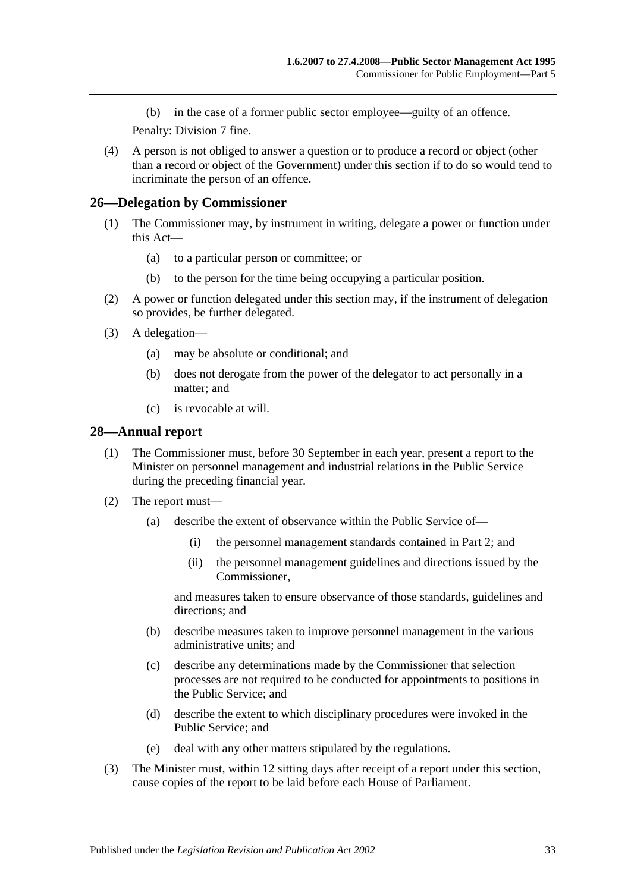(b) in the case of a former public sector employee—guilty of an offence.

Penalty: Division 7 fine.

(4) A person is not obliged to answer a question or to produce a record or object (other than a record or object of the Government) under this section if to do so would tend to incriminate the person of an offence.

### <span id="page-32-0"></span>**26—Delegation by Commissioner**

- (1) The Commissioner may, by instrument in writing, delegate a power or function under this Act—
	- (a) to a particular person or committee; or
	- (b) to the person for the time being occupying a particular position.
- (2) A power or function delegated under this section may, if the instrument of delegation so provides, be further delegated.
- (3) A delegation—
	- (a) may be absolute or conditional; and
	- (b) does not derogate from the power of the delegator to act personally in a matter; and
	- (c) is revocable at will.

#### <span id="page-32-1"></span>**28—Annual report**

- (1) The Commissioner must, before 30 September in each year, present a report to the Minister on personnel management and industrial relations in the Public Service during the preceding financial year.
- (2) The report must—
	- (a) describe the extent of observance within the Public Service of—
		- (i) the personnel management standards contained in [Part 2;](#page-10-0) and
		- (ii) the personnel management guidelines and directions issued by the Commissioner,

and measures taken to ensure observance of those standards, guidelines and directions; and

- (b) describe measures taken to improve personnel management in the various administrative units; and
- (c) describe any determinations made by the Commissioner that selection processes are not required to be conducted for appointments to positions in the Public Service; and
- (d) describe the extent to which disciplinary procedures were invoked in the Public Service; and
- (e) deal with any other matters stipulated by the regulations.
- (3) The Minister must, within 12 sitting days after receipt of a report under this section, cause copies of the report to be laid before each House of Parliament.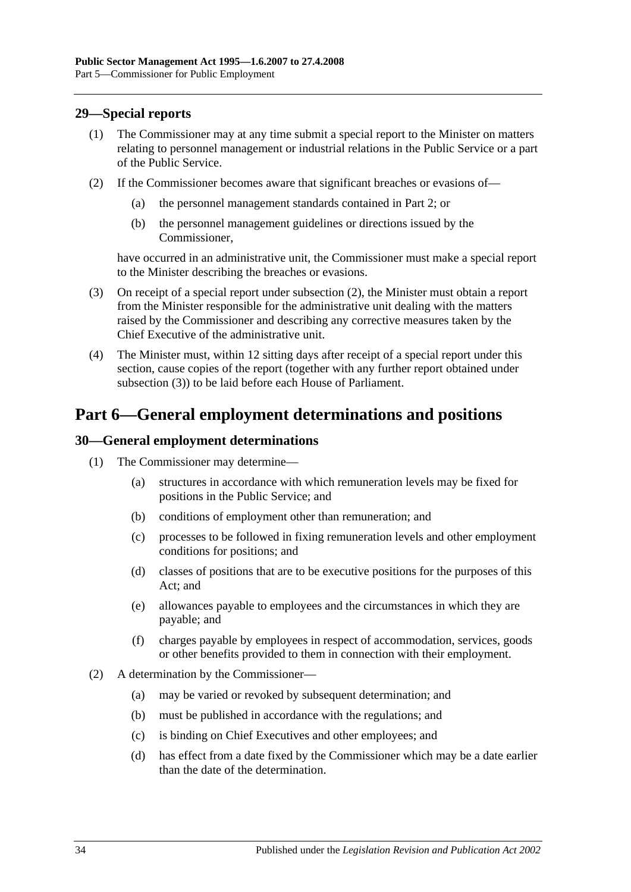## <span id="page-33-0"></span>**29—Special reports**

- (1) The Commissioner may at any time submit a special report to the Minister on matters relating to personnel management or industrial relations in the Public Service or a part of the Public Service.
- <span id="page-33-3"></span>(2) If the Commissioner becomes aware that significant breaches or evasions of—
	- (a) the personnel management standards contained in [Part 2;](#page-10-0) or
	- (b) the personnel management guidelines or directions issued by the Commissioner,

have occurred in an administrative unit, the Commissioner must make a special report to the Minister describing the breaches or evasions.

- <span id="page-33-4"></span>(3) On receipt of a special report under [subsection](#page-33-3) (2), the Minister must obtain a report from the Minister responsible for the administrative unit dealing with the matters raised by the Commissioner and describing any corrective measures taken by the Chief Executive of the administrative unit.
- (4) The Minister must, within 12 sitting days after receipt of a special report under this section, cause copies of the report (together with any further report obtained under [subsection](#page-33-4) (3)) to be laid before each House of Parliament.

# <span id="page-33-1"></span>**Part 6—General employment determinations and positions**

### <span id="page-33-2"></span>**30—General employment determinations**

- (1) The Commissioner may determine—
	- (a) structures in accordance with which remuneration levels may be fixed for positions in the Public Service; and
	- (b) conditions of employment other than remuneration; and
	- (c) processes to be followed in fixing remuneration levels and other employment conditions for positions; and
	- (d) classes of positions that are to be executive positions for the purposes of this Act; and
	- (e) allowances payable to employees and the circumstances in which they are payable; and
	- (f) charges payable by employees in respect of accommodation, services, goods or other benefits provided to them in connection with their employment.
- (2) A determination by the Commissioner—
	- (a) may be varied or revoked by subsequent determination; and
	- (b) must be published in accordance with the regulations; and
	- (c) is binding on Chief Executives and other employees; and
	- (d) has effect from a date fixed by the Commissioner which may be a date earlier than the date of the determination.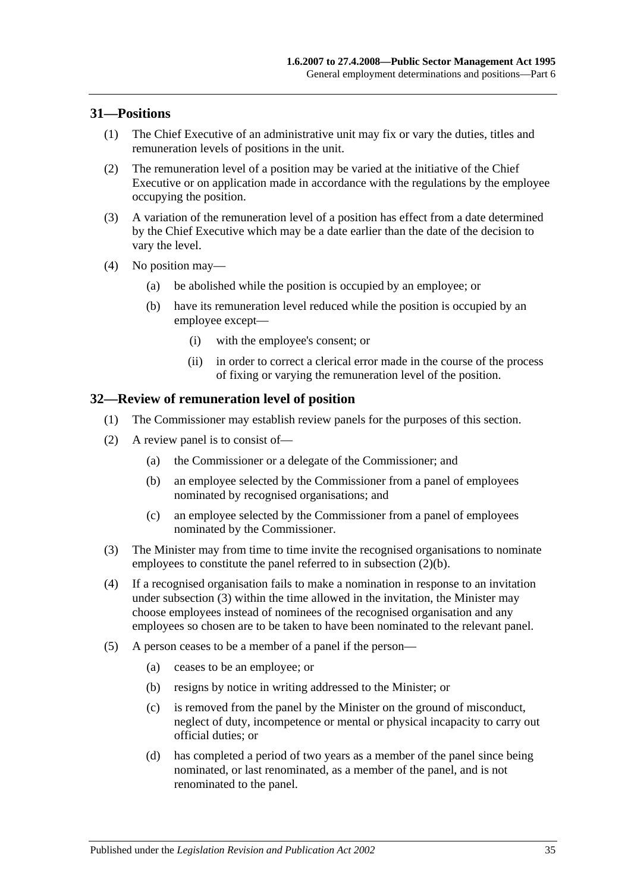### <span id="page-34-0"></span>**31—Positions**

- (1) The Chief Executive of an administrative unit may fix or vary the duties, titles and remuneration levels of positions in the unit.
- (2) The remuneration level of a position may be varied at the initiative of the Chief Executive or on application made in accordance with the regulations by the employee occupying the position.
- (3) A variation of the remuneration level of a position has effect from a date determined by the Chief Executive which may be a date earlier than the date of the decision to vary the level.
- (4) No position may—
	- (a) be abolished while the position is occupied by an employee; or
	- (b) have its remuneration level reduced while the position is occupied by an employee except—
		- (i) with the employee's consent; or
		- (ii) in order to correct a clerical error made in the course of the process of fixing or varying the remuneration level of the position.

### <span id="page-34-1"></span>**32—Review of remuneration level of position**

- (1) The Commissioner may establish review panels for the purposes of this section.
- <span id="page-34-2"></span>(2) A review panel is to consist of—
	- (a) the Commissioner or a delegate of the Commissioner; and
	- (b) an employee selected by the Commissioner from a panel of employees nominated by recognised organisations; and
	- (c) an employee selected by the Commissioner from a panel of employees nominated by the Commissioner.
- <span id="page-34-3"></span>(3) The Minister may from time to time invite the recognised organisations to nominate employees to constitute the panel referred to in [subsection](#page-34-2) (2)(b).
- (4) If a recognised organisation fails to make a nomination in response to an invitation under [subsection](#page-34-3) (3) within the time allowed in the invitation, the Minister may choose employees instead of nominees of the recognised organisation and any employees so chosen are to be taken to have been nominated to the relevant panel.
- (5) A person ceases to be a member of a panel if the person—
	- (a) ceases to be an employee; or
	- (b) resigns by notice in writing addressed to the Minister; or
	- (c) is removed from the panel by the Minister on the ground of misconduct, neglect of duty, incompetence or mental or physical incapacity to carry out official duties; or
	- (d) has completed a period of two years as a member of the panel since being nominated, or last renominated, as a member of the panel, and is not renominated to the panel.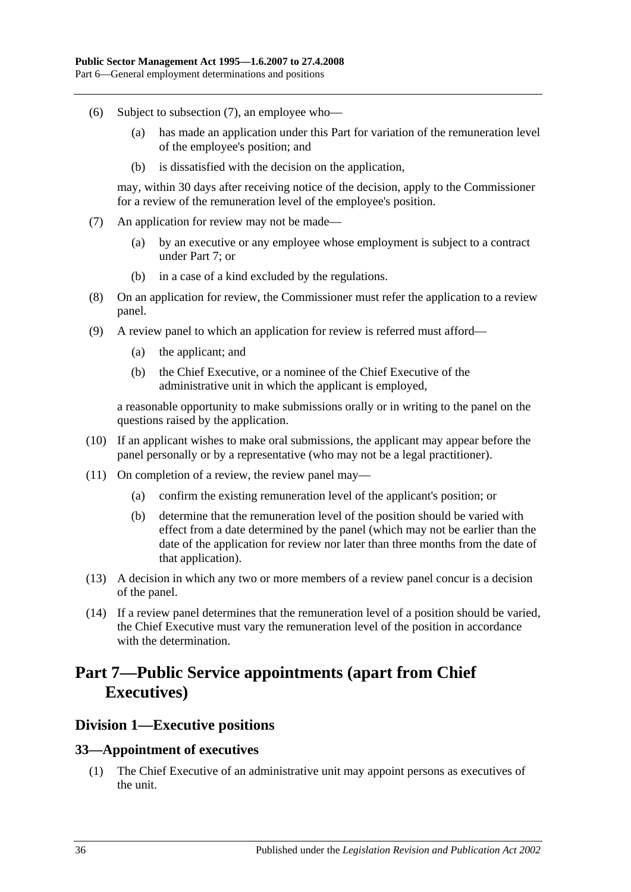- (6) Subject to [subsection](#page-35-3) (7), an employee who—
	- (a) has made an application under this Part for variation of the remuneration level of the employee's position; and
	- (b) is dissatisfied with the decision on the application,

may, within 30 days after receiving notice of the decision, apply to the Commissioner for a review of the remuneration level of the employee's position.

- <span id="page-35-3"></span>(7) An application for review may not be made—
	- (a) by an executive or any employee whose employment is subject to a contract under [Part 7;](#page-35-0) or
	- (b) in a case of a kind excluded by the regulations.
- (8) On an application for review, the Commissioner must refer the application to a review panel.
- (9) A review panel to which an application for review is referred must afford—
	- (a) the applicant; and
	- (b) the Chief Executive, or a nominee of the Chief Executive of the administrative unit in which the applicant is employed,

a reasonable opportunity to make submissions orally or in writing to the panel on the questions raised by the application.

- (10) If an applicant wishes to make oral submissions, the applicant may appear before the panel personally or by a representative (who may not be a legal practitioner).
- (11) On completion of a review, the review panel may—
	- (a) confirm the existing remuneration level of the applicant's position; or
	- (b) determine that the remuneration level of the position should be varied with effect from a date determined by the panel (which may not be earlier than the date of the application for review nor later than three months from the date of that application).
- (13) A decision in which any two or more members of a review panel concur is a decision of the panel.
- (14) If a review panel determines that the remuneration level of a position should be varied, the Chief Executive must vary the remuneration level of the position in accordance with the determination.

# <span id="page-35-0"></span>**Part 7—Public Service appointments (apart from Chief Executives)**

## <span id="page-35-1"></span>**Division 1—Executive positions**

#### <span id="page-35-2"></span>**33—Appointment of executives**

(1) The Chief Executive of an administrative unit may appoint persons as executives of the unit.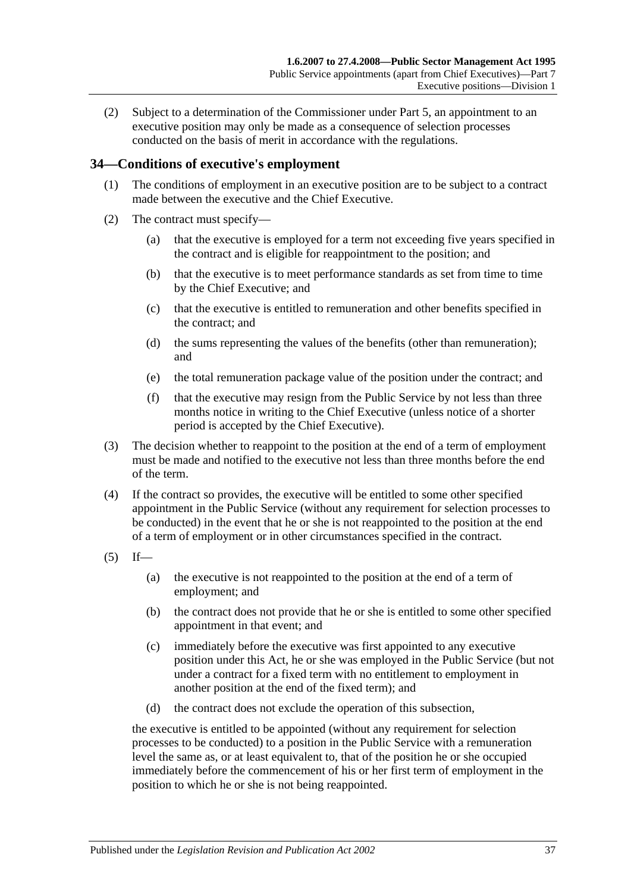(2) Subject to a determination of the Commissioner under [Part 5,](#page-28-0) an appointment to an executive position may only be made as a consequence of selection processes conducted on the basis of merit in accordance with the regulations.

#### **34—Conditions of executive's employment**

- (1) The conditions of employment in an executive position are to be subject to a contract made between the executive and the Chief Executive.
- (2) The contract must specify—
	- (a) that the executive is employed for a term not exceeding five years specified in the contract and is eligible for reappointment to the position; and
	- (b) that the executive is to meet performance standards as set from time to time by the Chief Executive; and
	- (c) that the executive is entitled to remuneration and other benefits specified in the contract; and
	- (d) the sums representing the values of the benefits (other than remuneration); and
	- (e) the total remuneration package value of the position under the contract; and
	- (f) that the executive may resign from the Public Service by not less than three months notice in writing to the Chief Executive (unless notice of a shorter period is accepted by the Chief Executive).
- (3) The decision whether to reappoint to the position at the end of a term of employment must be made and notified to the executive not less than three months before the end of the term.
- (4) If the contract so provides, the executive will be entitled to some other specified appointment in the Public Service (without any requirement for selection processes to be conducted) in the event that he or she is not reappointed to the position at the end of a term of employment or in other circumstances specified in the contract.
- <span id="page-36-0"></span> $(5)$  If—
	- (a) the executive is not reappointed to the position at the end of a term of employment; and
	- (b) the contract does not provide that he or she is entitled to some other specified appointment in that event; and
	- (c) immediately before the executive was first appointed to any executive position under this Act, he or she was employed in the Public Service (but not under a contract for a fixed term with no entitlement to employment in another position at the end of the fixed term); and
	- (d) the contract does not exclude the operation of this subsection,

the executive is entitled to be appointed (without any requirement for selection processes to be conducted) to a position in the Public Service with a remuneration level the same as, or at least equivalent to, that of the position he or she occupied immediately before the commencement of his or her first term of employment in the position to which he or she is not being reappointed.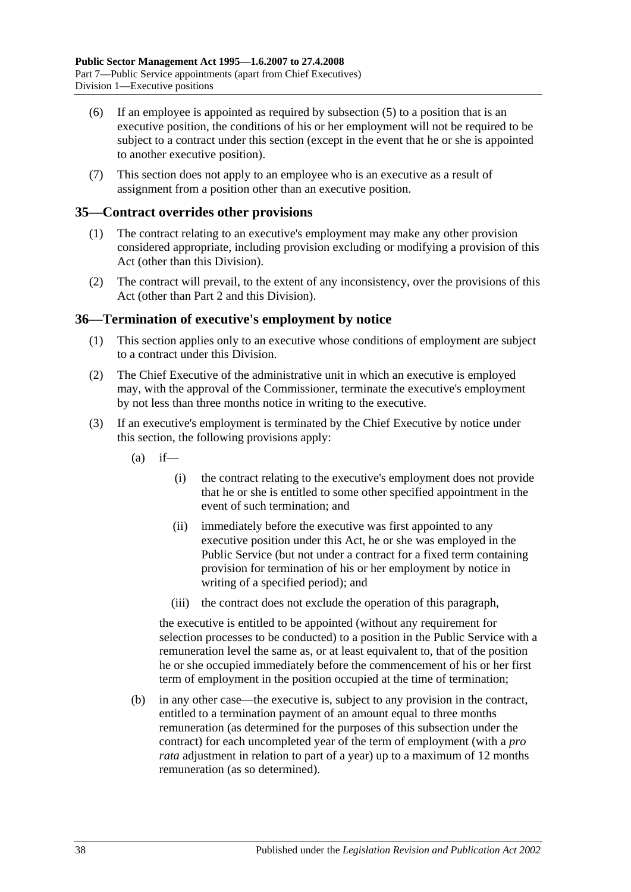- (6) If an employee is appointed as required by [subsection](#page-36-0) (5) to a position that is an executive position, the conditions of his or her employment will not be required to be subject to a contract under this section (except in the event that he or she is appointed to another executive position).
- (7) This section does not apply to an employee who is an executive as a result of assignment from a position other than an executive position.

#### **35—Contract overrides other provisions**

- (1) The contract relating to an executive's employment may make any other provision considered appropriate, including provision excluding or modifying a provision of this Act (other than this Division).
- (2) The contract will prevail, to the extent of any inconsistency, over the provisions of this Act (other than [Part 2](#page-10-0) and this Division).

#### **36—Termination of executive's employment by notice**

- (1) This section applies only to an executive whose conditions of employment are subject to a contract under this Division.
- (2) The Chief Executive of the administrative unit in which an executive is employed may, with the approval of the Commissioner, terminate the executive's employment by not less than three months notice in writing to the executive.
- <span id="page-37-0"></span>(3) If an executive's employment is terminated by the Chief Executive by notice under this section, the following provisions apply:
	- $(a)$  if—
		- (i) the contract relating to the executive's employment does not provide that he or she is entitled to some other specified appointment in the event of such termination; and
		- (ii) immediately before the executive was first appointed to any executive position under this Act, he or she was employed in the Public Service (but not under a contract for a fixed term containing provision for termination of his or her employment by notice in writing of a specified period); and
		- (iii) the contract does not exclude the operation of this paragraph,

the executive is entitled to be appointed (without any requirement for selection processes to be conducted) to a position in the Public Service with a remuneration level the same as, or at least equivalent to, that of the position he or she occupied immediately before the commencement of his or her first term of employment in the position occupied at the time of termination;

(b) in any other case—the executive is, subject to any provision in the contract, entitled to a termination payment of an amount equal to three months remuneration (as determined for the purposes of this subsection under the contract) for each uncompleted year of the term of employment (with a *pro rata* adjustment in relation to part of a year) up to a maximum of 12 months remuneration (as so determined).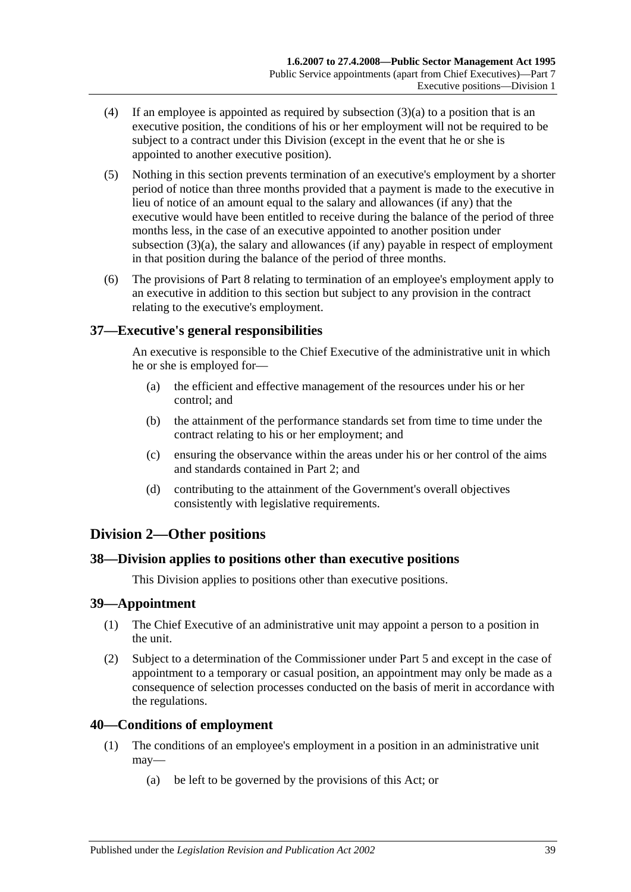- (4) If an employee is appointed as required by [subsection](#page-37-0) (3)(a) to a position that is an executive position, the conditions of his or her employment will not be required to be subject to a contract under this Division (except in the event that he or she is appointed to another executive position).
- (5) Nothing in this section prevents termination of an executive's employment by a shorter period of notice than three months provided that a payment is made to the executive in lieu of notice of an amount equal to the salary and allowances (if any) that the executive would have been entitled to receive during the balance of the period of three months less, in the case of an executive appointed to another position under [subsection](#page-37-0) (3)(a), the salary and allowances (if any) payable in respect of employment in that position during the balance of the period of three months.
- (6) The provisions of [Part 8](#page-42-0) relating to termination of an employee's employment apply to an executive in addition to this section but subject to any provision in the contract relating to the executive's employment.

#### **37—Executive's general responsibilities**

An executive is responsible to the Chief Executive of the administrative unit in which he or she is employed for—

- (a) the efficient and effective management of the resources under his or her control; and
- (b) the attainment of the performance standards set from time to time under the contract relating to his or her employment; and
- (c) ensuring the observance within the areas under his or her control of the aims and standards contained in [Part 2;](#page-10-0) and
- (d) contributing to the attainment of the Government's overall objectives consistently with legislative requirements.

### **Division 2—Other positions**

#### **38—Division applies to positions other than executive positions**

This Division applies to positions other than executive positions.

#### **39—Appointment**

- (1) The Chief Executive of an administrative unit may appoint a person to a position in the unit.
- (2) Subject to a determination of the Commissioner under [Part 5](#page-28-0) and except in the case of appointment to a temporary or casual position, an appointment may only be made as a consequence of selection processes conducted on the basis of merit in accordance with the regulations.

#### **40—Conditions of employment**

- (1) The conditions of an employee's employment in a position in an administrative unit may—
	- (a) be left to be governed by the provisions of this Act; or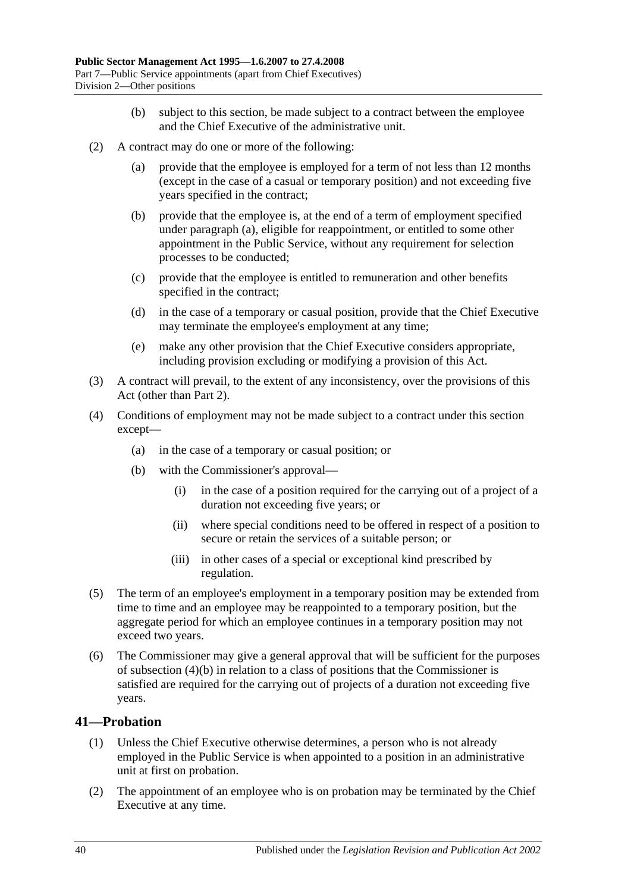- (b) subject to this section, be made subject to a contract between the employee and the Chief Executive of the administrative unit.
- <span id="page-39-0"></span>(2) A contract may do one or more of the following:
	- (a) provide that the employee is employed for a term of not less than 12 months (except in the case of a casual or temporary position) and not exceeding five years specified in the contract;
	- (b) provide that the employee is, at the end of a term of employment specified under [paragraph](#page-39-0) (a), eligible for reappointment, or entitled to some other appointment in the Public Service, without any requirement for selection processes to be conducted;
	- (c) provide that the employee is entitled to remuneration and other benefits specified in the contract;
	- (d) in the case of a temporary or casual position, provide that the Chief Executive may terminate the employee's employment at any time;
	- (e) make any other provision that the Chief Executive considers appropriate, including provision excluding or modifying a provision of this Act.
- (3) A contract will prevail, to the extent of any inconsistency, over the provisions of this Act (other than [Part 2\)](#page-10-0).
- <span id="page-39-1"></span>(4) Conditions of employment may not be made subject to a contract under this section except—
	- (a) in the case of a temporary or casual position; or
	- (b) with the Commissioner's approval—
		- (i) in the case of a position required for the carrying out of a project of a duration not exceeding five years; or
		- (ii) where special conditions need to be offered in respect of a position to secure or retain the services of a suitable person; or
		- (iii) in other cases of a special or exceptional kind prescribed by regulation.
- (5) The term of an employee's employment in a temporary position may be extended from time to time and an employee may be reappointed to a temporary position, but the aggregate period for which an employee continues in a temporary position may not exceed two years.
- (6) The Commissioner may give a general approval that will be sufficient for the purposes of [subsection](#page-39-1) (4)(b) in relation to a class of positions that the Commissioner is satisfied are required for the carrying out of projects of a duration not exceeding five years.

#### **41—Probation**

- (1) Unless the Chief Executive otherwise determines, a person who is not already employed in the Public Service is when appointed to a position in an administrative unit at first on probation.
- (2) The appointment of an employee who is on probation may be terminated by the Chief Executive at any time.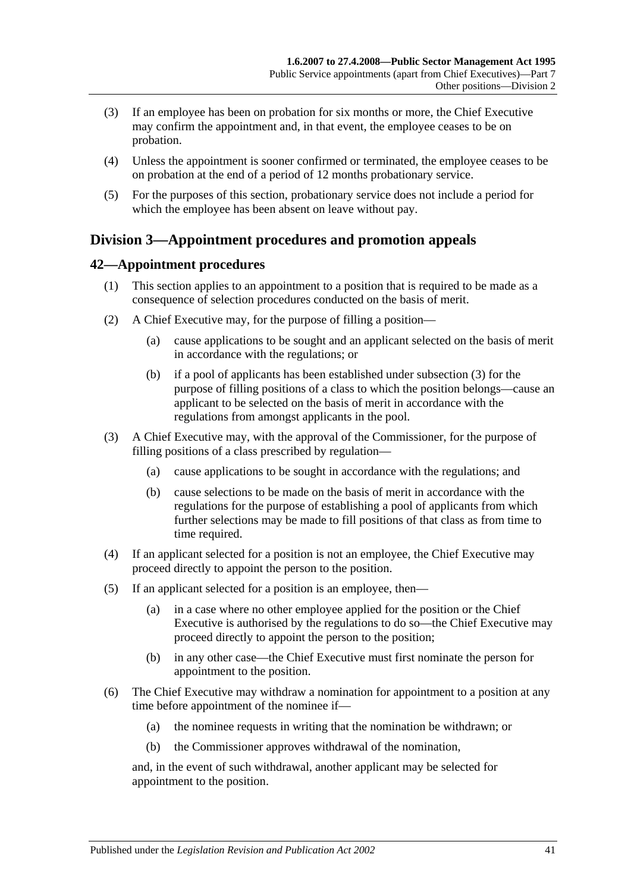- (3) If an employee has been on probation for six months or more, the Chief Executive may confirm the appointment and, in that event, the employee ceases to be on probation.
- (4) Unless the appointment is sooner confirmed or terminated, the employee ceases to be on probation at the end of a period of 12 months probationary service.
- (5) For the purposes of this section, probationary service does not include a period for which the employee has been absent on leave without pay.

## **Division 3—Appointment procedures and promotion appeals**

#### **42—Appointment procedures**

- (1) This section applies to an appointment to a position that is required to be made as a consequence of selection procedures conducted on the basis of merit.
- (2) A Chief Executive may, for the purpose of filling a position—
	- (a) cause applications to be sought and an applicant selected on the basis of merit in accordance with the regulations; or
	- (b) if a pool of applicants has been established under [subsection](#page-40-0) (3) for the purpose of filling positions of a class to which the position belongs—cause an applicant to be selected on the basis of merit in accordance with the regulations from amongst applicants in the pool.
- <span id="page-40-0"></span>(3) A Chief Executive may, with the approval of the Commissioner, for the purpose of filling positions of a class prescribed by regulation—
	- (a) cause applications to be sought in accordance with the regulations; and
	- (b) cause selections to be made on the basis of merit in accordance with the regulations for the purpose of establishing a pool of applicants from which further selections may be made to fill positions of that class as from time to time required.
- (4) If an applicant selected for a position is not an employee, the Chief Executive may proceed directly to appoint the person to the position.
- (5) If an applicant selected for a position is an employee, then—
	- (a) in a case where no other employee applied for the position or the Chief Executive is authorised by the regulations to do so—the Chief Executive may proceed directly to appoint the person to the position;
	- (b) in any other case—the Chief Executive must first nominate the person for appointment to the position.
- (6) The Chief Executive may withdraw a nomination for appointment to a position at any time before appointment of the nominee if—
	- (a) the nominee requests in writing that the nomination be withdrawn; or
	- (b) the Commissioner approves withdrawal of the nomination,

and, in the event of such withdrawal, another applicant may be selected for appointment to the position.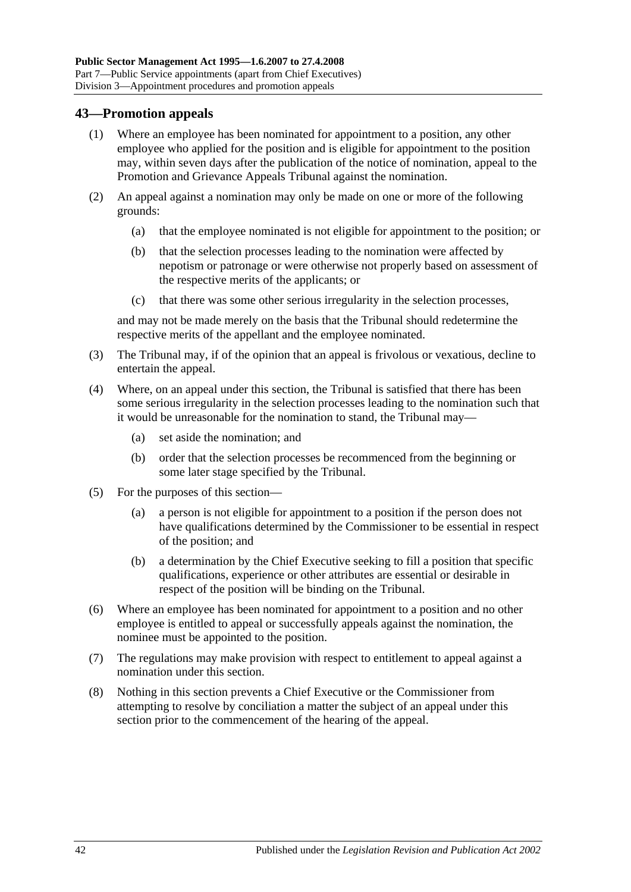#### **43—Promotion appeals**

- (1) Where an employee has been nominated for appointment to a position, any other employee who applied for the position and is eligible for appointment to the position may, within seven days after the publication of the notice of nomination, appeal to the Promotion and Grievance Appeals Tribunal against the nomination.
- (2) An appeal against a nomination may only be made on one or more of the following grounds:
	- (a) that the employee nominated is not eligible for appointment to the position; or
	- (b) that the selection processes leading to the nomination were affected by nepotism or patronage or were otherwise not properly based on assessment of the respective merits of the applicants; or
	- (c) that there was some other serious irregularity in the selection processes,

and may not be made merely on the basis that the Tribunal should redetermine the respective merits of the appellant and the employee nominated.

- (3) The Tribunal may, if of the opinion that an appeal is frivolous or vexatious, decline to entertain the appeal.
- (4) Where, on an appeal under this section, the Tribunal is satisfied that there has been some serious irregularity in the selection processes leading to the nomination such that it would be unreasonable for the nomination to stand, the Tribunal may—
	- (a) set aside the nomination; and
	- (b) order that the selection processes be recommenced from the beginning or some later stage specified by the Tribunal.
- (5) For the purposes of this section—
	- (a) a person is not eligible for appointment to a position if the person does not have qualifications determined by the Commissioner to be essential in respect of the position; and
	- (b) a determination by the Chief Executive seeking to fill a position that specific qualifications, experience or other attributes are essential or desirable in respect of the position will be binding on the Tribunal.
- (6) Where an employee has been nominated for appointment to a position and no other employee is entitled to appeal or successfully appeals against the nomination, the nominee must be appointed to the position.
- (7) The regulations may make provision with respect to entitlement to appeal against a nomination under this section.
- (8) Nothing in this section prevents a Chief Executive or the Commissioner from attempting to resolve by conciliation a matter the subject of an appeal under this section prior to the commencement of the hearing of the appeal.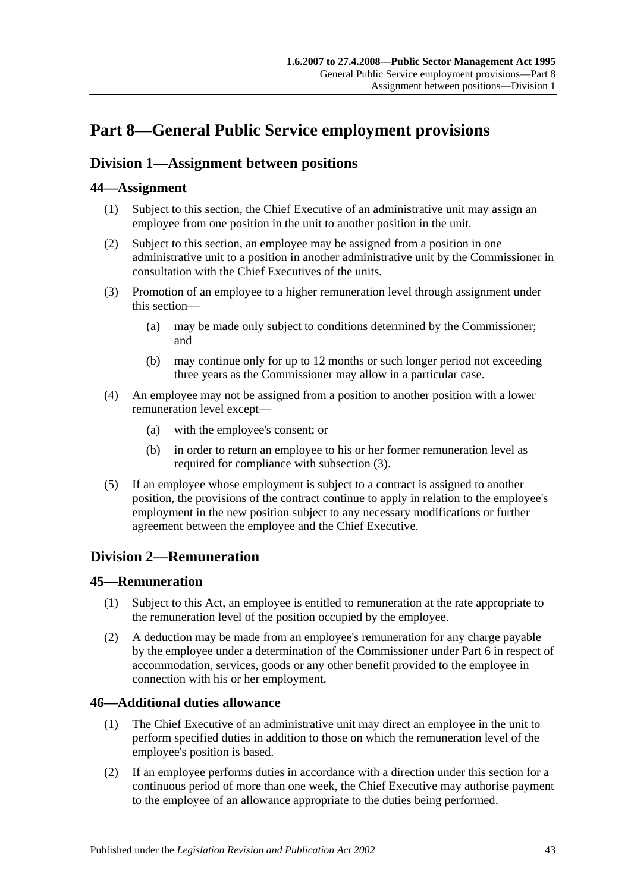# <span id="page-42-0"></span>**Part 8—General Public Service employment provisions**

## <span id="page-42-2"></span>**Division 1—Assignment between positions**

### **44—Assignment**

- (1) Subject to this section, the Chief Executive of an administrative unit may assign an employee from one position in the unit to another position in the unit.
- (2) Subject to this section, an employee may be assigned from a position in one administrative unit to a position in another administrative unit by the Commissioner in consultation with the Chief Executives of the units.
- <span id="page-42-1"></span>(3) Promotion of an employee to a higher remuneration level through assignment under this section—
	- (a) may be made only subject to conditions determined by the Commissioner; and
	- (b) may continue only for up to 12 months or such longer period not exceeding three years as the Commissioner may allow in a particular case.
- (4) An employee may not be assigned from a position to another position with a lower remuneration level except—
	- (a) with the employee's consent; or
	- (b) in order to return an employee to his or her former remuneration level as required for compliance with [subsection](#page-42-1) (3).
- (5) If an employee whose employment is subject to a contract is assigned to another position, the provisions of the contract continue to apply in relation to the employee's employment in the new position subject to any necessary modifications or further agreement between the employee and the Chief Executive.

## **Division 2—Remuneration**

#### **45—Remuneration**

- (1) Subject to this Act, an employee is entitled to remuneration at the rate appropriate to the remuneration level of the position occupied by the employee.
- (2) A deduction may be made from an employee's remuneration for any charge payable by the employee under a determination of the Commissioner under [Part 6](#page-33-0) in respect of accommodation, services, goods or any other benefit provided to the employee in connection with his or her employment.

#### **46—Additional duties allowance**

- (1) The Chief Executive of an administrative unit may direct an employee in the unit to perform specified duties in addition to those on which the remuneration level of the employee's position is based.
- (2) If an employee performs duties in accordance with a direction under this section for a continuous period of more than one week, the Chief Executive may authorise payment to the employee of an allowance appropriate to the duties being performed.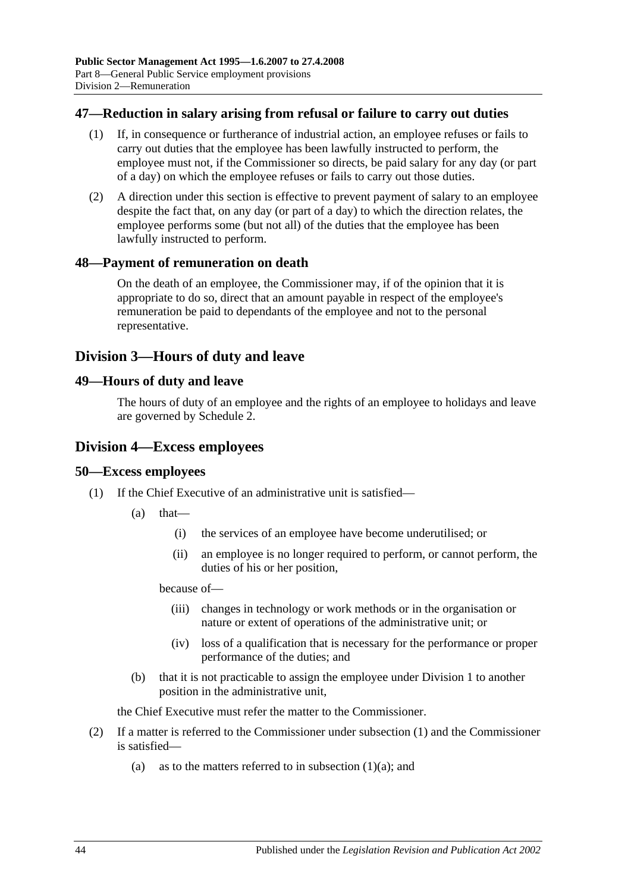#### **47—Reduction in salary arising from refusal or failure to carry out duties**

- (1) If, in consequence or furtherance of industrial action, an employee refuses or fails to carry out duties that the employee has been lawfully instructed to perform, the employee must not, if the Commissioner so directs, be paid salary for any day (or part of a day) on which the employee refuses or fails to carry out those duties.
- (2) A direction under this section is effective to prevent payment of salary to an employee despite the fact that, on any day (or part of a day) to which the direction relates, the employee performs some (but not all) of the duties that the employee has been lawfully instructed to perform.

#### **48—Payment of remuneration on death**

On the death of an employee, the Commissioner may, if of the opinion that it is appropriate to do so, direct that an amount payable in respect of the employee's remuneration be paid to dependants of the employee and not to the personal representative.

### **Division 3—Hours of duty and leave**

#### **49—Hours of duty and leave**

The hours of duty of an employee and the rights of an employee to holidays and leave are governed by [Schedule 2.](#page-59-0)

#### **Division 4—Excess employees**

#### <span id="page-43-0"></span>**50—Excess employees**

- <span id="page-43-1"></span>(1) If the Chief Executive of an administrative unit is satisfied—
	- (a) that—
		- (i) the services of an employee have become underutilised; or
		- (ii) an employee is no longer required to perform, or cannot perform, the duties of his or her position,

because of—

- (iii) changes in technology or work methods or in the organisation or nature or extent of operations of the administrative unit; or
- (iv) loss of a qualification that is necessary for the performance or proper performance of the duties; and
- (b) that it is not practicable to assign the employee under [Division 1](#page-42-2) to another position in the administrative unit,

the Chief Executive must refer the matter to the Commissioner.

- (2) If a matter is referred to the Commissioner under [subsection](#page-43-0) (1) and the Commissioner is satisfied
	- (a) as to the matters referred to in [subsection](#page-43-1)  $(1)(a)$ ; and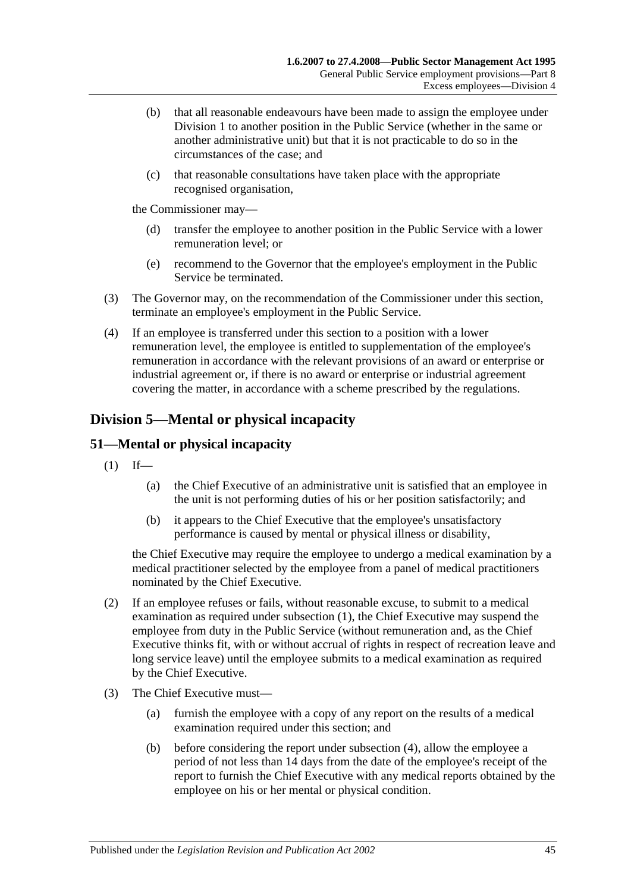- (b) that all reasonable endeavours have been made to assign the employee under [Division 1](#page-42-2) to another position in the Public Service (whether in the same or another administrative unit) but that it is not practicable to do so in the circumstances of the case; and
- (c) that reasonable consultations have taken place with the appropriate recognised organisation,

the Commissioner may—

- (d) transfer the employee to another position in the Public Service with a lower remuneration level; or
- (e) recommend to the Governor that the employee's employment in the Public Service be terminated.
- (3) The Governor may, on the recommendation of the Commissioner under this section, terminate an employee's employment in the Public Service.
- (4) If an employee is transferred under this section to a position with a lower remuneration level, the employee is entitled to supplementation of the employee's remuneration in accordance with the relevant provisions of an award or enterprise or industrial agreement or, if there is no award or enterprise or industrial agreement covering the matter, in accordance with a scheme prescribed by the regulations.

## **Division 5—Mental or physical incapacity**

### <span id="page-44-0"></span>**51—Mental or physical incapacity**

- $(1)$  If—
	- (a) the Chief Executive of an administrative unit is satisfied that an employee in the unit is not performing duties of his or her position satisfactorily; and
	- (b) it appears to the Chief Executive that the employee's unsatisfactory performance is caused by mental or physical illness or disability,

the Chief Executive may require the employee to undergo a medical examination by a medical practitioner selected by the employee from a panel of medical practitioners nominated by the Chief Executive.

- (2) If an employee refuses or fails, without reasonable excuse, to submit to a medical examination as required under [subsection](#page-44-0) (1), the Chief Executive may suspend the employee from duty in the Public Service (without remuneration and, as the Chief Executive thinks fit, with or without accrual of rights in respect of recreation leave and long service leave) until the employee submits to a medical examination as required by the Chief Executive.
- <span id="page-44-1"></span>(3) The Chief Executive must—
	- (a) furnish the employee with a copy of any report on the results of a medical examination required under this section; and
	- (b) before considering the report under [subsection](#page-45-0) (4), allow the employee a period of not less than 14 days from the date of the employee's receipt of the report to furnish the Chief Executive with any medical reports obtained by the employee on his or her mental or physical condition.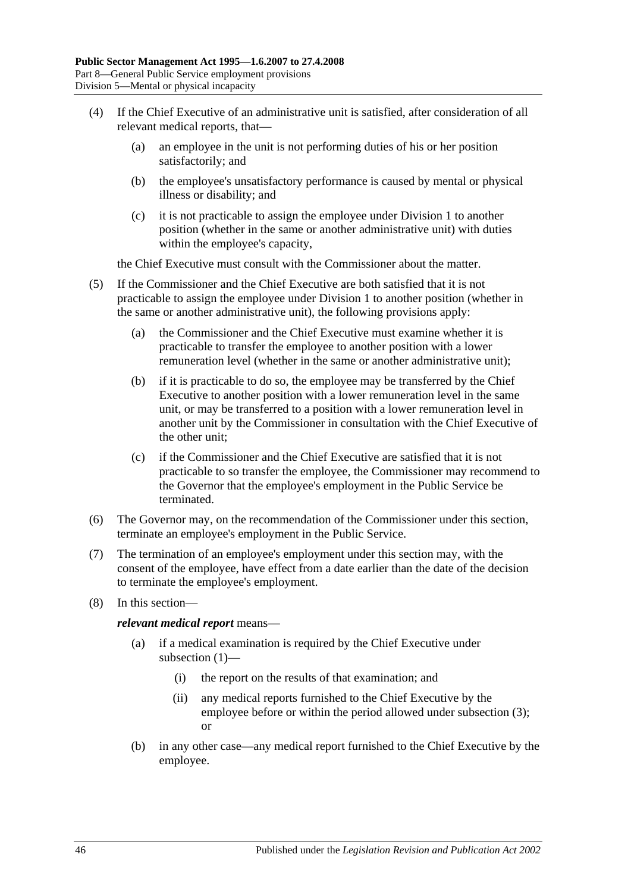- <span id="page-45-0"></span>(4) If the Chief Executive of an administrative unit is satisfied, after consideration of all relevant medical reports, that—
	- (a) an employee in the unit is not performing duties of his or her position satisfactorily; and
	- (b) the employee's unsatisfactory performance is caused by mental or physical illness or disability; and
	- (c) it is not practicable to assign the employee under [Division 1](#page-42-2) to another position (whether in the same or another administrative unit) with duties within the employee's capacity,

the Chief Executive must consult with the Commissioner about the matter.

- (5) If the Commissioner and the Chief Executive are both satisfied that it is not practicable to assign the employee under [Division 1](#page-42-2) to another position (whether in the same or another administrative unit), the following provisions apply:
	- (a) the Commissioner and the Chief Executive must examine whether it is practicable to transfer the employee to another position with a lower remuneration level (whether in the same or another administrative unit);
	- (b) if it is practicable to do so, the employee may be transferred by the Chief Executive to another position with a lower remuneration level in the same unit, or may be transferred to a position with a lower remuneration level in another unit by the Commissioner in consultation with the Chief Executive of the other unit;
	- (c) if the Commissioner and the Chief Executive are satisfied that it is not practicable to so transfer the employee, the Commissioner may recommend to the Governor that the employee's employment in the Public Service be terminated.
- (6) The Governor may, on the recommendation of the Commissioner under this section, terminate an employee's employment in the Public Service.
- (7) The termination of an employee's employment under this section may, with the consent of the employee, have effect from a date earlier than the date of the decision to terminate the employee's employment.
- (8) In this section—

*relevant medical report* means—

- (a) if a medical examination is required by the Chief Executive under [subsection](#page-44-0) (1)—
	- (i) the report on the results of that examination; and
	- (ii) any medical reports furnished to the Chief Executive by the employee before or within the period allowed under [subsection](#page-44-1) (3); or
- (b) in any other case—any medical report furnished to the Chief Executive by the employee.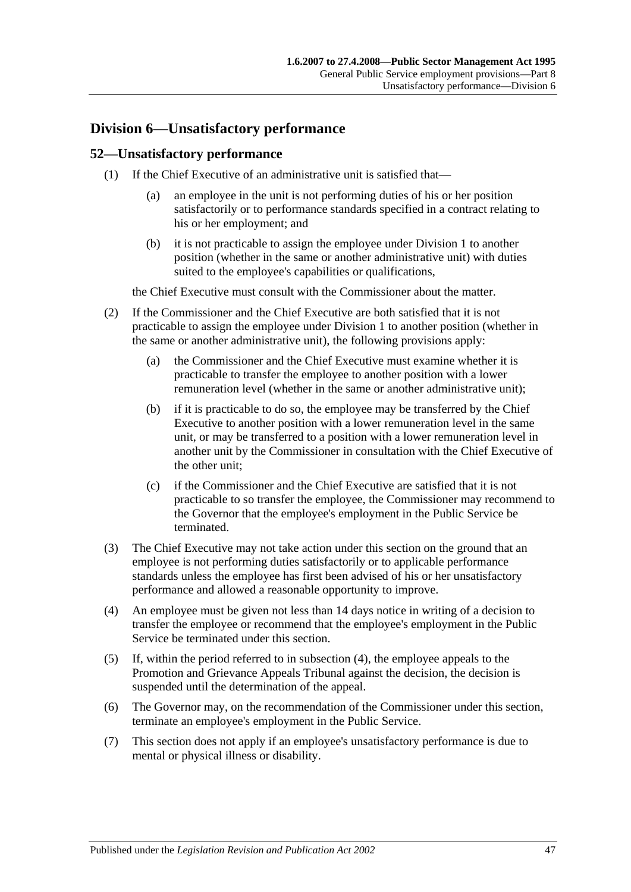## **Division 6—Unsatisfactory performance**

#### **52—Unsatisfactory performance**

- (1) If the Chief Executive of an administrative unit is satisfied that—
	- (a) an employee in the unit is not performing duties of his or her position satisfactorily or to performance standards specified in a contract relating to his or her employment; and
	- (b) it is not practicable to assign the employee under [Division 1](#page-42-2) to another position (whether in the same or another administrative unit) with duties suited to the employee's capabilities or qualifications,

the Chief Executive must consult with the Commissioner about the matter.

- (2) If the Commissioner and the Chief Executive are both satisfied that it is not practicable to assign the employee under [Division 1](#page-42-2) to another position (whether in the same or another administrative unit), the following provisions apply:
	- (a) the Commissioner and the Chief Executive must examine whether it is practicable to transfer the employee to another position with a lower remuneration level (whether in the same or another administrative unit);
	- (b) if it is practicable to do so, the employee may be transferred by the Chief Executive to another position with a lower remuneration level in the same unit, or may be transferred to a position with a lower remuneration level in another unit by the Commissioner in consultation with the Chief Executive of the other unit;
	- (c) if the Commissioner and the Chief Executive are satisfied that it is not practicable to so transfer the employee, the Commissioner may recommend to the Governor that the employee's employment in the Public Service be terminated.
- (3) The Chief Executive may not take action under this section on the ground that an employee is not performing duties satisfactorily or to applicable performance standards unless the employee has first been advised of his or her unsatisfactory performance and allowed a reasonable opportunity to improve.
- <span id="page-46-0"></span>(4) An employee must be given not less than 14 days notice in writing of a decision to transfer the employee or recommend that the employee's employment in the Public Service be terminated under this section.
- (5) If, within the period referred to in [subsection](#page-46-0) (4), the employee appeals to the Promotion and Grievance Appeals Tribunal against the decision, the decision is suspended until the determination of the appeal.
- (6) The Governor may, on the recommendation of the Commissioner under this section, terminate an employee's employment in the Public Service.
- (7) This section does not apply if an employee's unsatisfactory performance is due to mental or physical illness or disability.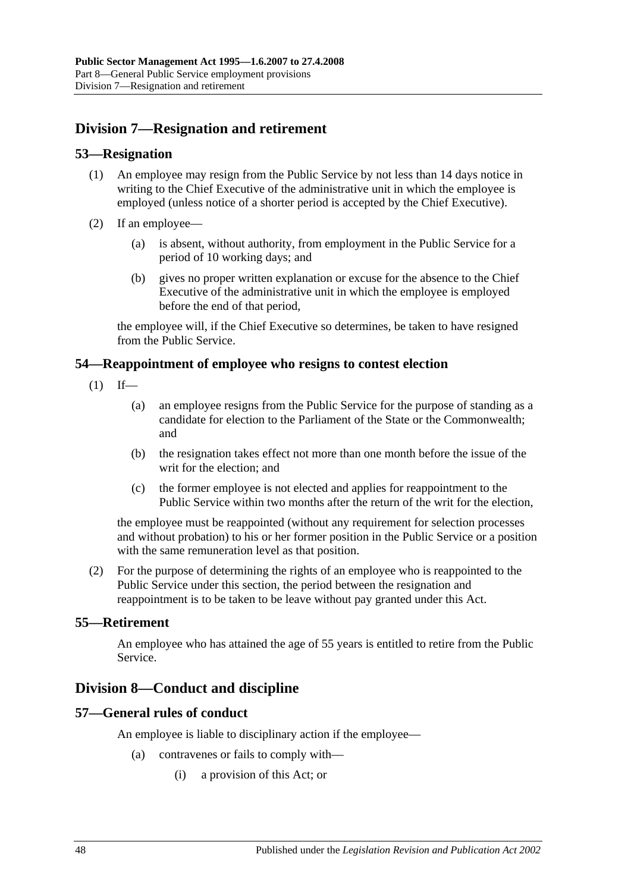## **Division 7—Resignation and retirement**

#### **53—Resignation**

- (1) An employee may resign from the Public Service by not less than 14 days notice in writing to the Chief Executive of the administrative unit in which the employee is employed (unless notice of a shorter period is accepted by the Chief Executive).
- (2) If an employee—
	- (a) is absent, without authority, from employment in the Public Service for a period of 10 working days; and
	- (b) gives no proper written explanation or excuse for the absence to the Chief Executive of the administrative unit in which the employee is employed before the end of that period,

the employee will, if the Chief Executive so determines, be taken to have resigned from the Public Service.

#### **54—Reappointment of employee who resigns to contest election**

- $(1)$  If—
	- (a) an employee resigns from the Public Service for the purpose of standing as a candidate for election to the Parliament of the State or the Commonwealth; and
	- (b) the resignation takes effect not more than one month before the issue of the writ for the election; and
	- (c) the former employee is not elected and applies for reappointment to the Public Service within two months after the return of the writ for the election,

the employee must be reappointed (without any requirement for selection processes and without probation) to his or her former position in the Public Service or a position with the same remuneration level as that position.

(2) For the purpose of determining the rights of an employee who is reappointed to the Public Service under this section, the period between the resignation and reappointment is to be taken to be leave without pay granted under this Act.

#### **55—Retirement**

An employee who has attained the age of 55 years is entitled to retire from the Public Service.

### **Division 8—Conduct and discipline**

#### **57—General rules of conduct**

An employee is liable to disciplinary action if the employee—

- (a) contravenes or fails to comply with—
	- (i) a provision of this Act; or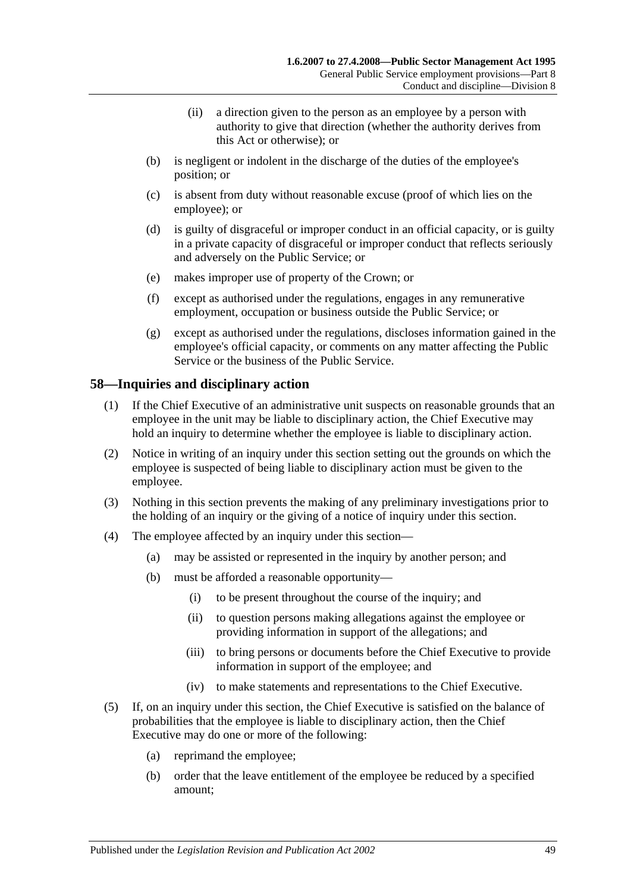- (ii) a direction given to the person as an employee by a person with authority to give that direction (whether the authority derives from this Act or otherwise); or
- (b) is negligent or indolent in the discharge of the duties of the employee's position; or
- (c) is absent from duty without reasonable excuse (proof of which lies on the employee); or
- (d) is guilty of disgraceful or improper conduct in an official capacity, or is guilty in a private capacity of disgraceful or improper conduct that reflects seriously and adversely on the Public Service; or
- (e) makes improper use of property of the Crown; or
- (f) except as authorised under the regulations, engages in any remunerative employment, occupation or business outside the Public Service; or
- (g) except as authorised under the regulations, discloses information gained in the employee's official capacity, or comments on any matter affecting the Public Service or the business of the Public Service.

#### **58—Inquiries and disciplinary action**

- (1) If the Chief Executive of an administrative unit suspects on reasonable grounds that an employee in the unit may be liable to disciplinary action, the Chief Executive may hold an inquiry to determine whether the employee is liable to disciplinary action.
- (2) Notice in writing of an inquiry under this section setting out the grounds on which the employee is suspected of being liable to disciplinary action must be given to the employee.
- (3) Nothing in this section prevents the making of any preliminary investigations prior to the holding of an inquiry or the giving of a notice of inquiry under this section.
- (4) The employee affected by an inquiry under this section—
	- (a) may be assisted or represented in the inquiry by another person; and
	- (b) must be afforded a reasonable opportunity—
		- (i) to be present throughout the course of the inquiry; and
		- (ii) to question persons making allegations against the employee or providing information in support of the allegations; and
		- (iii) to bring persons or documents before the Chief Executive to provide information in support of the employee; and
		- (iv) to make statements and representations to the Chief Executive.
- <span id="page-48-0"></span>(5) If, on an inquiry under this section, the Chief Executive is satisfied on the balance of probabilities that the employee is liable to disciplinary action, then the Chief Executive may do one or more of the following:
	- (a) reprimand the employee;
	- (b) order that the leave entitlement of the employee be reduced by a specified amount;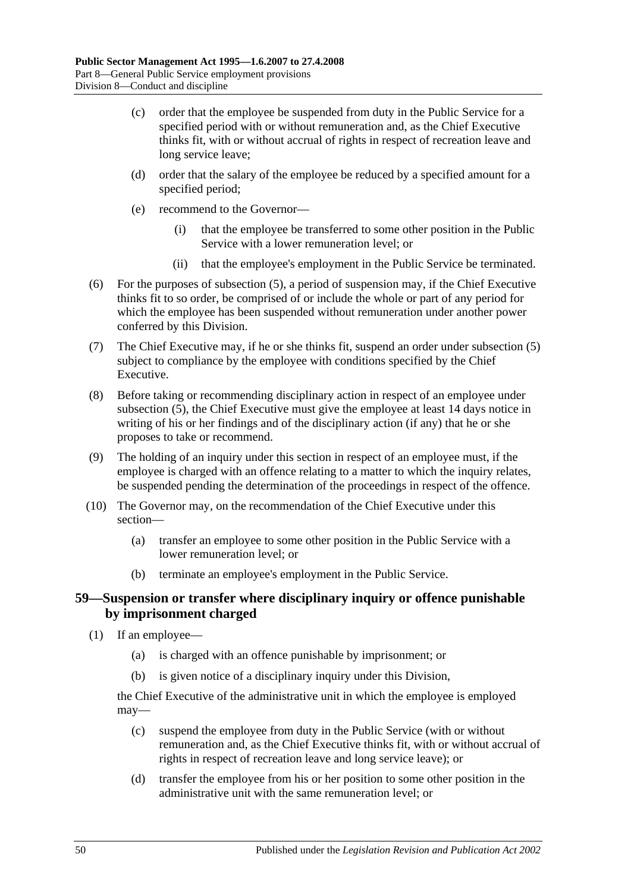- (c) order that the employee be suspended from duty in the Public Service for a specified period with or without remuneration and, as the Chief Executive thinks fit, with or without accrual of rights in respect of recreation leave and long service leave;
- (d) order that the salary of the employee be reduced by a specified amount for a specified period;
- (e) recommend to the Governor—
	- (i) that the employee be transferred to some other position in the Public Service with a lower remuneration level; or
	- (ii) that the employee's employment in the Public Service be terminated.
- (6) For the purposes of [subsection](#page-48-0) (5), a period of suspension may, if the Chief Executive thinks fit to so order, be comprised of or include the whole or part of any period for which the employee has been suspended without remuneration under another power conferred by this Division.
- (7) The Chief Executive may, if he or she thinks fit, suspend an order under [subsection](#page-48-0) (5) subject to compliance by the employee with conditions specified by the Chief Executive.
- (8) Before taking or recommending disciplinary action in respect of an employee under [subsection](#page-48-0) (5), the Chief Executive must give the employee at least 14 days notice in writing of his or her findings and of the disciplinary action (if any) that he or she proposes to take or recommend.
- (9) The holding of an inquiry under this section in respect of an employee must, if the employee is charged with an offence relating to a matter to which the inquiry relates, be suspended pending the determination of the proceedings in respect of the offence.
- (10) The Governor may, on the recommendation of the Chief Executive under this section—
	- (a) transfer an employee to some other position in the Public Service with a lower remuneration level; or
	- (b) terminate an employee's employment in the Public Service.

#### **59—Suspension or transfer where disciplinary inquiry or offence punishable by imprisonment charged**

- (1) If an employee—
	- (a) is charged with an offence punishable by imprisonment; or
	- (b) is given notice of a disciplinary inquiry under this Division,

the Chief Executive of the administrative unit in which the employee is employed may—

- (c) suspend the employee from duty in the Public Service (with or without remuneration and, as the Chief Executive thinks fit, with or without accrual of rights in respect of recreation leave and long service leave); or
- (d) transfer the employee from his or her position to some other position in the administrative unit with the same remuneration level; or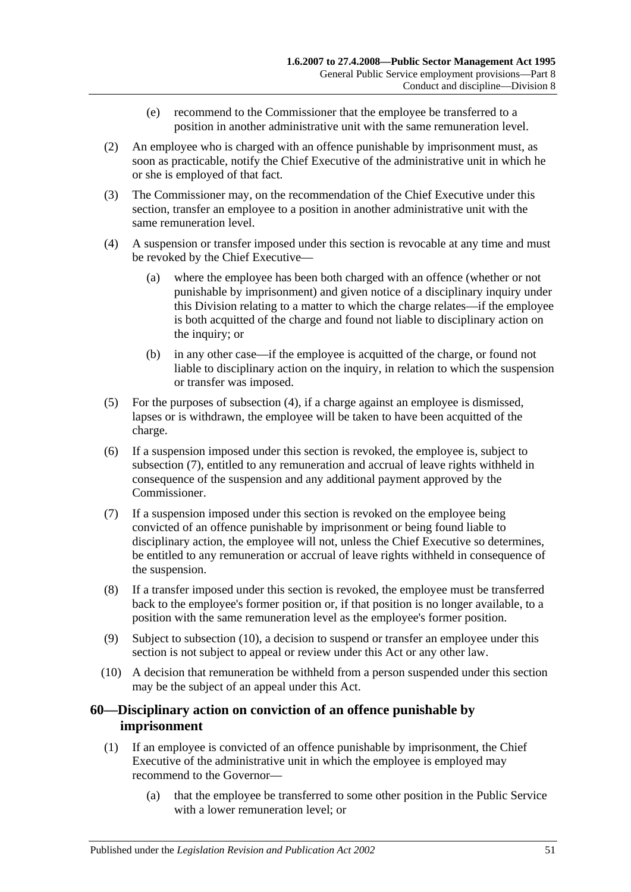- (e) recommend to the Commissioner that the employee be transferred to a position in another administrative unit with the same remuneration level.
- (2) An employee who is charged with an offence punishable by imprisonment must, as soon as practicable, notify the Chief Executive of the administrative unit in which he or she is employed of that fact.
- (3) The Commissioner may, on the recommendation of the Chief Executive under this section, transfer an employee to a position in another administrative unit with the same remuneration level.
- <span id="page-50-0"></span>(4) A suspension or transfer imposed under this section is revocable at any time and must be revoked by the Chief Executive—
	- (a) where the employee has been both charged with an offence (whether or not punishable by imprisonment) and given notice of a disciplinary inquiry under this Division relating to a matter to which the charge relates—if the employee is both acquitted of the charge and found not liable to disciplinary action on the inquiry; or
	- (b) in any other case—if the employee is acquitted of the charge, or found not liable to disciplinary action on the inquiry, in relation to which the suspension or transfer was imposed.
- (5) For the purposes of [subsection](#page-50-0) (4), if a charge against an employee is dismissed, lapses or is withdrawn, the employee will be taken to have been acquitted of the charge.
- (6) If a suspension imposed under this section is revoked, the employee is, subject to [subsection](#page-50-1) (7), entitled to any remuneration and accrual of leave rights withheld in consequence of the suspension and any additional payment approved by the Commissioner.
- <span id="page-50-1"></span>(7) If a suspension imposed under this section is revoked on the employee being convicted of an offence punishable by imprisonment or being found liable to disciplinary action, the employee will not, unless the Chief Executive so determines, be entitled to any remuneration or accrual of leave rights withheld in consequence of the suspension.
- (8) If a transfer imposed under this section is revoked, the employee must be transferred back to the employee's former position or, if that position is no longer available, to a position with the same remuneration level as the employee's former position.
- (9) Subject to [subsection](#page-50-2) (10), a decision to suspend or transfer an employee under this section is not subject to appeal or review under this Act or any other law.
- <span id="page-50-2"></span>(10) A decision that remuneration be withheld from a person suspended under this section may be the subject of an appeal under this Act.

#### **60—Disciplinary action on conviction of an offence punishable by imprisonment**

- <span id="page-50-3"></span>(1) If an employee is convicted of an offence punishable by imprisonment, the Chief Executive of the administrative unit in which the employee is employed may recommend to the Governor—
	- (a) that the employee be transferred to some other position in the Public Service with a lower remuneration level; or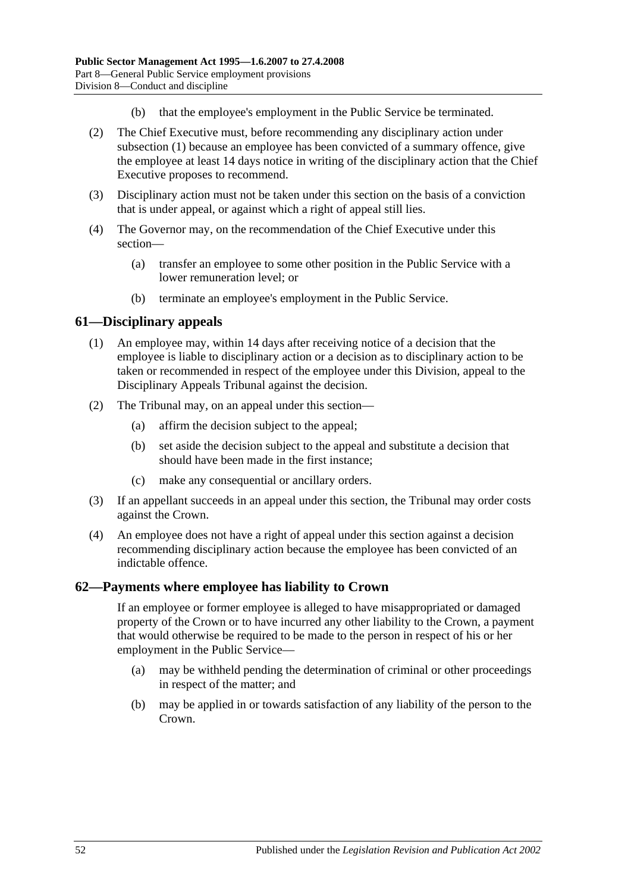- (b) that the employee's employment in the Public Service be terminated.
- (2) The Chief Executive must, before recommending any disciplinary action under [subsection](#page-50-3) (1) because an employee has been convicted of a summary offence, give the employee at least 14 days notice in writing of the disciplinary action that the Chief Executive proposes to recommend.
- (3) Disciplinary action must not be taken under this section on the basis of a conviction that is under appeal, or against which a right of appeal still lies.
- (4) The Governor may, on the recommendation of the Chief Executive under this section—
	- (a) transfer an employee to some other position in the Public Service with a lower remuneration level; or
	- (b) terminate an employee's employment in the Public Service.

#### **61—Disciplinary appeals**

- (1) An employee may, within 14 days after receiving notice of a decision that the employee is liable to disciplinary action or a decision as to disciplinary action to be taken or recommended in respect of the employee under this Division, appeal to the Disciplinary Appeals Tribunal against the decision.
- (2) The Tribunal may, on an appeal under this section—
	- (a) affirm the decision subject to the appeal;
	- (b) set aside the decision subject to the appeal and substitute a decision that should have been made in the first instance;
	- (c) make any consequential or ancillary orders.
- (3) If an appellant succeeds in an appeal under this section, the Tribunal may order costs against the Crown.
- (4) An employee does not have a right of appeal under this section against a decision recommending disciplinary action because the employee has been convicted of an indictable offence.

#### **62—Payments where employee has liability to Crown**

If an employee or former employee is alleged to have misappropriated or damaged property of the Crown or to have incurred any other liability to the Crown, a payment that would otherwise be required to be made to the person in respect of his or her employment in the Public Service—

- (a) may be withheld pending the determination of criminal or other proceedings in respect of the matter; and
- (b) may be applied in or towards satisfaction of any liability of the person to the Crown.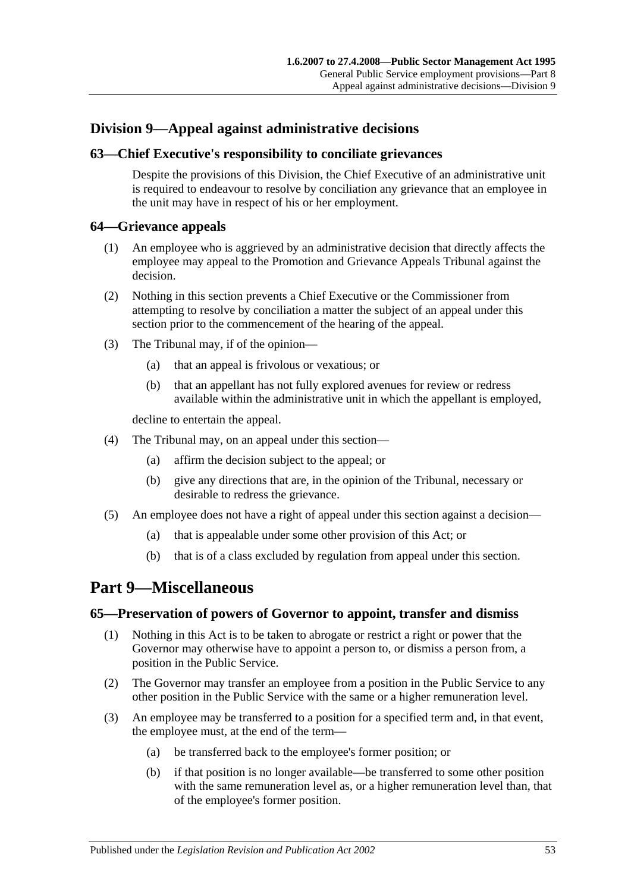## **Division 9—Appeal against administrative decisions**

#### **63—Chief Executive's responsibility to conciliate grievances**

Despite the provisions of this Division, the Chief Executive of an administrative unit is required to endeavour to resolve by conciliation any grievance that an employee in the unit may have in respect of his or her employment.

#### **64—Grievance appeals**

- (1) An employee who is aggrieved by an administrative decision that directly affects the employee may appeal to the Promotion and Grievance Appeals Tribunal against the decision.
- (2) Nothing in this section prevents a Chief Executive or the Commissioner from attempting to resolve by conciliation a matter the subject of an appeal under this section prior to the commencement of the hearing of the appeal.
- (3) The Tribunal may, if of the opinion—
	- (a) that an appeal is frivolous or vexatious; or
	- (b) that an appellant has not fully explored avenues for review or redress available within the administrative unit in which the appellant is employed,

decline to entertain the appeal.

- (4) The Tribunal may, on an appeal under this section—
	- (a) affirm the decision subject to the appeal; or
	- (b) give any directions that are, in the opinion of the Tribunal, necessary or desirable to redress the grievance.
- (5) An employee does not have a right of appeal under this section against a decision—
	- (a) that is appealable under some other provision of this Act; or
	- (b) that is of a class excluded by regulation from appeal under this section.

## <span id="page-52-0"></span>**Part 9—Miscellaneous**

#### **65—Preservation of powers of Governor to appoint, transfer and dismiss**

- (1) Nothing in this Act is to be taken to abrogate or restrict a right or power that the Governor may otherwise have to appoint a person to, or dismiss a person from, a position in the Public Service.
- (2) The Governor may transfer an employee from a position in the Public Service to any other position in the Public Service with the same or a higher remuneration level.
- (3) An employee may be transferred to a position for a specified term and, in that event, the employee must, at the end of the term—
	- (a) be transferred back to the employee's former position; or
	- (b) if that position is no longer available—be transferred to some other position with the same remuneration level as, or a higher remuneration level than, that of the employee's former position.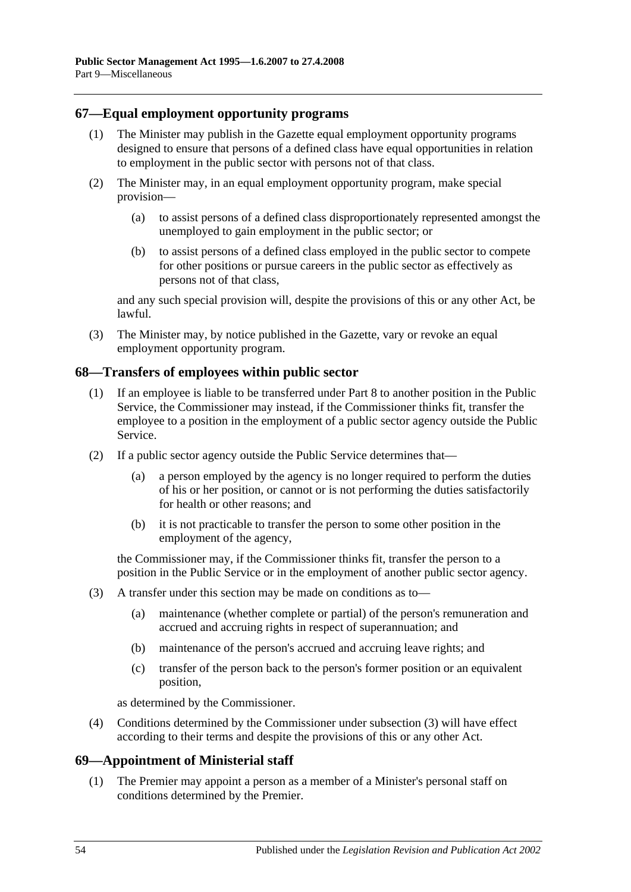#### **67—Equal employment opportunity programs**

- (1) The Minister may publish in the Gazette equal employment opportunity programs designed to ensure that persons of a defined class have equal opportunities in relation to employment in the public sector with persons not of that class.
- (2) The Minister may, in an equal employment opportunity program, make special provision—
	- (a) to assist persons of a defined class disproportionately represented amongst the unemployed to gain employment in the public sector; or
	- (b) to assist persons of a defined class employed in the public sector to compete for other positions or pursue careers in the public sector as effectively as persons not of that class,

and any such special provision will, despite the provisions of this or any other Act, be lawful.

(3) The Minister may, by notice published in the Gazette, vary or revoke an equal employment opportunity program.

#### **68—Transfers of employees within public sector**

- (1) If an employee is liable to be transferred under [Part 8](#page-42-0) to another position in the Public Service, the Commissioner may instead, if the Commissioner thinks fit, transfer the employee to a position in the employment of a public sector agency outside the Public Service.
- (2) If a public sector agency outside the Public Service determines that—
	- (a) a person employed by the agency is no longer required to perform the duties of his or her position, or cannot or is not performing the duties satisfactorily for health or other reasons; and
	- (b) it is not practicable to transfer the person to some other position in the employment of the agency,

the Commissioner may, if the Commissioner thinks fit, transfer the person to a position in the Public Service or in the employment of another public sector agency.

- <span id="page-53-0"></span>(3) A transfer under this section may be made on conditions as to—
	- (a) maintenance (whether complete or partial) of the person's remuneration and accrued and accruing rights in respect of superannuation; and
	- (b) maintenance of the person's accrued and accruing leave rights; and
	- (c) transfer of the person back to the person's former position or an equivalent position,

as determined by the Commissioner.

(4) Conditions determined by the Commissioner under [subsection](#page-53-0) (3) will have effect according to their terms and despite the provisions of this or any other Act.

#### **69—Appointment of Ministerial staff**

(1) The Premier may appoint a person as a member of a Minister's personal staff on conditions determined by the Premier.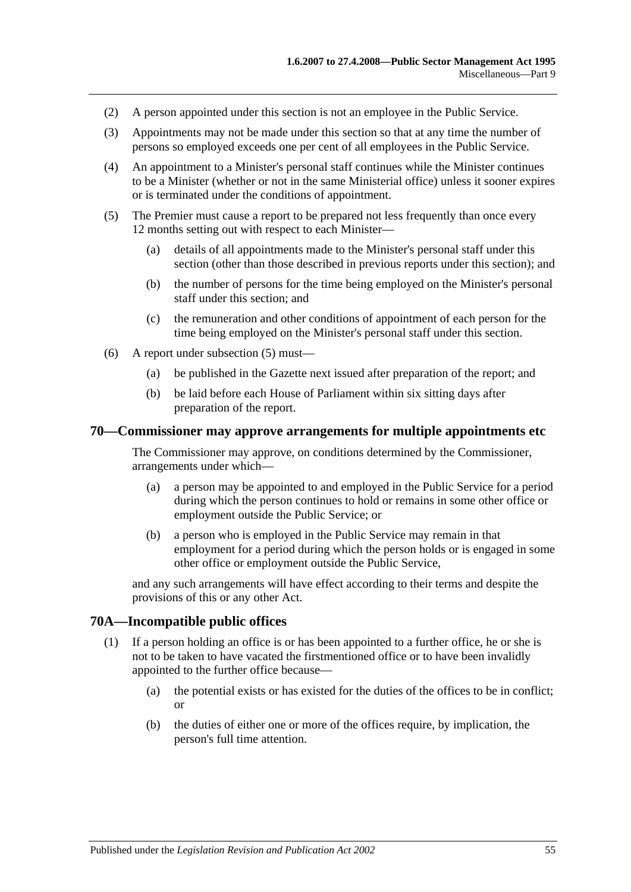- (2) A person appointed under this section is not an employee in the Public Service.
- (3) Appointments may not be made under this section so that at any time the number of persons so employed exceeds one per cent of all employees in the Public Service.
- (4) An appointment to a Minister's personal staff continues while the Minister continues to be a Minister (whether or not in the same Ministerial office) unless it sooner expires or is terminated under the conditions of appointment.
- <span id="page-54-0"></span>(5) The Premier must cause a report to be prepared not less frequently than once every 12 months setting out with respect to each Minister—
	- (a) details of all appointments made to the Minister's personal staff under this section (other than those described in previous reports under this section); and
	- (b) the number of persons for the time being employed on the Minister's personal staff under this section; and
	- (c) the remuneration and other conditions of appointment of each person for the time being employed on the Minister's personal staff under this section.
- (6) A report under [subsection](#page-54-0) (5) must—
	- (a) be published in the Gazette next issued after preparation of the report; and
	- (b) be laid before each House of Parliament within six sitting days after preparation of the report.

#### **70—Commissioner may approve arrangements for multiple appointments etc**

The Commissioner may approve, on conditions determined by the Commissioner, arrangements under which—

- (a) a person may be appointed to and employed in the Public Service for a period during which the person continues to hold or remains in some other office or employment outside the Public Service; or
- (b) a person who is employed in the Public Service may remain in that employment for a period during which the person holds or is engaged in some other office or employment outside the Public Service,

and any such arrangements will have effect according to their terms and despite the provisions of this or any other Act.

#### **70A—Incompatible public offices**

- (1) If a person holding an office is or has been appointed to a further office, he or she is not to be taken to have vacated the firstmentioned office or to have been invalidly appointed to the further office because—
	- (a) the potential exists or has existed for the duties of the offices to be in conflict; or
	- (b) the duties of either one or more of the offices require, by implication, the person's full time attention.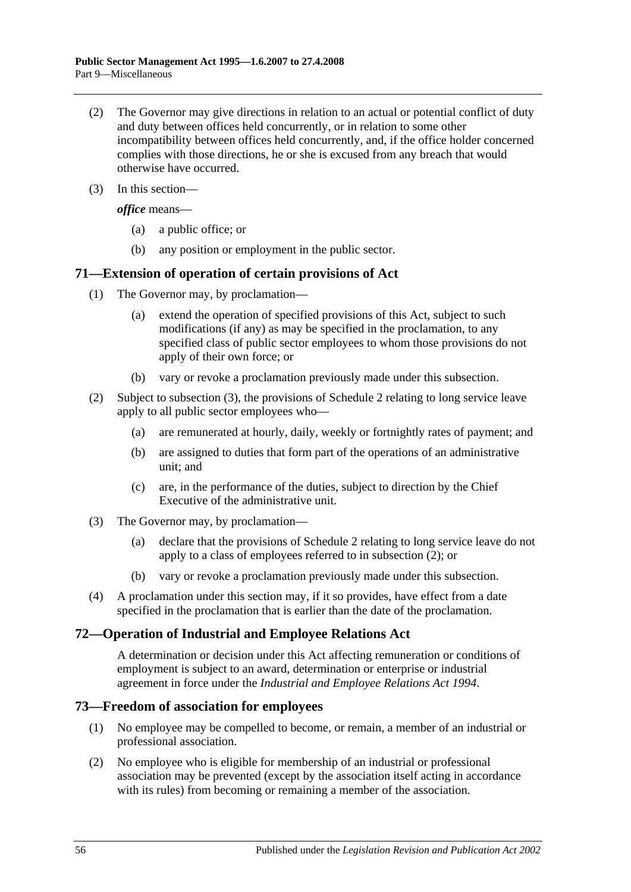- (2) The Governor may give directions in relation to an actual or potential conflict of duty and duty between offices held concurrently, or in relation to some other incompatibility between offices held concurrently, and, if the office holder concerned complies with those directions, he or she is excused from any breach that would otherwise have occurred.
- (3) In this section—

*office* means—

- (a) a public office; or
- (b) any position or employment in the public sector.

#### **71—Extension of operation of certain provisions of Act**

- (1) The Governor may, by proclamation—
	- (a) extend the operation of specified provisions of this Act, subject to such modifications (if any) as may be specified in the proclamation, to any specified class of public sector employees to whom those provisions do not apply of their own force; or
	- (b) vary or revoke a proclamation previously made under this subsection.
- <span id="page-55-1"></span>(2) Subject to [subsection](#page-55-0) (3), the provisions of [Schedule 2](#page-59-0) relating to long service leave apply to all public sector employees who—
	- (a) are remunerated at hourly, daily, weekly or fortnightly rates of payment; and
	- (b) are assigned to duties that form part of the operations of an administrative unit; and
	- (c) are, in the performance of the duties, subject to direction by the Chief Executive of the administrative unit.
- <span id="page-55-0"></span>(3) The Governor may, by proclamation—
	- (a) declare that the provisions of [Schedule 2](#page-59-0) relating to long service leave do not apply to a class of employees referred to in [subsection](#page-55-1) (2); or
	- (b) vary or revoke a proclamation previously made under this subsection.
- (4) A proclamation under this section may, if it so provides, have effect from a date specified in the proclamation that is earlier than the date of the proclamation.

#### **72—Operation of Industrial and Employee Relations Act**

A determination or decision under this Act affecting remuneration or conditions of employment is subject to an award, determination or enterprise or industrial agreement in force under the *Industrial [and Employee Relations Act](http://www.legislation.sa.gov.au/index.aspx?action=legref&type=act&legtitle=Industrial%20and%20Employee%20Relations%20Act%201994) 1994*.

#### **73—Freedom of association for employees**

- (1) No employee may be compelled to become, or remain, a member of an industrial or professional association.
- (2) No employee who is eligible for membership of an industrial or professional association may be prevented (except by the association itself acting in accordance with its rules) from becoming or remaining a member of the association.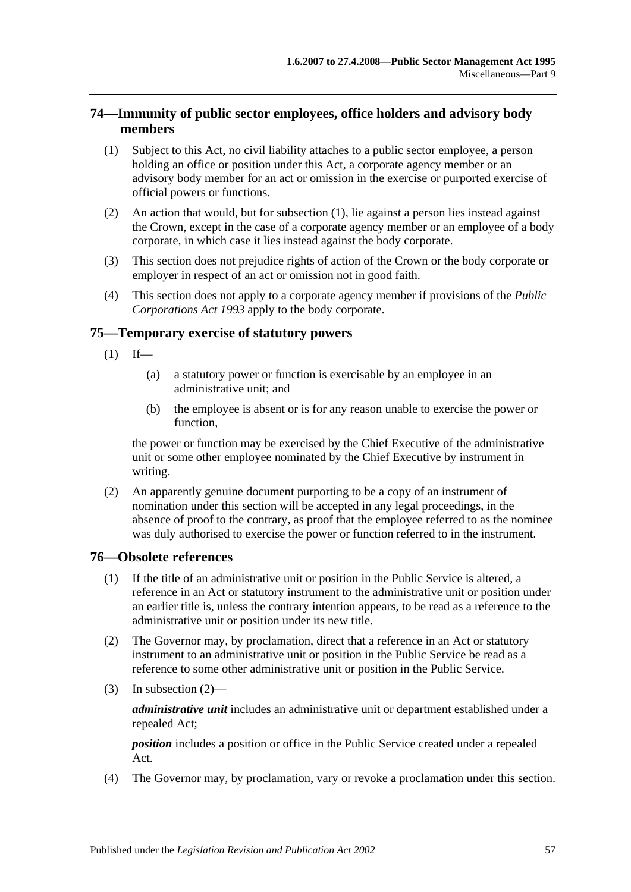### **74—Immunity of public sector employees, office holders and advisory body members**

- <span id="page-56-0"></span>(1) Subject to this Act, no civil liability attaches to a public sector employee, a person holding an office or position under this Act, a corporate agency member or an advisory body member for an act or omission in the exercise or purported exercise of official powers or functions.
- (2) An action that would, but for [subsection](#page-56-0) (1), lie against a person lies instead against the Crown, except in the case of a corporate agency member or an employee of a body corporate, in which case it lies instead against the body corporate.
- (3) This section does not prejudice rights of action of the Crown or the body corporate or employer in respect of an act or omission not in good faith.
- (4) This section does not apply to a corporate agency member if provisions of the *[Public](http://www.legislation.sa.gov.au/index.aspx?action=legref&type=act&legtitle=Public%20Corporations%20Act%201993)  [Corporations Act](http://www.legislation.sa.gov.au/index.aspx?action=legref&type=act&legtitle=Public%20Corporations%20Act%201993) 1993* apply to the body corporate.

#### **75—Temporary exercise of statutory powers**

- $(1)$  If—
	- (a) a statutory power or function is exercisable by an employee in an administrative unit; and
	- (b) the employee is absent or is for any reason unable to exercise the power or function,

the power or function may be exercised by the Chief Executive of the administrative unit or some other employee nominated by the Chief Executive by instrument in writing.

(2) An apparently genuine document purporting to be a copy of an instrument of nomination under this section will be accepted in any legal proceedings, in the absence of proof to the contrary, as proof that the employee referred to as the nominee was duly authorised to exercise the power or function referred to in the instrument.

#### **76—Obsolete references**

- (1) If the title of an administrative unit or position in the Public Service is altered, a reference in an Act or statutory instrument to the administrative unit or position under an earlier title is, unless the contrary intention appears, to be read as a reference to the administrative unit or position under its new title.
- <span id="page-56-1"></span>(2) The Governor may, by proclamation, direct that a reference in an Act or statutory instrument to an administrative unit or position in the Public Service be read as a reference to some other administrative unit or position in the Public Service.
- (3) In [subsection](#page-56-1) (2)—

*administrative unit* includes an administrative unit or department established under a repealed Act;

*position* includes a position or office in the Public Service created under a repealed Act.

(4) The Governor may, by proclamation, vary or revoke a proclamation under this section.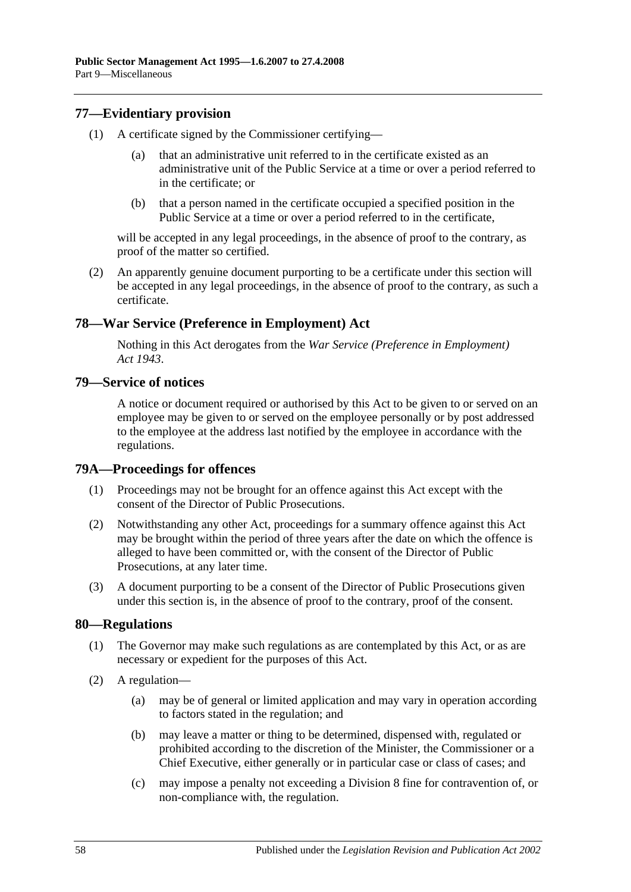#### **77—Evidentiary provision**

- (1) A certificate signed by the Commissioner certifying
	- that an administrative unit referred to in the certificate existed as an administrative unit of the Public Service at a time or over a period referred to in the certificate; or
	- (b) that a person named in the certificate occupied a specified position in the Public Service at a time or over a period referred to in the certificate,

will be accepted in any legal proceedings, in the absence of proof to the contrary, as proof of the matter so certified.

(2) An apparently genuine document purporting to be a certificate under this section will be accepted in any legal proceedings, in the absence of proof to the contrary, as such a certificate.

#### **78—War Service (Preference in Employment) Act**

Nothing in this Act derogates from the *[War Service \(Preference in Employment\)](http://www.legislation.sa.gov.au/index.aspx?action=legref&type=act&legtitle=War%20Service%20(Preference%20in%20Employment)%20Act%201943)  Act [1943](http://www.legislation.sa.gov.au/index.aspx?action=legref&type=act&legtitle=War%20Service%20(Preference%20in%20Employment)%20Act%201943)*.

#### **79—Service of notices**

A notice or document required or authorised by this Act to be given to or served on an employee may be given to or served on the employee personally or by post addressed to the employee at the address last notified by the employee in accordance with the regulations.

#### **79A—Proceedings for offences**

- (1) Proceedings may not be brought for an offence against this Act except with the consent of the Director of Public Prosecutions.
- (2) Notwithstanding any other Act, proceedings for a summary offence against this Act may be brought within the period of three years after the date on which the offence is alleged to have been committed or, with the consent of the Director of Public Prosecutions, at any later time.
- (3) A document purporting to be a consent of the Director of Public Prosecutions given under this section is, in the absence of proof to the contrary, proof of the consent.

#### **80—Regulations**

- (1) The Governor may make such regulations as are contemplated by this Act, or as are necessary or expedient for the purposes of this Act.
- (2) A regulation—
	- (a) may be of general or limited application and may vary in operation according to factors stated in the regulation; and
	- (b) may leave a matter or thing to be determined, dispensed with, regulated or prohibited according to the discretion of the Minister, the Commissioner or a Chief Executive, either generally or in particular case or class of cases; and
	- (c) may impose a penalty not exceeding a Division 8 fine for contravention of, or non-compliance with, the regulation.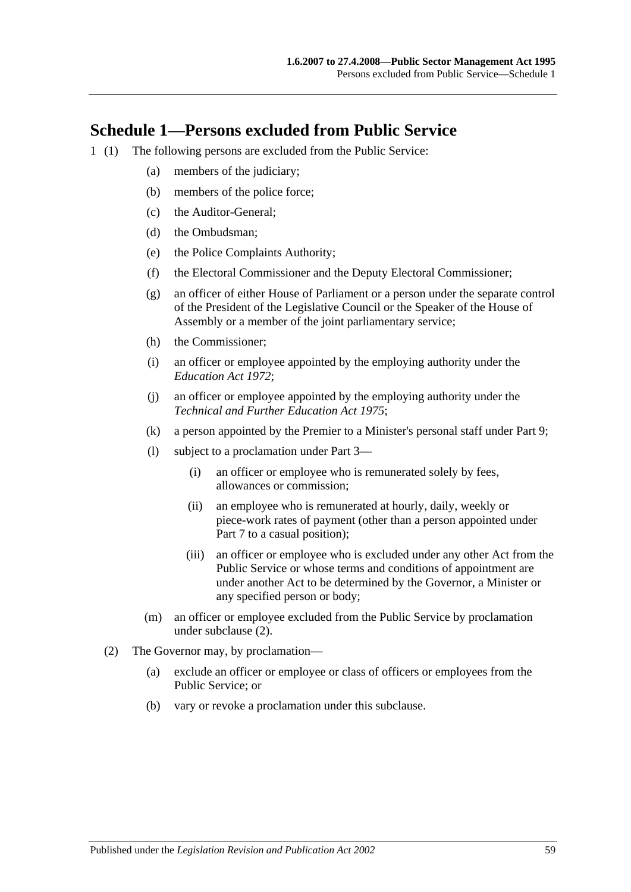## **Schedule 1—Persons excluded from Public Service**

- <span id="page-58-0"></span>1 (1) The following persons are excluded from the Public Service:
	- (a) members of the judiciary;
	- (b) members of the police force;
	- (c) the Auditor-General;
	- (d) the Ombudsman;
	- (e) the Police Complaints Authority;
	- (f) the Electoral Commissioner and the Deputy Electoral Commissioner;
	- (g) an officer of either House of Parliament or a person under the separate control of the President of the Legislative Council or the Speaker of the House of Assembly or a member of the joint parliamentary service;
	- (h) the Commissioner;
	- (i) an officer or employee appointed by the employing authority under the *[Education Act](http://www.legislation.sa.gov.au/index.aspx?action=legref&type=act&legtitle=Education%20Act%201972) 1972*;
	- (j) an officer or employee appointed by the employing authority under the *[Technical and Further Education Act](http://www.legislation.sa.gov.au/index.aspx?action=legref&type=act&legtitle=Technical%20and%20Further%20Education%20Act%201975) 1975*;
	- (k) a person appointed by the Premier to a Minister's personal staff under [Part 9;](#page-52-0)
	- (l) subject to a proclamation under [Part 3—](#page-24-0)
		- (i) an officer or employee who is remunerated solely by fees, allowances or commission;
		- (ii) an employee who is remunerated at hourly, daily, weekly or piece-work rates of payment (other than a person appointed under [Part 7](#page-35-0) to a casual position);
		- (iii) an officer or employee who is excluded under any other Act from the Public Service or whose terms and conditions of appointment are under another Act to be determined by the Governor, a Minister or any specified person or body;
	- (m) an officer or employee excluded from the Public Service by proclamation under [subclause](#page-58-0) (2).
	- (2) The Governor may, by proclamation—
		- (a) exclude an officer or employee or class of officers or employees from the Public Service; or
		- (b) vary or revoke a proclamation under this subclause.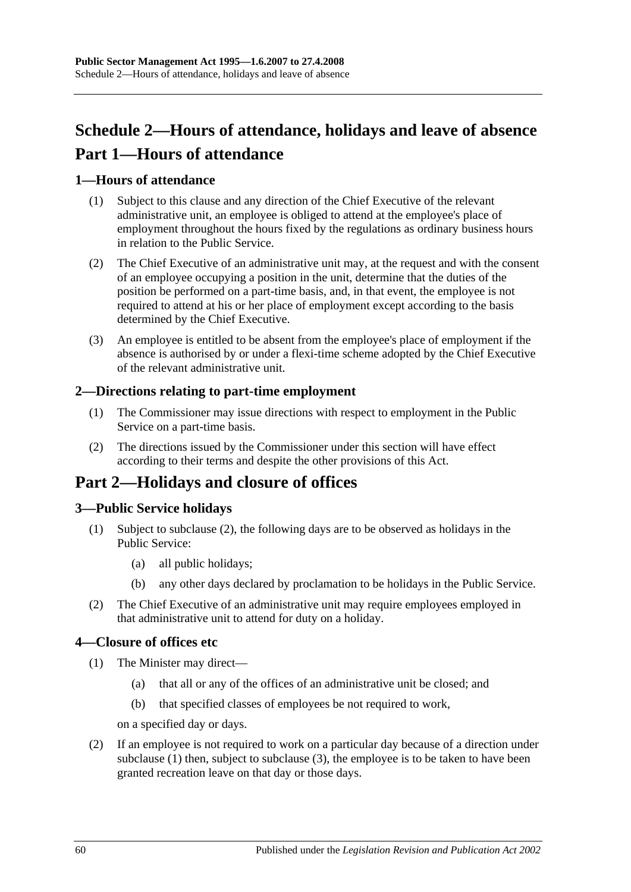# <span id="page-59-0"></span>**Schedule 2—Hours of attendance, holidays and leave of absence Part 1—Hours of attendance**

### **1—Hours of attendance**

- (1) Subject to this clause and any direction of the Chief Executive of the relevant administrative unit, an employee is obliged to attend at the employee's place of employment throughout the hours fixed by the regulations as ordinary business hours in relation to the Public Service.
- (2) The Chief Executive of an administrative unit may, at the request and with the consent of an employee occupying a position in the unit, determine that the duties of the position be performed on a part-time basis, and, in that event, the employee is not required to attend at his or her place of employment except according to the basis determined by the Chief Executive.
- (3) An employee is entitled to be absent from the employee's place of employment if the absence is authorised by or under a flexi-time scheme adopted by the Chief Executive of the relevant administrative unit.

#### **2—Directions relating to part-time employment**

- (1) The Commissioner may issue directions with respect to employment in the Public Service on a part-time basis.
- (2) The directions issued by the Commissioner under this section will have effect according to their terms and despite the other provisions of this Act.

## **Part 2—Holidays and closure of offices**

### **3—Public Service holidays**

- (1) Subject to [subclause](#page-59-1) (2), the following days are to be observed as holidays in the Public Service:
	- (a) all public holidays;
	- (b) any other days declared by proclamation to be holidays in the Public Service.
- <span id="page-59-1"></span>(2) The Chief Executive of an administrative unit may require employees employed in that administrative unit to attend for duty on a holiday.

#### <span id="page-59-2"></span>**4—Closure of offices etc**

- (1) The Minister may direct—
	- (a) that all or any of the offices of an administrative unit be closed; and
	- (b) that specified classes of employees be not required to work,

on a specified day or days.

<span id="page-59-3"></span>(2) If an employee is not required to work on a particular day because of a direction under [subclause](#page-59-2) (1) then, subject to [subclause](#page-60-0) (3), the employee is to be taken to have been granted recreation leave on that day or those days.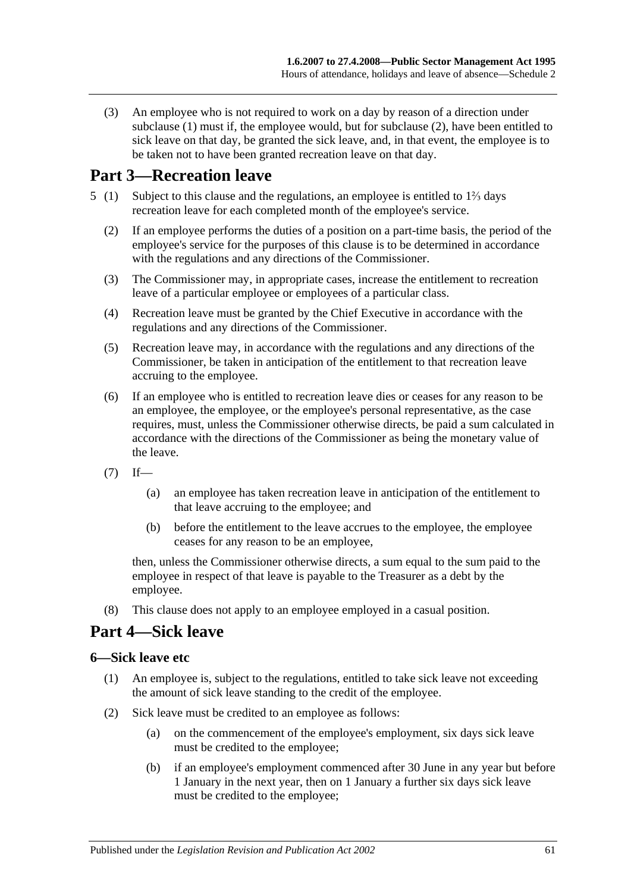<span id="page-60-0"></span>(3) An employee who is not required to work on a day by reason of a direction under [subclause](#page-59-2) (1) must if, the employee would, but for [subclause](#page-59-3) (2), have been entitled to sick leave on that day, be granted the sick leave, and, in that event, the employee is to be taken not to have been granted recreation leave on that day.

## **Part 3—Recreation leave**

- 5 (1) Subject to this clause and the regulations, an employee is entitled to 1⅔ days recreation leave for each completed month of the employee's service.
	- (2) If an employee performs the duties of a position on a part-time basis, the period of the employee's service for the purposes of this clause is to be determined in accordance with the regulations and any directions of the Commissioner.
	- (3) The Commissioner may, in appropriate cases, increase the entitlement to recreation leave of a particular employee or employees of a particular class.
	- (4) Recreation leave must be granted by the Chief Executive in accordance with the regulations and any directions of the Commissioner.
	- (5) Recreation leave may, in accordance with the regulations and any directions of the Commissioner, be taken in anticipation of the entitlement to that recreation leave accruing to the employee.
	- (6) If an employee who is entitled to recreation leave dies or ceases for any reason to be an employee, the employee, or the employee's personal representative, as the case requires, must, unless the Commissioner otherwise directs, be paid a sum calculated in accordance with the directions of the Commissioner as being the monetary value of the leave.
	- $(7)$  If—
		- (a) an employee has taken recreation leave in anticipation of the entitlement to that leave accruing to the employee; and
		- (b) before the entitlement to the leave accrues to the employee, the employee ceases for any reason to be an employee,

then, unless the Commissioner otherwise directs, a sum equal to the sum paid to the employee in respect of that leave is payable to the Treasurer as a debt by the employee.

(8) This clause does not apply to an employee employed in a casual position.

## **Part 4—Sick leave**

#### **6—Sick leave etc**

- (1) An employee is, subject to the regulations, entitled to take sick leave not exceeding the amount of sick leave standing to the credit of the employee.
- (2) Sick leave must be credited to an employee as follows:
	- (a) on the commencement of the employee's employment, six days sick leave must be credited to the employee;
	- (b) if an employee's employment commenced after 30 June in any year but before 1 January in the next year, then on 1 January a further six days sick leave must be credited to the employee;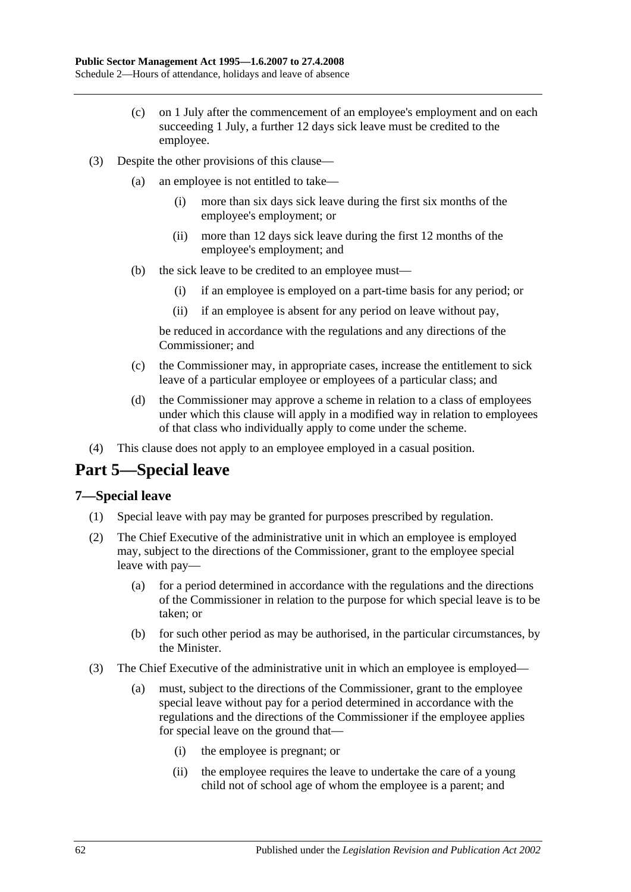- (c) on 1 July after the commencement of an employee's employment and on each succeeding 1 July, a further 12 days sick leave must be credited to the employee.
- (3) Despite the other provisions of this clause—
	- (a) an employee is not entitled to take—
		- (i) more than six days sick leave during the first six months of the employee's employment; or
		- (ii) more than 12 days sick leave during the first 12 months of the employee's employment; and
	- (b) the sick leave to be credited to an employee must—
		- (i) if an employee is employed on a part-time basis for any period; or
		- (ii) if an employee is absent for any period on leave without pay,

be reduced in accordance with the regulations and any directions of the Commissioner; and

- (c) the Commissioner may, in appropriate cases, increase the entitlement to sick leave of a particular employee or employees of a particular class; and
- (d) the Commissioner may approve a scheme in relation to a class of employees under which this clause will apply in a modified way in relation to employees of that class who individually apply to come under the scheme.
- (4) This clause does not apply to an employee employed in a casual position.

# **Part 5—Special leave**

#### **7—Special leave**

- (1) Special leave with pay may be granted for purposes prescribed by regulation.
- (2) The Chief Executive of the administrative unit in which an employee is employed may, subject to the directions of the Commissioner, grant to the employee special leave with pay—
	- (a) for a period determined in accordance with the regulations and the directions of the Commissioner in relation to the purpose for which special leave is to be taken; or
	- (b) for such other period as may be authorised, in the particular circumstances, by the Minister.
- (3) The Chief Executive of the administrative unit in which an employee is employed—
	- (a) must, subject to the directions of the Commissioner, grant to the employee special leave without pay for a period determined in accordance with the regulations and the directions of the Commissioner if the employee applies for special leave on the ground that—
		- (i) the employee is pregnant; or
		- (ii) the employee requires the leave to undertake the care of a young child not of school age of whom the employee is a parent; and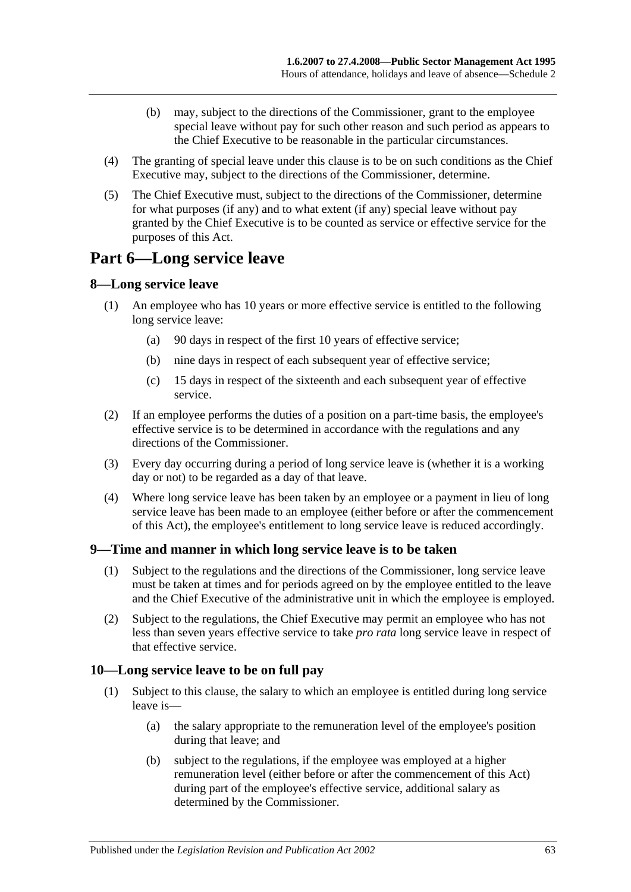- (b) may, subject to the directions of the Commissioner, grant to the employee special leave without pay for such other reason and such period as appears to the Chief Executive to be reasonable in the particular circumstances.
- (4) The granting of special leave under this clause is to be on such conditions as the Chief Executive may, subject to the directions of the Commissioner, determine.
- (5) The Chief Executive must, subject to the directions of the Commissioner, determine for what purposes (if any) and to what extent (if any) special leave without pay granted by the Chief Executive is to be counted as service or effective service for the purposes of this Act.

## **Part 6—Long service leave**

#### **8—Long service leave**

- (1) An employee who has 10 years or more effective service is entitled to the following long service leave:
	- (a) 90 days in respect of the first 10 years of effective service;
	- (b) nine days in respect of each subsequent year of effective service;
	- (c) 15 days in respect of the sixteenth and each subsequent year of effective service.
- (2) If an employee performs the duties of a position on a part-time basis, the employee's effective service is to be determined in accordance with the regulations and any directions of the Commissioner.
- (3) Every day occurring during a period of long service leave is (whether it is a working day or not) to be regarded as a day of that leave.
- (4) Where long service leave has been taken by an employee or a payment in lieu of long service leave has been made to an employee (either before or after the commencement of this Act), the employee's entitlement to long service leave is reduced accordingly.

### **9—Time and manner in which long service leave is to be taken**

- (1) Subject to the regulations and the directions of the Commissioner, long service leave must be taken at times and for periods agreed on by the employee entitled to the leave and the Chief Executive of the administrative unit in which the employee is employed.
- (2) Subject to the regulations, the Chief Executive may permit an employee who has not less than seven years effective service to take *pro rata* long service leave in respect of that effective service.

#### **10—Long service leave to be on full pay**

- (1) Subject to this clause, the salary to which an employee is entitled during long service leave is—
	- (a) the salary appropriate to the remuneration level of the employee's position during that leave; and
	- (b) subject to the regulations, if the employee was employed at a higher remuneration level (either before or after the commencement of this Act) during part of the employee's effective service, additional salary as determined by the Commissioner.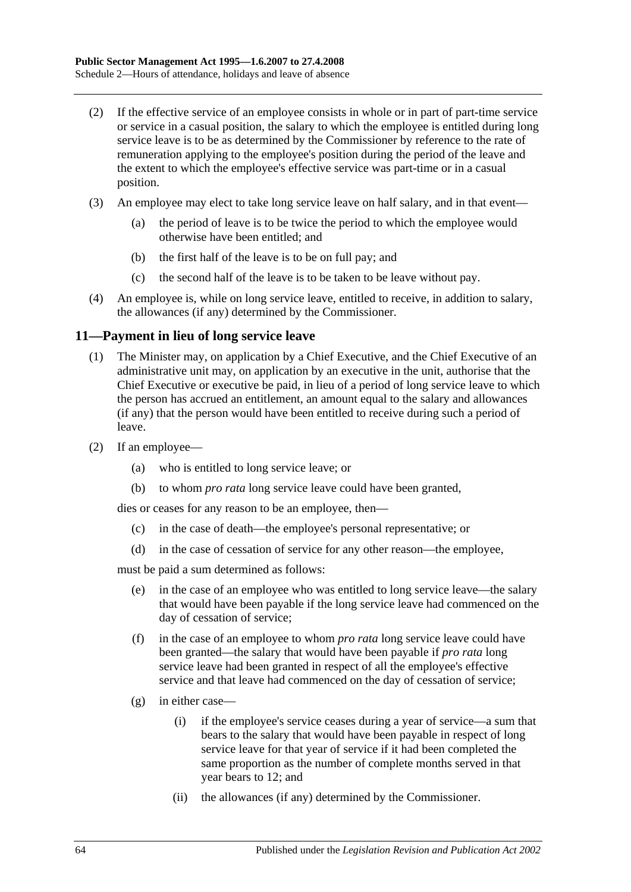- (2) If the effective service of an employee consists in whole or in part of part-time service or service in a casual position, the salary to which the employee is entitled during long service leave is to be as determined by the Commissioner by reference to the rate of remuneration applying to the employee's position during the period of the leave and the extent to which the employee's effective service was part-time or in a casual position.
- (3) An employee may elect to take long service leave on half salary, and in that event—
	- (a) the period of leave is to be twice the period to which the employee would otherwise have been entitled; and
	- (b) the first half of the leave is to be on full pay; and
	- (c) the second half of the leave is to be taken to be leave without pay.
- (4) An employee is, while on long service leave, entitled to receive, in addition to salary, the allowances (if any) determined by the Commissioner.

#### **11—Payment in lieu of long service leave**

- (1) The Minister may, on application by a Chief Executive, and the Chief Executive of an administrative unit may, on application by an executive in the unit, authorise that the Chief Executive or executive be paid, in lieu of a period of long service leave to which the person has accrued an entitlement, an amount equal to the salary and allowances (if any) that the person would have been entitled to receive during such a period of leave.
- (2) If an employee—
	- (a) who is entitled to long service leave; or
	- (b) to whom *pro rata* long service leave could have been granted,

dies or ceases for any reason to be an employee, then—

- (c) in the case of death—the employee's personal representative; or
- (d) in the case of cessation of service for any other reason—the employee,

must be paid a sum determined as follows:

- (e) in the case of an employee who was entitled to long service leave—the salary that would have been payable if the long service leave had commenced on the day of cessation of service;
- (f) in the case of an employee to whom *pro rata* long service leave could have been granted—the salary that would have been payable if *pro rata* long service leave had been granted in respect of all the employee's effective service and that leave had commenced on the day of cessation of service;
- (g) in either case—
	- (i) if the employee's service ceases during a year of service—a sum that bears to the salary that would have been payable in respect of long service leave for that year of service if it had been completed the same proportion as the number of complete months served in that year bears to 12; and
	- (ii) the allowances (if any) determined by the Commissioner.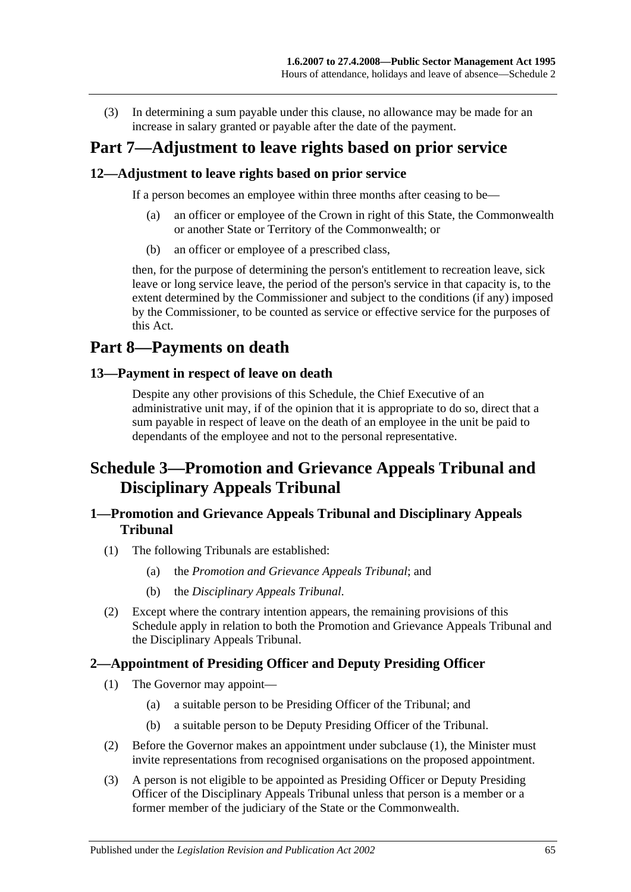(3) In determining a sum payable under this clause, no allowance may be made for an increase in salary granted or payable after the date of the payment.

## **Part 7—Adjustment to leave rights based on prior service**

#### **12—Adjustment to leave rights based on prior service**

If a person becomes an employee within three months after ceasing to be—

- (a) an officer or employee of the Crown in right of this State, the Commonwealth or another State or Territory of the Commonwealth; or
- (b) an officer or employee of a prescribed class,

then, for the purpose of determining the person's entitlement to recreation leave, sick leave or long service leave, the period of the person's service in that capacity is, to the extent determined by the Commissioner and subject to the conditions (if any) imposed by the Commissioner, to be counted as service or effective service for the purposes of this Act.

## **Part 8—Payments on death**

#### **13—Payment in respect of leave on death**

Despite any other provisions of this Schedule, the Chief Executive of an administrative unit may, if of the opinion that it is appropriate to do so, direct that a sum payable in respect of leave on the death of an employee in the unit be paid to dependants of the employee and not to the personal representative.

## **Schedule 3—Promotion and Grievance Appeals Tribunal and Disciplinary Appeals Tribunal**

#### **1—Promotion and Grievance Appeals Tribunal and Disciplinary Appeals Tribunal**

- (1) The following Tribunals are established:
	- (a) the *Promotion and Grievance Appeals Tribunal*; and
	- (b) the *Disciplinary Appeals Tribunal*.
- (2) Except where the contrary intention appears, the remaining provisions of this Schedule apply in relation to both the Promotion and Grievance Appeals Tribunal and the Disciplinary Appeals Tribunal.

#### <span id="page-64-0"></span>**2—Appointment of Presiding Officer and Deputy Presiding Officer**

- (1) The Governor may appoint—
	- (a) a suitable person to be Presiding Officer of the Tribunal; and
	- (b) a suitable person to be Deputy Presiding Officer of the Tribunal.
- (2) Before the Governor makes an appointment under [subclause](#page-64-0) (1), the Minister must invite representations from recognised organisations on the proposed appointment.
- (3) A person is not eligible to be appointed as Presiding Officer or Deputy Presiding Officer of the Disciplinary Appeals Tribunal unless that person is a member or a former member of the judiciary of the State or the Commonwealth.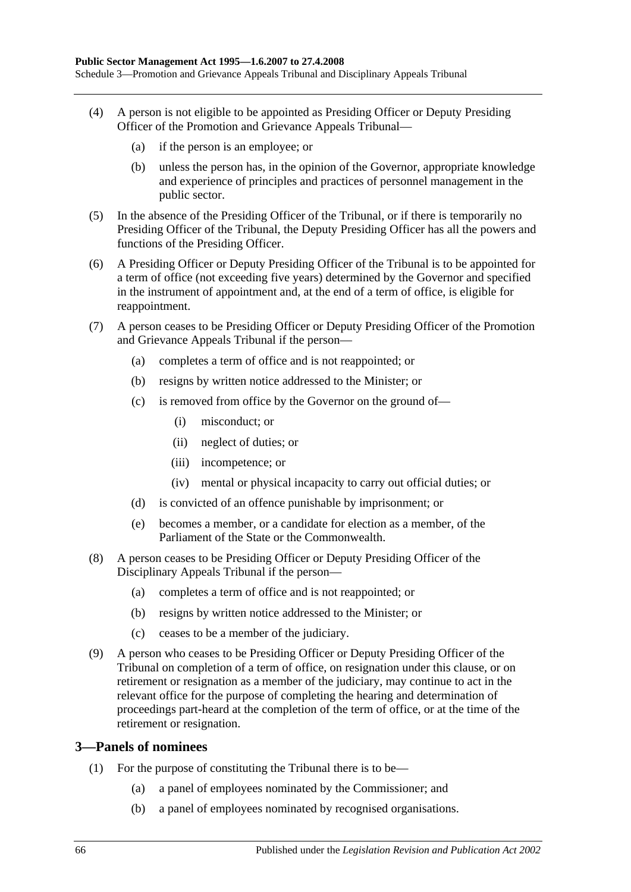- (4) A person is not eligible to be appointed as Presiding Officer or Deputy Presiding Officer of the Promotion and Grievance Appeals Tribunal—
	- (a) if the person is an employee; or
	- (b) unless the person has, in the opinion of the Governor, appropriate knowledge and experience of principles and practices of personnel management in the public sector.
- (5) In the absence of the Presiding Officer of the Tribunal, or if there is temporarily no Presiding Officer of the Tribunal, the Deputy Presiding Officer has all the powers and functions of the Presiding Officer.
- (6) A Presiding Officer or Deputy Presiding Officer of the Tribunal is to be appointed for a term of office (not exceeding five years) determined by the Governor and specified in the instrument of appointment and, at the end of a term of office, is eligible for reappointment.
- (7) A person ceases to be Presiding Officer or Deputy Presiding Officer of the Promotion and Grievance Appeals Tribunal if the person—
	- (a) completes a term of office and is not reappointed; or
	- (b) resigns by written notice addressed to the Minister; or
	- (c) is removed from office by the Governor on the ground of—
		- (i) misconduct; or
		- (ii) neglect of duties; or
		- (iii) incompetence; or
		- (iv) mental or physical incapacity to carry out official duties; or
	- (d) is convicted of an offence punishable by imprisonment; or
	- (e) becomes a member, or a candidate for election as a member, of the Parliament of the State or the Commonwealth.
- (8) A person ceases to be Presiding Officer or Deputy Presiding Officer of the Disciplinary Appeals Tribunal if the person—
	- (a) completes a term of office and is not reappointed; or
	- (b) resigns by written notice addressed to the Minister; or
	- (c) ceases to be a member of the judiciary.
- (9) A person who ceases to be Presiding Officer or Deputy Presiding Officer of the Tribunal on completion of a term of office, on resignation under this clause, or on retirement or resignation as a member of the judiciary, may continue to act in the relevant office for the purpose of completing the hearing and determination of proceedings part-heard at the completion of the term of office, or at the time of the retirement or resignation.

#### **3—Panels of nominees**

- <span id="page-65-0"></span>(1) For the purpose of constituting the Tribunal there is to be—
	- (a) a panel of employees nominated by the Commissioner; and
	- (b) a panel of employees nominated by recognised organisations.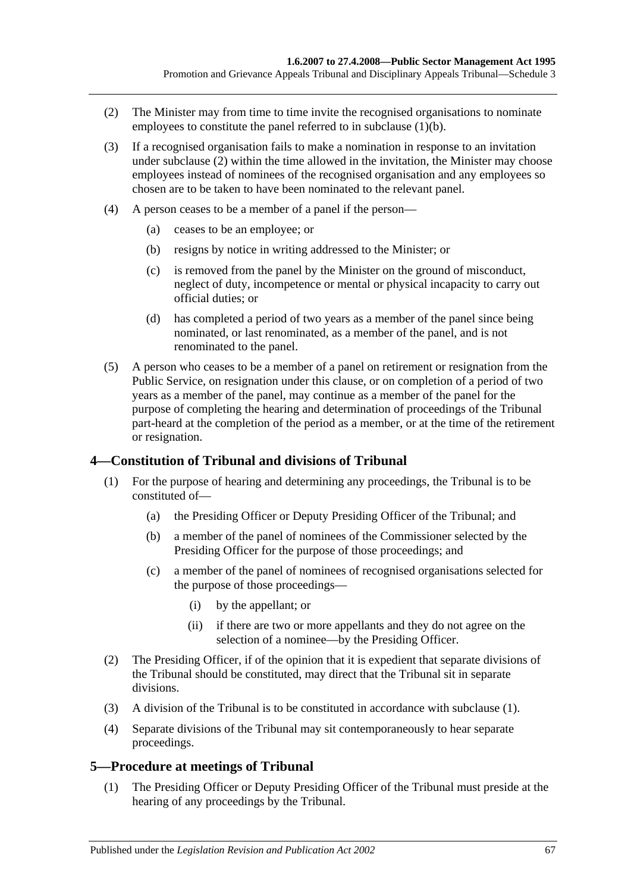- <span id="page-66-0"></span>(2) The Minister may from time to time invite the recognised organisations to nominate employees to constitute the panel referred to in [subclause](#page-65-0) (1)(b).
- (3) If a recognised organisation fails to make a nomination in response to an invitation under [subclause](#page-66-0) (2) within the time allowed in the invitation, the Minister may choose employees instead of nominees of the recognised organisation and any employees so chosen are to be taken to have been nominated to the relevant panel.
- (4) A person ceases to be a member of a panel if the person—
	- (a) ceases to be an employee; or
	- (b) resigns by notice in writing addressed to the Minister; or
	- (c) is removed from the panel by the Minister on the ground of misconduct, neglect of duty, incompetence or mental or physical incapacity to carry out official duties; or
	- (d) has completed a period of two years as a member of the panel since being nominated, or last renominated, as a member of the panel, and is not renominated to the panel.
- (5) A person who ceases to be a member of a panel on retirement or resignation from the Public Service, on resignation under this clause, or on completion of a period of two years as a member of the panel, may continue as a member of the panel for the purpose of completing the hearing and determination of proceedings of the Tribunal part-heard at the completion of the period as a member, or at the time of the retirement or resignation.

#### <span id="page-66-1"></span>**4—Constitution of Tribunal and divisions of Tribunal**

- (1) For the purpose of hearing and determining any proceedings, the Tribunal is to be constituted of—
	- (a) the Presiding Officer or Deputy Presiding Officer of the Tribunal; and
	- (b) a member of the panel of nominees of the Commissioner selected by the Presiding Officer for the purpose of those proceedings; and
	- (c) a member of the panel of nominees of recognised organisations selected for the purpose of those proceedings—
		- (i) by the appellant; or
		- (ii) if there are two or more appellants and they do not agree on the selection of a nominee—by the Presiding Officer.
- (2) The Presiding Officer, if of the opinion that it is expedient that separate divisions of the Tribunal should be constituted, may direct that the Tribunal sit in separate divisions.
- (3) A division of the Tribunal is to be constituted in accordance with [subclause](#page-66-1) (1).
- (4) Separate divisions of the Tribunal may sit contemporaneously to hear separate proceedings.

#### **5—Procedure at meetings of Tribunal**

(1) The Presiding Officer or Deputy Presiding Officer of the Tribunal must preside at the hearing of any proceedings by the Tribunal.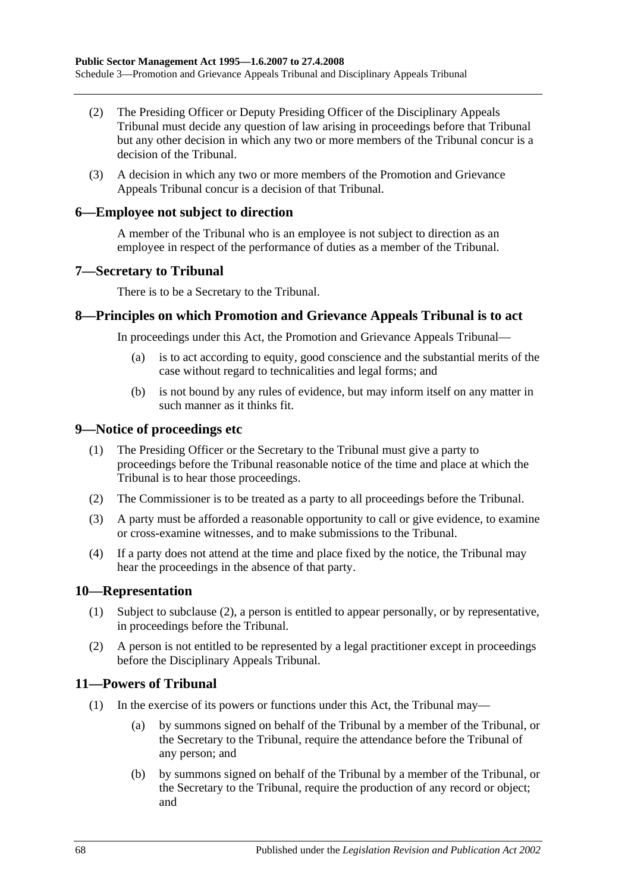- (2) The Presiding Officer or Deputy Presiding Officer of the Disciplinary Appeals Tribunal must decide any question of law arising in proceedings before that Tribunal but any other decision in which any two or more members of the Tribunal concur is a decision of the Tribunal.
- (3) A decision in which any two or more members of the Promotion and Grievance Appeals Tribunal concur is a decision of that Tribunal.

#### **6—Employee not subject to direction**

A member of the Tribunal who is an employee is not subject to direction as an employee in respect of the performance of duties as a member of the Tribunal.

#### **7—Secretary to Tribunal**

There is to be a Secretary to the Tribunal.

#### **8—Principles on which Promotion and Grievance Appeals Tribunal is to act**

In proceedings under this Act, the Promotion and Grievance Appeals Tribunal—

- (a) is to act according to equity, good conscience and the substantial merits of the case without regard to technicalities and legal forms; and
- (b) is not bound by any rules of evidence, but may inform itself on any matter in such manner as it thinks fit.

#### **9—Notice of proceedings etc**

- (1) The Presiding Officer or the Secretary to the Tribunal must give a party to proceedings before the Tribunal reasonable notice of the time and place at which the Tribunal is to hear those proceedings.
- (2) The Commissioner is to be treated as a party to all proceedings before the Tribunal.
- (3) A party must be afforded a reasonable opportunity to call or give evidence, to examine or cross-examine witnesses, and to make submissions to the Tribunal.
- (4) If a party does not attend at the time and place fixed by the notice, the Tribunal may hear the proceedings in the absence of that party.

#### **10—Representation**

- (1) Subject to [subclause](#page-67-0) (2), a person is entitled to appear personally, or by representative, in proceedings before the Tribunal.
- <span id="page-67-0"></span>(2) A person is not entitled to be represented by a legal practitioner except in proceedings before the Disciplinary Appeals Tribunal.

#### **11—Powers of Tribunal**

- (1) In the exercise of its powers or functions under this Act, the Tribunal may—
	- (a) by summons signed on behalf of the Tribunal by a member of the Tribunal, or the Secretary to the Tribunal, require the attendance before the Tribunal of any person; and
	- (b) by summons signed on behalf of the Tribunal by a member of the Tribunal, or the Secretary to the Tribunal, require the production of any record or object; and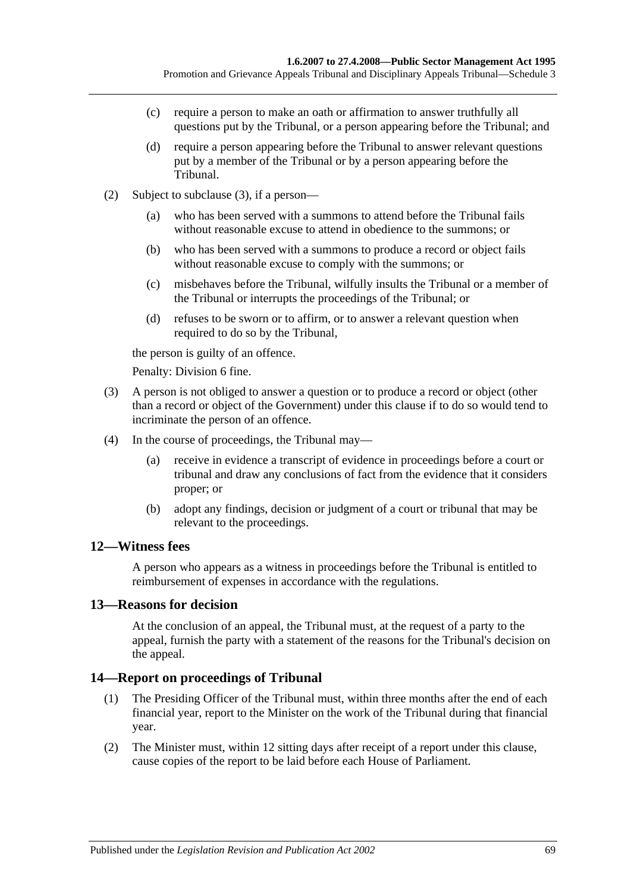- (c) require a person to make an oath or affirmation to answer truthfully all questions put by the Tribunal, or a person appearing before the Tribunal; and
- (d) require a person appearing before the Tribunal to answer relevant questions put by a member of the Tribunal or by a person appearing before the Tribunal.
- (2) Subject to [subclause](#page-68-0) (3), if a person—
	- (a) who has been served with a summons to attend before the Tribunal fails without reasonable excuse to attend in obedience to the summons; or
	- (b) who has been served with a summons to produce a record or object fails without reasonable excuse to comply with the summons; or
	- (c) misbehaves before the Tribunal, wilfully insults the Tribunal or a member of the Tribunal or interrupts the proceedings of the Tribunal; or
	- (d) refuses to be sworn or to affirm, or to answer a relevant question when required to do so by the Tribunal,

the person is guilty of an offence.

Penalty: Division 6 fine.

- <span id="page-68-0"></span>(3) A person is not obliged to answer a question or to produce a record or object (other than a record or object of the Government) under this clause if to do so would tend to incriminate the person of an offence.
- (4) In the course of proceedings, the Tribunal may—
	- (a) receive in evidence a transcript of evidence in proceedings before a court or tribunal and draw any conclusions of fact from the evidence that it considers proper; or
	- (b) adopt any findings, decision or judgment of a court or tribunal that may be relevant to the proceedings.

#### **12—Witness fees**

A person who appears as a witness in proceedings before the Tribunal is entitled to reimbursement of expenses in accordance with the regulations.

#### **13—Reasons for decision**

At the conclusion of an appeal, the Tribunal must, at the request of a party to the appeal, furnish the party with a statement of the reasons for the Tribunal's decision on the appeal.

#### **14—Report on proceedings of Tribunal**

- (1) The Presiding Officer of the Tribunal must, within three months after the end of each financial year, report to the Minister on the work of the Tribunal during that financial year.
- (2) The Minister must, within 12 sitting days after receipt of a report under this clause, cause copies of the report to be laid before each House of Parliament.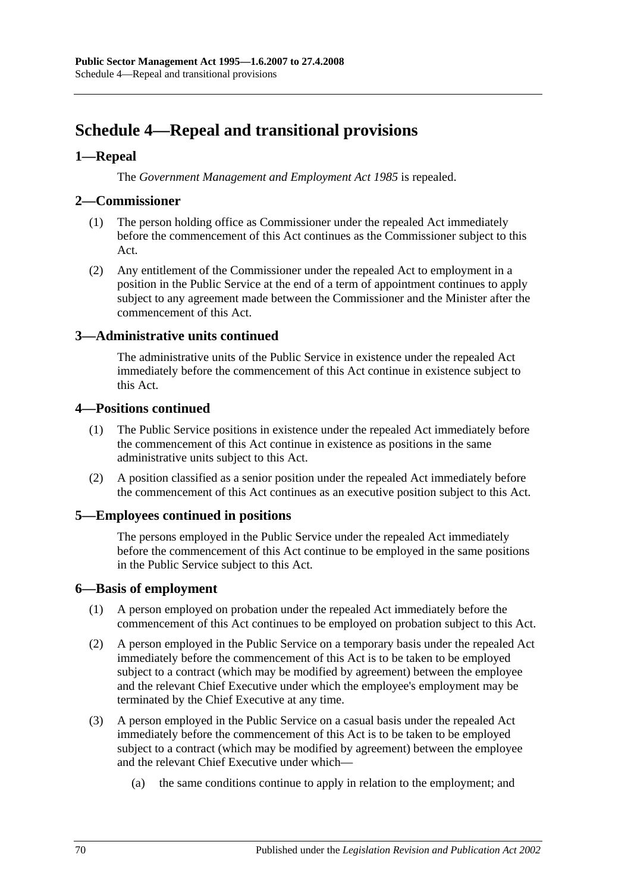# **Schedule 4—Repeal and transitional provisions**

#### **1—Repeal**

The *[Government Management and Employment Act](http://www.legislation.sa.gov.au/index.aspx?action=legref&type=act&legtitle=Government%20Management%20and%20Employment%20Act%201985) 1985* is repealed.

#### **2—Commissioner**

- (1) The person holding office as Commissioner under the repealed Act immediately before the commencement of this Act continues as the Commissioner subject to this Act.
- (2) Any entitlement of the Commissioner under the repealed Act to employment in a position in the Public Service at the end of a term of appointment continues to apply subject to any agreement made between the Commissioner and the Minister after the commencement of this Act.

#### **3—Administrative units continued**

The administrative units of the Public Service in existence under the repealed Act immediately before the commencement of this Act continue in existence subject to this Act.

#### **4—Positions continued**

- (1) The Public Service positions in existence under the repealed Act immediately before the commencement of this Act continue in existence as positions in the same administrative units subject to this Act.
- (2) A position classified as a senior position under the repealed Act immediately before the commencement of this Act continues as an executive position subject to this Act.

### **5—Employees continued in positions**

The persons employed in the Public Service under the repealed Act immediately before the commencement of this Act continue to be employed in the same positions in the Public Service subject to this Act.

#### **6—Basis of employment**

- (1) A person employed on probation under the repealed Act immediately before the commencement of this Act continues to be employed on probation subject to this Act.
- (2) A person employed in the Public Service on a temporary basis under the repealed Act immediately before the commencement of this Act is to be taken to be employed subject to a contract (which may be modified by agreement) between the employee and the relevant Chief Executive under which the employee's employment may be terminated by the Chief Executive at any time.
- (3) A person employed in the Public Service on a casual basis under the repealed Act immediately before the commencement of this Act is to be taken to be employed subject to a contract (which may be modified by agreement) between the employee and the relevant Chief Executive under which—
	- (a) the same conditions continue to apply in relation to the employment; and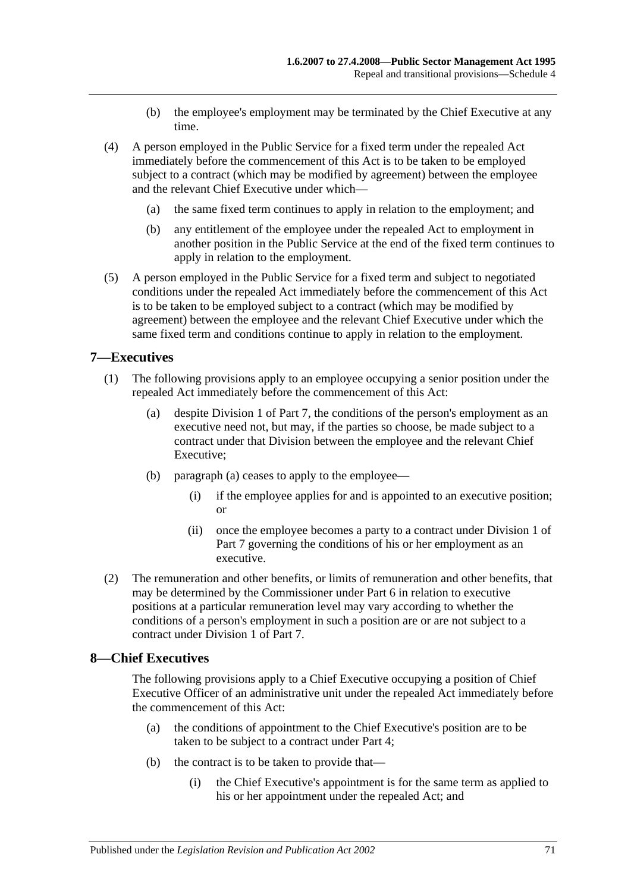- (b) the employee's employment may be terminated by the Chief Executive at any time.
- (4) A person employed in the Public Service for a fixed term under the repealed Act immediately before the commencement of this Act is to be taken to be employed subject to a contract (which may be modified by agreement) between the employee and the relevant Chief Executive under which—
	- (a) the same fixed term continues to apply in relation to the employment; and
	- (b) any entitlement of the employee under the repealed Act to employment in another position in the Public Service at the end of the fixed term continues to apply in relation to the employment.
- (5) A person employed in the Public Service for a fixed term and subject to negotiated conditions under the repealed Act immediately before the commencement of this Act is to be taken to be employed subject to a contract (which may be modified by agreement) between the employee and the relevant Chief Executive under which the same fixed term and conditions continue to apply in relation to the employment.

#### **7—Executives**

- <span id="page-70-0"></span>(1) The following provisions apply to an employee occupying a senior position under the repealed Act immediately before the commencement of this Act:
	- (a) despite [Division 1](#page-35-1) of [Part 7,](#page-35-0) the conditions of the person's employment as an executive need not, but may, if the parties so choose, be made subject to a contract under that Division between the employee and the relevant Chief Executive;
	- (b) [paragraph](#page-70-0) (a) ceases to apply to the employee—
		- (i) if the employee applies for and is appointed to an executive position; or
		- (ii) once the employee becomes a party to a contract under [Division 1](#page-35-1) of [Part 7](#page-35-0) governing the conditions of his or her employment as an executive.
- (2) The remuneration and other benefits, or limits of remuneration and other benefits, that may be determined by the Commissioner under [Part 6](#page-33-0) in relation to executive positions at a particular remuneration level may vary according to whether the conditions of a person's employment in such a position are or are not subject to a contract under [Division 1](#page-35-1) of [Part 7.](#page-35-0)

#### **8—Chief Executives**

The following provisions apply to a Chief Executive occupying a position of Chief Executive Officer of an administrative unit under the repealed Act immediately before the commencement of this Act:

- (a) the conditions of appointment to the Chief Executive's position are to be taken to be subject to a contract under [Part 4;](#page-25-0)
- (b) the contract is to be taken to provide that—
	- (i) the Chief Executive's appointment is for the same term as applied to his or her appointment under the repealed Act; and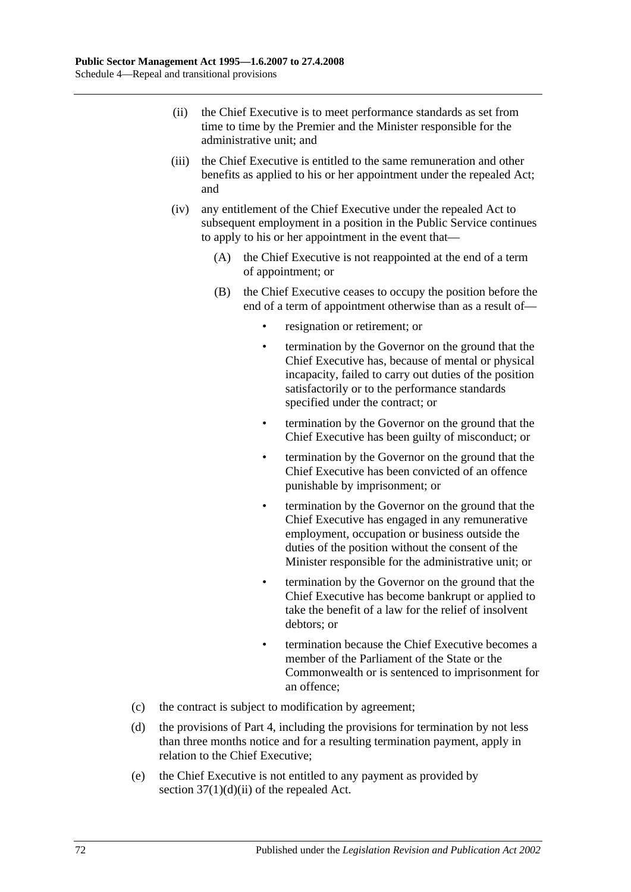- (ii) the Chief Executive is to meet performance standards as set from time to time by the Premier and the Minister responsible for the administrative unit; and
- (iii) the Chief Executive is entitled to the same remuneration and other benefits as applied to his or her appointment under the repealed Act; and
- (iv) any entitlement of the Chief Executive under the repealed Act to subsequent employment in a position in the Public Service continues to apply to his or her appointment in the event that—
	- (A) the Chief Executive is not reappointed at the end of a term of appointment; or
	- (B) the Chief Executive ceases to occupy the position before the end of a term of appointment otherwise than as a result of
		- resignation or retirement; or
		- termination by the Governor on the ground that the Chief Executive has, because of mental or physical incapacity, failed to carry out duties of the position satisfactorily or to the performance standards specified under the contract; or
		- termination by the Governor on the ground that the Chief Executive has been guilty of misconduct; or
		- termination by the Governor on the ground that the Chief Executive has been convicted of an offence punishable by imprisonment; or
		- termination by the Governor on the ground that the Chief Executive has engaged in any remunerative employment, occupation or business outside the duties of the position without the consent of the Minister responsible for the administrative unit; or
		- termination by the Governor on the ground that the Chief Executive has become bankrupt or applied to take the benefit of a law for the relief of insolvent debtors; or
		- termination because the Chief Executive becomes a member of the Parliament of the State or the Commonwealth or is sentenced to imprisonment for an offence;
- (c) the contract is subject to modification by agreement;
- (d) the provisions of [Part 4,](#page-25-0) including the provisions for termination by not less than three months notice and for a resulting termination payment, apply in relation to the Chief Executive;
- (e) the Chief Executive is not entitled to any payment as provided by section  $37(1)(d)(ii)$  of the repealed Act.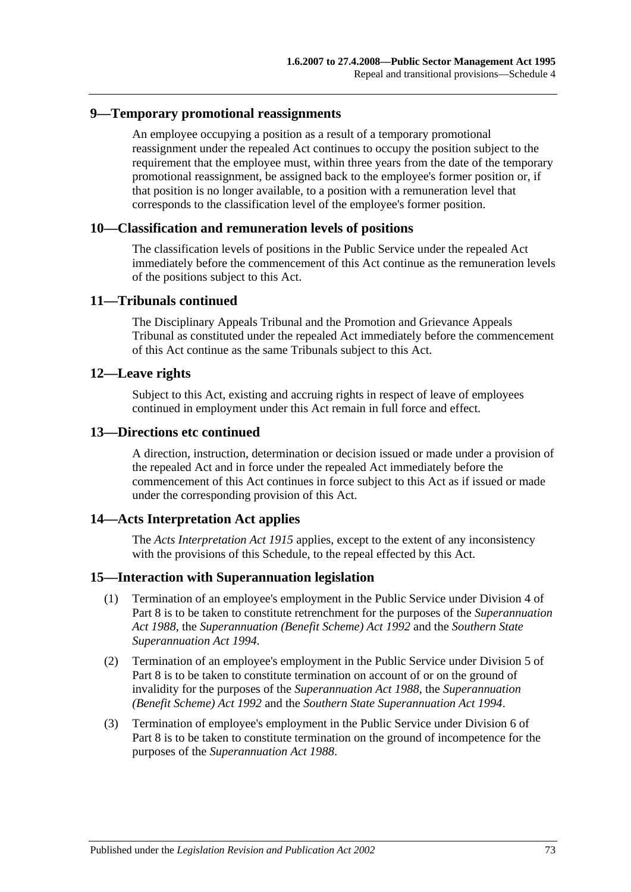### **9—Temporary promotional reassignments**

An employee occupying a position as a result of a temporary promotional reassignment under the repealed Act continues to occupy the position subject to the requirement that the employee must, within three years from the date of the temporary promotional reassignment, be assigned back to the employee's former position or, if that position is no longer available, to a position with a remuneration level that corresponds to the classification level of the employee's former position.

### **10—Classification and remuneration levels of positions**

The classification levels of positions in the Public Service under the repealed Act immediately before the commencement of this Act continue as the remuneration levels of the positions subject to this Act.

### **11—Tribunals continued**

The Disciplinary Appeals Tribunal and the Promotion and Grievance Appeals Tribunal as constituted under the repealed Act immediately before the commencement of this Act continue as the same Tribunals subject to this Act.

### **12—Leave rights**

Subject to this Act, existing and accruing rights in respect of leave of employees continued in employment under this Act remain in full force and effect.

#### **13—Directions etc continued**

A direction, instruction, determination or decision issued or made under a provision of the repealed Act and in force under the repealed Act immediately before the commencement of this Act continues in force subject to this Act as if issued or made under the corresponding provision of this Act.

### **14—Acts Interpretation Act applies**

The *[Acts Interpretation Act](http://www.legislation.sa.gov.au/index.aspx?action=legref&type=act&legtitle=Acts%20Interpretation%20Act%201915) 1915* applies, except to the extent of any inconsistency with the provisions of this Schedule, to the repeal effected by this Act.

#### **15—Interaction with Superannuation legislation**

- (1) Termination of an employee's employment in the Public Service under [Division 4](#page-43-0) of [Part 8](#page-42-0) is to be taken to constitute retrenchment for the purposes of the *[Superannuation](http://www.legislation.sa.gov.au/index.aspx?action=legref&type=act&legtitle=Superannuation%20Act%201988)  Act [1988](http://www.legislation.sa.gov.au/index.aspx?action=legref&type=act&legtitle=Superannuation%20Act%201988)*, the *[Superannuation \(Benefit Scheme\) Act](http://www.legislation.sa.gov.au/index.aspx?action=legref&type=act&legtitle=Superannuation%20(Benefit%20Scheme)%20Act%201992) 1992* and the *[Southern State](http://www.legislation.sa.gov.au/index.aspx?action=legref&type=act&legtitle=Southern%20State%20Superannuation%20Act%201994)  [Superannuation Act](http://www.legislation.sa.gov.au/index.aspx?action=legref&type=act&legtitle=Southern%20State%20Superannuation%20Act%201994) 1994*.
- (2) Termination of an employee's employment in the Public Service under [Division 5](#page-44-0) of [Part 8](#page-42-0) is to be taken to constitute termination on account of or on the ground of invalidity for the purposes of the *[Superannuation Act](http://www.legislation.sa.gov.au/index.aspx?action=legref&type=act&legtitle=Superannuation%20Act%201988) 1988*, the *[Superannuation](http://www.legislation.sa.gov.au/index.aspx?action=legref&type=act&legtitle=Superannuation%20(Benefit%20Scheme)%20Act%201992)  [\(Benefit Scheme\) Act](http://www.legislation.sa.gov.au/index.aspx?action=legref&type=act&legtitle=Superannuation%20(Benefit%20Scheme)%20Act%201992) 1992* and the *[Southern State Superannuation Act](http://www.legislation.sa.gov.au/index.aspx?action=legref&type=act&legtitle=Southern%20State%20Superannuation%20Act%201994) 1994*.
- (3) Termination of employee's employment in the Public Service under [Division 6](#page-46-0) of [Part](#page-42-0) 8 is to be taken to constitute termination on the ground of incompetence for the purposes of the *[Superannuation Act](http://www.legislation.sa.gov.au/index.aspx?action=legref&type=act&legtitle=Superannuation%20Act%201988) 1988*.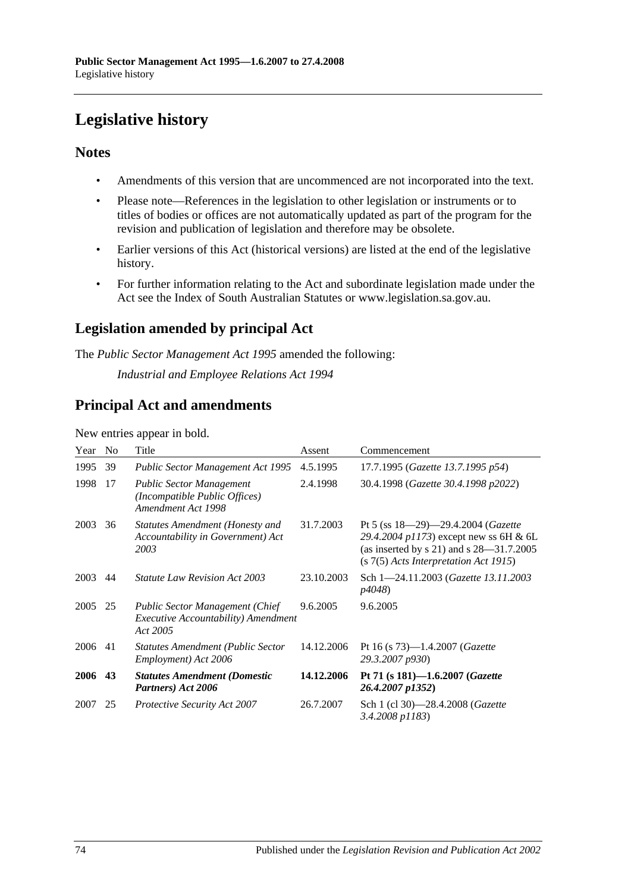# **Legislative history**

### **Notes**

- Amendments of this version that are uncommenced are not incorporated into the text.
- Please note—References in the legislation to other legislation or instruments or to titles of bodies or offices are not automatically updated as part of the program for the revision and publication of legislation and therefore may be obsolete.
- Earlier versions of this Act (historical versions) are listed at the end of the legislative history.
- For further information relating to the Act and subordinate legislation made under the Act see the Index of South Australian Statutes or www.legislation.sa.gov.au.

## **Legislation amended by principal Act**

The *Public Sector Management Act 1995* amended the following:

*Industrial and Employee Relations Act 1994*

### **Principal Act and amendments**

New entries appear in bold.

| Year | N <sub>0</sub> | Title                                                                                                    | Assent     | Commencement                                                                                                                                                                   |
|------|----------------|----------------------------------------------------------------------------------------------------------|------------|--------------------------------------------------------------------------------------------------------------------------------------------------------------------------------|
| 1995 | 39             | Public Sector Management Act 1995                                                                        | 4.5.1995   | 17.7.1995 (Gazette 13.7.1995 p54)                                                                                                                                              |
| 1998 | 17             | <b>Public Sector Management</b><br>(Incompatible Public Offices)<br>Amendment Act 1998                   | 2.4.1998   | 30.4.1998 (Gazette 30.4.1998 p2022)                                                                                                                                            |
| 2003 | 36             | Statutes Amendment (Honesty and<br>Accountability in Government) Act<br>2003                             | 31.7.2003  | Pt 5 (ss $18-29-29.4.2004$ ( <i>Gazette</i><br>29.4.2004 p1173) except new ss 6H & 6L<br>(as inserted by s 21) and s $28-31.7.2005$<br>$(s 7(5)$ Acts Interpretation Act 1915) |
| 2003 | 44             | <b>Statute Law Revision Act 2003</b>                                                                     | 23.10.2003 | Sch 1-24.11.2003 (Gazette 13.11.2003<br><i>p4048</i> )                                                                                                                         |
| 2005 | 25             | <b>Public Sector Management (Chief</b><br><i>Executive Accountability</i> ) <i>Amendment</i><br>Act 2005 | 9.6.2005   | 9.6.2005                                                                                                                                                                       |
| 2006 | 41             | <b>Statutes Amendment (Public Sector</b><br>Employment) Act 2006                                         | 14.12.2006 | Pt 16 (s $73$ )-1.4.2007 ( <i>Gazette</i><br>29.3.2007 p930)                                                                                                                   |
| 2006 | 43             | <b>Statutes Amendment (Domestic</b><br>Partners) Act 2006                                                | 14.12.2006 | Pt 71 (s 181)-1.6.2007 (Gazette<br>26.4.2007 p1352)                                                                                                                            |
| 2007 | 25             | <b>Protective Security Act 2007</b>                                                                      | 26.7.2007  | Sch 1 (cl 30)-28.4.2008 ( <i>Gazette</i><br>3.4.2008 p1183)                                                                                                                    |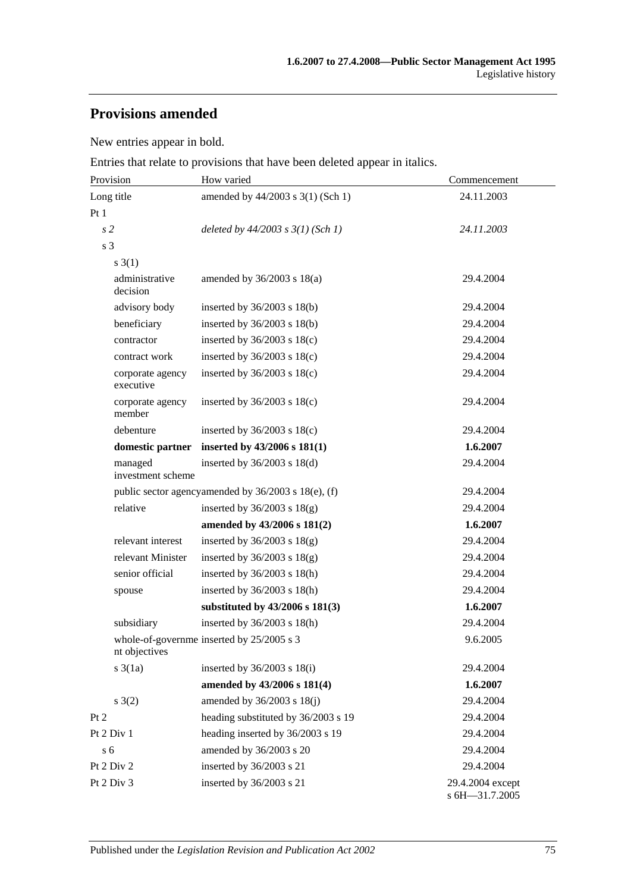## **Provisions amended**

New entries appear in bold.

Entries that relate to provisions that have been deleted appear in italics.

| Provision                     | How varied                                          | Commencement                       |  |
|-------------------------------|-----------------------------------------------------|------------------------------------|--|
| Long title                    | amended by 44/2003 s 3(1) (Sch 1)                   | 24.11.2003                         |  |
| Pt1                           |                                                     |                                    |  |
| s <sub>2</sub>                | deleted by $44/2003$ s $3(1)$ (Sch 1)               | 24.11.2003                         |  |
| s 3                           |                                                     |                                    |  |
| $s \; 3(1)$                   |                                                     |                                    |  |
| administrative<br>decision    | amended by $36/2003$ s $18(a)$                      | 29.4.2004                          |  |
| advisory body                 | inserted by $36/2003$ s $18(b)$                     | 29.4.2004                          |  |
| beneficiary                   | inserted by $36/2003$ s $18(b)$                     | 29.4.2004                          |  |
| contractor                    | inserted by $36/2003$ s $18(c)$                     | 29.4.2004                          |  |
| contract work                 | inserted by $36/2003$ s $18(c)$                     | 29.4.2004                          |  |
| corporate agency<br>executive | inserted by $36/2003$ s $18(c)$                     | 29.4.2004                          |  |
| corporate agency<br>member    | inserted by $36/2003$ s $18(c)$                     | 29.4.2004                          |  |
| debenture                     | inserted by $36/2003$ s $18(c)$                     | 29.4.2004                          |  |
| domestic partner              | inserted by $43/2006$ s $181(1)$                    | 1.6.2007                           |  |
| managed<br>investment scheme  | inserted by $36/2003$ s $18(d)$                     | 29.4.2004                          |  |
|                               | public sector agencyamended by 36/2003 s 18(e), (f) | 29.4.2004                          |  |
| relative                      | inserted by $36/2003$ s $18(g)$                     | 29.4.2004                          |  |
|                               | amended by 43/2006 s 181(2)                         | 1.6.2007                           |  |
| relevant interest             | inserted by $36/2003$ s $18(g)$                     | 29.4.2004                          |  |
| relevant Minister             | inserted by $36/2003$ s $18(g)$                     | 29.4.2004                          |  |
| senior official               | inserted by $36/2003$ s $18(h)$                     | 29.4.2004                          |  |
| spouse                        | inserted by $36/2003$ s $18(h)$                     | 29.4.2004                          |  |
|                               | substituted by 43/2006 s 181(3)                     | 1.6.2007                           |  |
| subsidiary                    | inserted by $36/2003$ s $18(h)$                     | 29.4.2004                          |  |
| nt objectives                 | whole-of-governme inserted by 25/2005 s 3           | 9.6.2005                           |  |
| $s \cdot 3(1a)$               | inserted by $36/2003$ s $18(i)$                     | 29.4.2004                          |  |
|                               | amended by 43/2006 s 181(4)                         | 1.6.2007                           |  |
| s(2)                          | amended by 36/2003 s 18(j)                          | 29.4.2004                          |  |
| Pt 2                          | heading substituted by 36/2003 s 19                 | 29.4.2004                          |  |
| Pt 2 Div 1                    | heading inserted by 36/2003 s 19                    | 29.4.2004                          |  |
| s <sub>6</sub>                | amended by 36/2003 s 20                             | 29.4.2004                          |  |
| Pt 2 Div 2                    | inserted by 36/2003 s 21                            | 29.4.2004                          |  |
| Pt 2 Div 3                    | inserted by 36/2003 s 21                            | 29.4.2004 except<br>s 6H-31.7.2005 |  |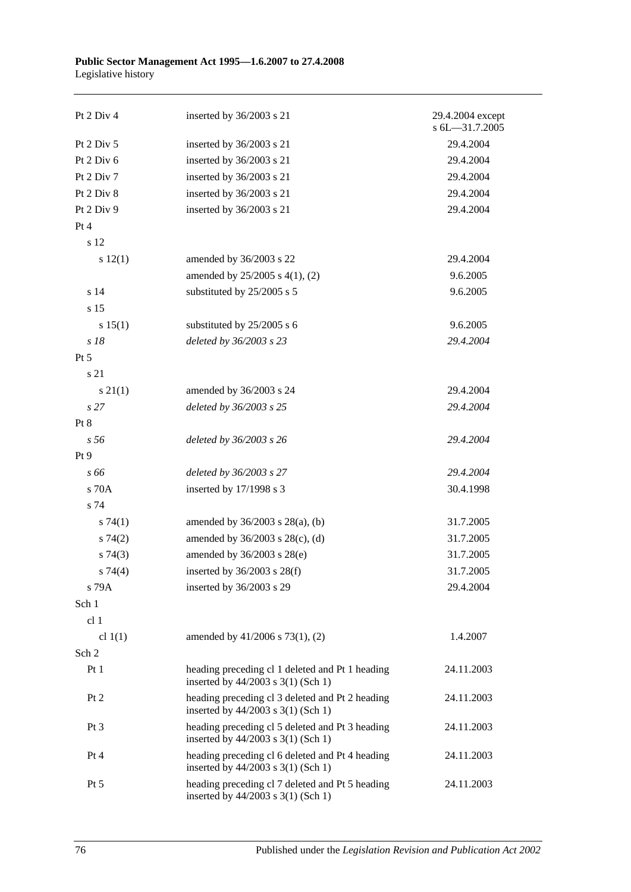| Pt 2 Div 4      | inserted by 36/2003 s 21                                                              | 29.4.2004 except<br>s 6L-31.7.2005 |
|-----------------|---------------------------------------------------------------------------------------|------------------------------------|
| Pt 2 Div 5      | inserted by 36/2003 s 21                                                              | 29.4.2004                          |
| Pt 2 Div 6      | inserted by 36/2003 s 21                                                              | 29.4.2004                          |
| Pt 2 Div 7      | inserted by 36/2003 s 21                                                              | 29.4.2004                          |
| Pt 2 Div 8      | inserted by 36/2003 s 21                                                              | 29.4.2004                          |
| Pt 2 Div 9      | inserted by 36/2003 s 21                                                              | 29.4.2004                          |
| Pt 4            |                                                                                       |                                    |
| s 12            |                                                                                       |                                    |
| s 12(1)         | amended by 36/2003 s 22                                                               | 29.4.2004                          |
|                 | amended by $25/2005$ s 4(1), (2)                                                      | 9.6.2005                           |
| s 14            | substituted by 25/2005 s 5                                                            | 9.6.2005                           |
| s <sub>15</sub> |                                                                                       |                                    |
| s 15(1)         | substituted by 25/2005 s 6                                                            | 9.6.2005                           |
| s 18            | deleted by 36/2003 s 23                                                               | 29.4.2004                          |
| Pt 5            |                                                                                       |                                    |
| s 21            |                                                                                       |                                    |
| $s \, 21(1)$    | amended by 36/2003 s 24                                                               | 29.4.2004                          |
| s <sub>27</sub> | deleted by 36/2003 s 25                                                               | 29.4.2004                          |
| Pt 8            |                                                                                       |                                    |
| s 56            | deleted by 36/2003 s 26                                                               | 29.4.2004                          |
| Pt 9            |                                                                                       |                                    |
| s 66            | deleted by 36/2003 s 27                                                               | 29.4.2004                          |
| s 70A           | inserted by 17/1998 s 3                                                               | 30.4.1998                          |
| s 74            |                                                                                       |                                    |
| s74(1)          | amended by 36/2003 s 28(a), (b)                                                       | 31.7.2005                          |
| $s \, 74(2)$    | amended by 36/2003 s 28(c), (d)                                                       | 31.7.2005                          |
| s74(3)          | amended by 36/2003 s 28(e)                                                            | 31.7.2005                          |
| s 74(4)         | inserted by $36/2003$ s $28(f)$                                                       | 31.7.2005                          |
| s 79A           | inserted by 36/2003 s 29                                                              | 29.4.2004                          |
| Sch 1           |                                                                                       |                                    |
| cl <sub>1</sub> |                                                                                       |                                    |
| cl $1(1)$       | amended by 41/2006 s 73(1), (2)                                                       | 1.4.2007                           |
| Sch 2           |                                                                                       |                                    |
| Pt <sub>1</sub> | heading preceding cl 1 deleted and Pt 1 heading<br>inserted by 44/2003 s 3(1) (Sch 1) | 24.11.2003                         |
| Pt 2            | heading preceding cl 3 deleted and Pt 2 heading<br>inserted by 44/2003 s 3(1) (Sch 1) | 24.11.2003                         |
| Pt <sub>3</sub> | heading preceding cl 5 deleted and Pt 3 heading<br>inserted by 44/2003 s 3(1) (Sch 1) | 24.11.2003                         |
| Pt 4            | heading preceding cl 6 deleted and Pt 4 heading<br>inserted by 44/2003 s 3(1) (Sch 1) | 24.11.2003                         |
| $Pt\,5$         | heading preceding cl 7 deleted and Pt 5 heading<br>inserted by 44/2003 s 3(1) (Sch 1) | 24.11.2003                         |